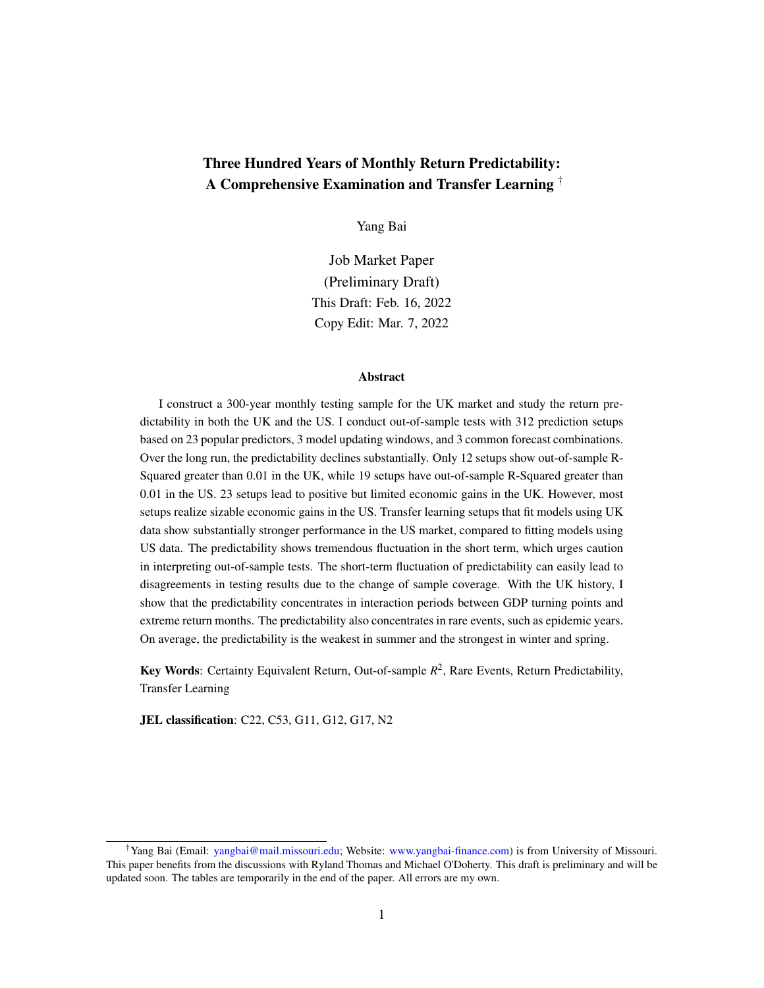## Three Hundred Years of Monthly Return Predictability: A Comprehensive Examination and Transfer Learning †

Yang Bai

Job Market Paper (Preliminary Draft) This Draft: Feb. 16, 2022 Copy Edit: Mar. 7, 2022

#### Abstract

I construct a 300-year monthly testing sample for the UK market and study the return predictability in both the UK and the US. I conduct out-of-sample tests with 312 prediction setups based on 23 popular predictors, 3 model updating windows, and 3 common forecast combinations. Over the long run, the predictability declines substantially. Only 12 setups show out-of-sample R-Squared greater than 0.01 in the UK, while 19 setups have out-of-sample R-Squared greater than 0.01 in the US. 23 setups lead to positive but limited economic gains in the UK. However, most setups realize sizable economic gains in the US. Transfer learning setups that fit models using UK data show substantially stronger performance in the US market, compared to fitting models using US data. The predictability shows tremendous fluctuation in the short term, which urges caution in interpreting out-of-sample tests. The short-term fluctuation of predictability can easily lead to disagreements in testing results due to the change of sample coverage. With the UK history, I show that the predictability concentrates in interaction periods between GDP turning points and extreme return months. The predictability also concentrates in rare events, such as epidemic years. On average, the predictability is the weakest in summer and the strongest in winter and spring.

Key Words: Certainty Equivalent Return, Out-of-sample *R* 2 , Rare Events, Return Predictability, Transfer Learning

JEL classification: C22, C53, G11, G12, G17, N2

<sup>†</sup>Yang Bai (Email: [yangbai@mail.missouri.edu;](mailto:yangbai@mail.missouri.edu) Website: [www.yangbai-finance.com\)](http://www.yangbai-finance.com) is from University of Missouri. This paper benefits from the discussions with Ryland Thomas and Michael O'Doherty. This draft is preliminary and will be updated soon. The tables are temporarily in the end of the paper. All errors are my own.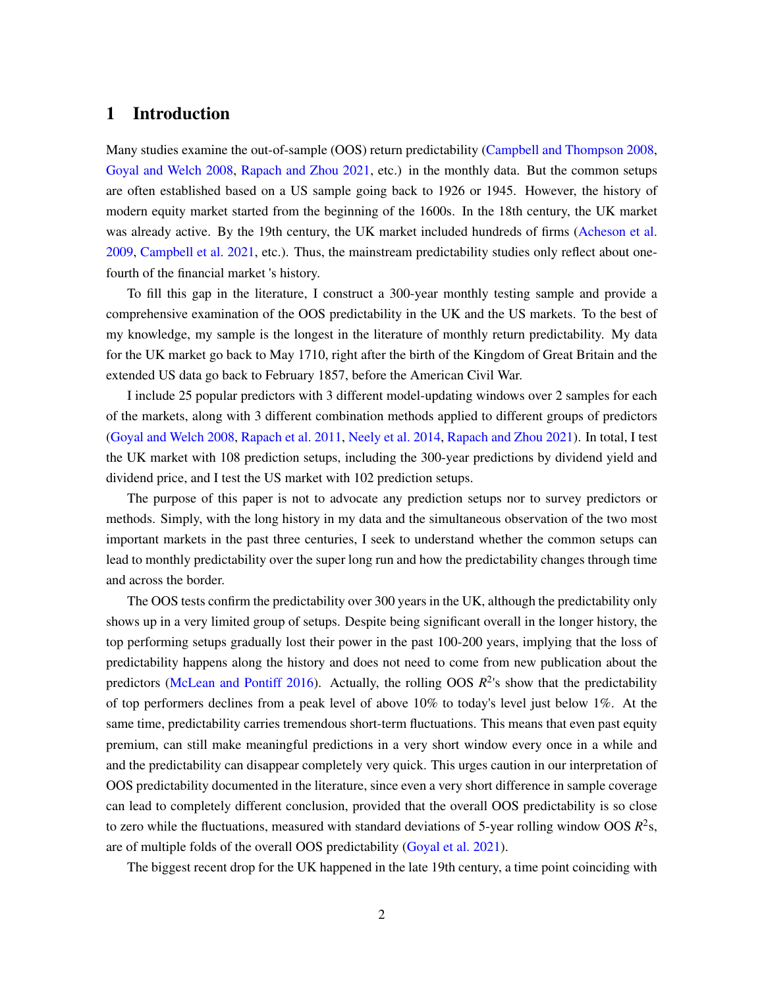## <span id="page-1-0"></span>1 Introduction

Many studies examine the out-of-sample (OOS) return predictability [\(Campbell and Thompson 2008,](#page-31-0) [Goyal and Welch 2008,](#page-32-0) [Rapach and Zhou 2021,](#page-33-0) etc.) in the monthly data. But the common setups are often established based on a US sample going back to 1926 or 1945. However, the history of modern equity market started from the beginning of the 1600s. In the 18th century, the UK market was already active. By the 19th century, the UK market included hundreds of firms [\(Acheson et al.](#page-31-1) [2009,](#page-31-1) [Campbell et al. 2021,](#page-31-2) etc.). Thus, the mainstream predictability studies only reflect about onefourth of the financial market 's history.

To fill this gap in the literature, I construct a 300-year monthly testing sample and provide a comprehensive examination of the OOS predictability in the UK and the US markets. To the best of my knowledge, my sample is the longest in the literature of monthly return predictability. My data for the UK market go back to May 1710, right after the birth of the Kingdom of Great Britain and the extended US data go back to February 1857, before the American Civil War.

I include 25 popular predictors with 3 different model-updating windows over 2 samples for each of the markets, along with 3 different combination methods applied to different groups of predictors [\(Goyal and Welch 2008,](#page-32-0) [Rapach et al. 2011,](#page-34-0) [Neely et al. 2014,](#page-33-1) [Rapach and Zhou 2021\)](#page-33-0). In total, I test the UK market with 108 prediction setups, including the 300-year predictions by dividend yield and dividend price, and I test the US market with 102 prediction setups.

The purpose of this paper is not to advocate any prediction setups nor to survey predictors or methods. Simply, with the long history in my data and the simultaneous observation of the two most important markets in the past three centuries, I seek to understand whether the common setups can lead to monthly predictability over the super long run and how the predictability changes through time and across the border.

The OOS tests confirm the predictability over 300 years in the UK, although the predictability only shows up in a very limited group of setups. Despite being significant overall in the longer history, the top performing setups gradually lost their power in the past 100-200 years, implying that the loss of predictability happens along the history and does not need to come from new publication about the predictors [\(McLean and Pontiff 2016\)](#page-33-2). Actually, the rolling OOS  $R^2$ 's show that the predictability of top performers declines from a peak level of above 10% to today's level just below 1%. At the same time, predictability carries tremendous short-term fluctuations. This means that even past equity premium, can still make meaningful predictions in a very short window every once in a while and and the predictability can disappear completely very quick. This urges caution in our interpretation of OOS predictability documented in the literature, since even a very short difference in sample coverage can lead to completely different conclusion, provided that the overall OOS predictability is so close to zero while the fluctuations, measured with standard deviations of 5-year rolling window OOS  $R^2$ s, are of multiple folds of the overall OOS predictability [\(Goyal et al. 2021\)](#page-32-1).

The biggest recent drop for the UK happened in the late 19th century, a time point coinciding with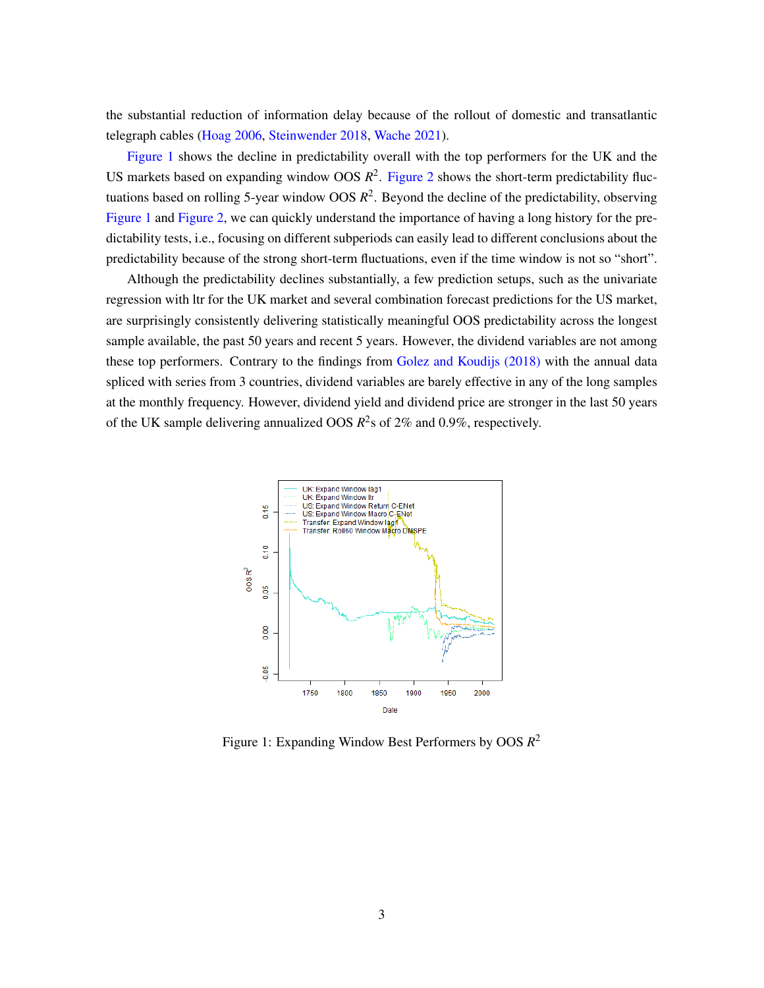the substantial reduction of information delay because of the rollout of domestic and transatlantic telegraph cables [\(Hoag 2006,](#page-32-2) [Steinwender 2018,](#page-34-1) [Wache 2021\)](#page-34-2).

[Figure 1](#page-2-0) shows the decline in predictability overall with the top performers for the UK and the US markets based on expanding window OOS  $R^2$ . [Figure 2](#page-3-0) shows the short-term predictability fluctuations based on rolling 5-year window OOS *R* 2 . Beyond the decline of the predictability, observing [Figure 1](#page-2-0) and [Figure 2,](#page-3-0) we can quickly understand the importance of having a long history for the predictability tests, i.e., focusing on different subperiods can easily lead to different conclusions about the predictability because of the strong short-term fluctuations, even if the time window is not so "short".

Although the predictability declines substantially, a few prediction setups, such as the univariate regression with ltr for the UK market and several combination forecast predictions for the US market, are surprisingly consistently delivering statistically meaningful OOS predictability across the longest sample available, the past 50 years and recent 5 years. However, the dividend variables are not among these top performers. Contrary to the findings from [Golez and Koudijs \(2018\)](#page-32-3) with the annual data spliced with series from 3 countries, dividend variables are barely effective in any of the long samples at the monthly frequency. However, dividend yield and dividend price are stronger in the last 50 years of the UK sample delivering annualized OOS  $R^2$ s of 2% and 0.9%, respectively.

<span id="page-2-0"></span>

Figure 1: Expanding Window Best Performers by OOS *R* 2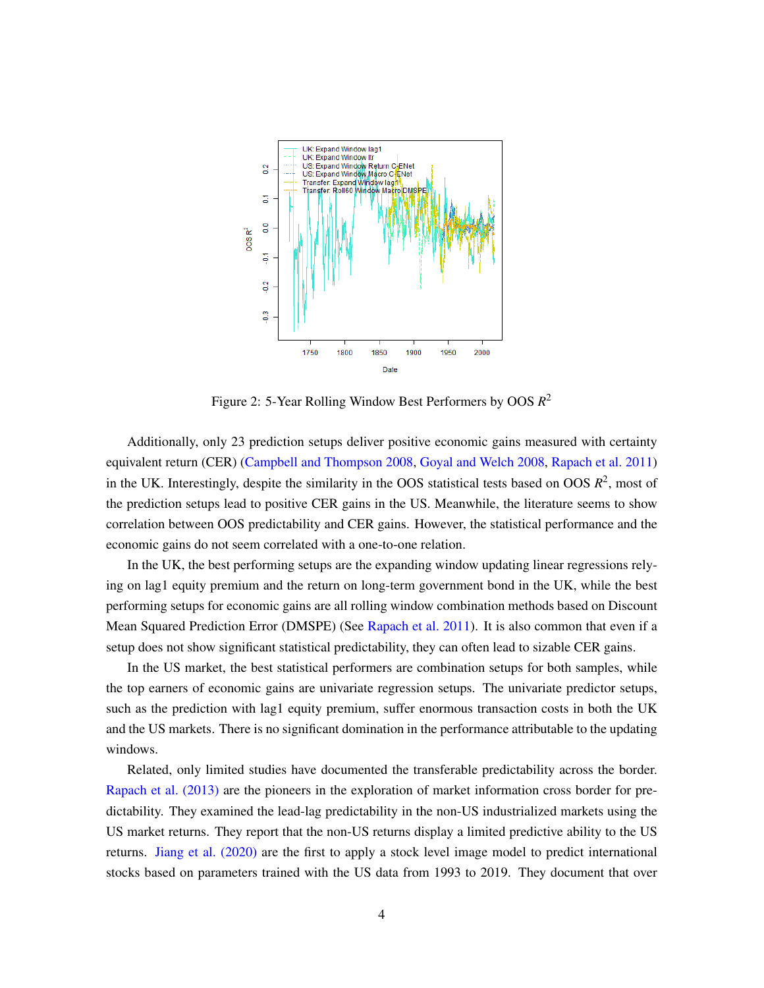<span id="page-3-0"></span>

Figure 2: 5-Year Rolling Window Best Performers by OOS *R* 2

Additionally, only 23 prediction setups deliver positive economic gains measured with certainty equivalent return (CER) [\(Campbell and Thompson 2008,](#page-31-0) [Goyal and Welch 2008,](#page-32-0) [Rapach et al. 2011\)](#page-34-0) in the UK. Interestingly, despite the similarity in the OOS statistical tests based on OOS  $R^2$ , most of the prediction setups lead to positive CER gains in the US. Meanwhile, the literature seems to show correlation between OOS predictability and CER gains. However, the statistical performance and the economic gains do not seem correlated with a one-to-one relation.

In the UK, the best performing setups are the expanding window updating linear regressions relying on lag1 equity premium and the return on long-term government bond in the UK, while the best performing setups for economic gains are all rolling window combination methods based on Discount Mean Squared Prediction Error (DMSPE) (See [Rapach et al. 2011\)](#page-34-0). It is also common that even if a setup does not show significant statistical predictability, they can often lead to sizable CER gains.

In the US market, the best statistical performers are combination setups for both samples, while the top earners of economic gains are univariate regression setups. The univariate predictor setups, such as the prediction with lag1 equity premium, suffer enormous transaction costs in both the UK and the US markets. There is no significant domination in the performance attributable to the updating windows.

Related, only limited studies have documented the transferable predictability across the border. [Rapach et al. \(2013\)](#page-34-3) are the pioneers in the exploration of market information cross border for predictability. They examined the lead-lag predictability in the non-US industrialized markets using the US market returns. They report that the non-US returns display a limited predictive ability to the US returns. [Jiang et al. \(2020\)](#page-33-3) are the first to apply a stock level image model to predict international stocks based on parameters trained with the US data from 1993 to 2019. They document that over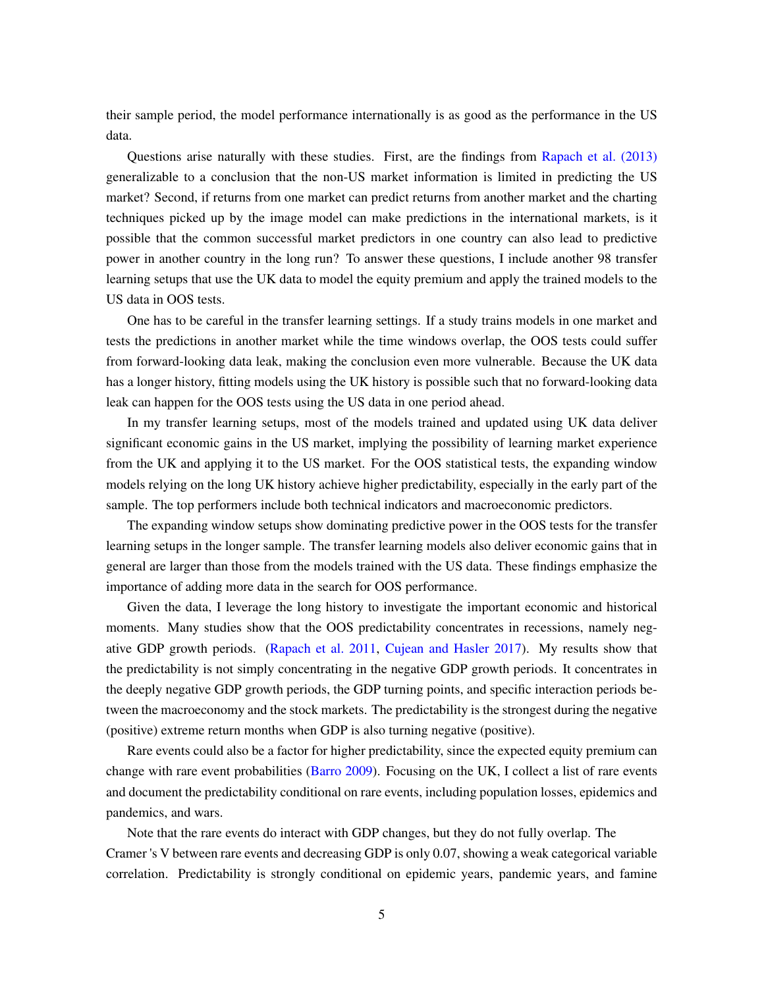their sample period, the model performance internationally is as good as the performance in the US data.

Questions arise naturally with these studies. First, are the findings from [Rapach et al. \(2013\)](#page-34-3) generalizable to a conclusion that the non-US market information is limited in predicting the US market? Second, if returns from one market can predict returns from another market and the charting techniques picked up by the image model can make predictions in the international markets, is it possible that the common successful market predictors in one country can also lead to predictive power in another country in the long run? To answer these questions, I include another 98 transfer learning setups that use the UK data to model the equity premium and apply the trained models to the US data in OOS tests.

One has to be careful in the transfer learning settings. If a study trains models in one market and tests the predictions in another market while the time windows overlap, the OOS tests could suffer from forward-looking data leak, making the conclusion even more vulnerable. Because the UK data has a longer history, fitting models using the UK history is possible such that no forward-looking data leak can happen for the OOS tests using the US data in one period ahead.

In my transfer learning setups, most of the models trained and updated using UK data deliver significant economic gains in the US market, implying the possibility of learning market experience from the UK and applying it to the US market. For the OOS statistical tests, the expanding window models relying on the long UK history achieve higher predictability, especially in the early part of the sample. The top performers include both technical indicators and macroeconomic predictors.

The expanding window setups show dominating predictive power in the OOS tests for the transfer learning setups in the longer sample. The transfer learning models also deliver economic gains that in general are larger than those from the models trained with the US data. These findings emphasize the importance of adding more data in the search for OOS performance.

Given the data, I leverage the long history to investigate the important economic and historical moments. Many studies show that the OOS predictability concentrates in recessions, namely negative GDP growth periods. [\(Rapach et al. 2011,](#page-34-0) [Cujean and Hasler 2017\)](#page-32-4). My results show that the predictability is not simply concentrating in the negative GDP growth periods. It concentrates in the deeply negative GDP growth periods, the GDP turning points, and specific interaction periods between the macroeconomy and the stock markets. The predictability is the strongest during the negative (positive) extreme return months when GDP is also turning negative (positive).

Rare events could also be a factor for higher predictability, since the expected equity premium can change with rare event probabilities [\(Barro 2009\)](#page-31-3). Focusing on the UK, I collect a list of rare events and document the predictability conditional on rare events, including population losses, epidemics and pandemics, and wars.

Note that the rare events do interact with GDP changes, but they do not fully overlap. The Cramer 's V between rare events and decreasing GDP is only 0.07, showing a weak categorical variable correlation. Predictability is strongly conditional on epidemic years, pandemic years, and famine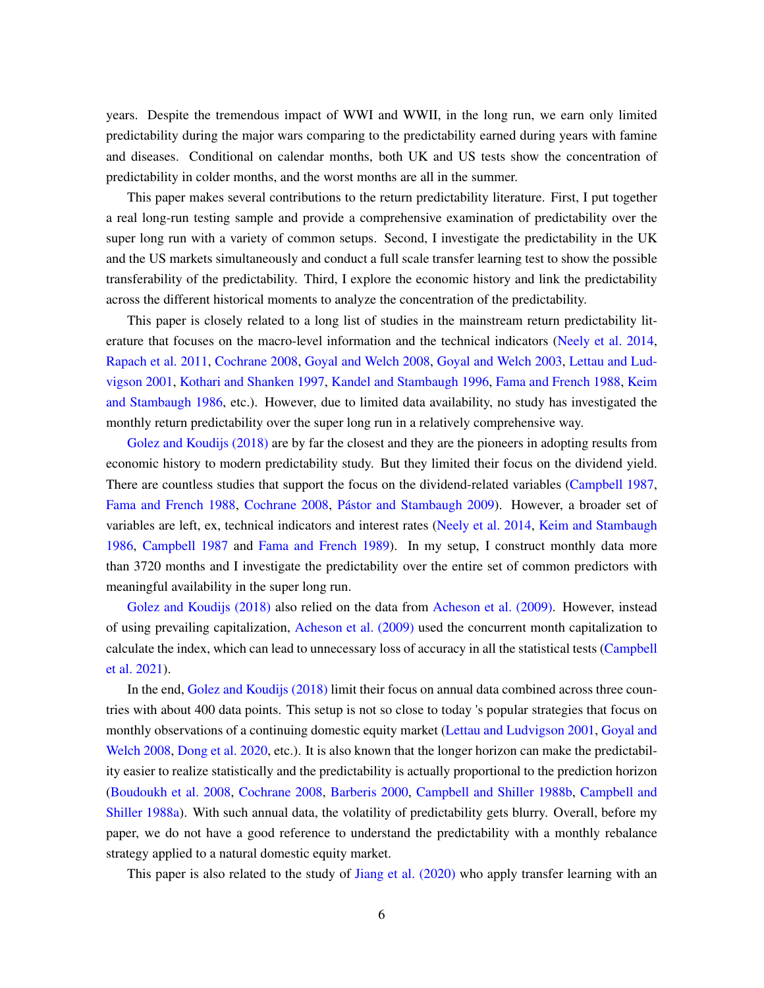years. Despite the tremendous impact of WWI and WWII, in the long run, we earn only limited predictability during the major wars comparing to the predictability earned during years with famine and diseases. Conditional on calendar months, both UK and US tests show the concentration of predictability in colder months, and the worst months are all in the summer.

This paper makes several contributions to the return predictability literature. First, I put together a real long-run testing sample and provide a comprehensive examination of predictability over the super long run with a variety of common setups. Second, I investigate the predictability in the UK and the US markets simultaneously and conduct a full scale transfer learning test to show the possible transferability of the predictability. Third, I explore the economic history and link the predictability across the different historical moments to analyze the concentration of the predictability.

This paper is closely related to a long list of studies in the mainstream return predictability literature that focuses on the macro-level information and the technical indicators [\(Neely et al. 2014,](#page-33-1) [Rapach et al. 2011,](#page-34-0) [Cochrane 2008,](#page-32-5) [Goyal and Welch 2008,](#page-32-0) [Goyal and Welch 2003,](#page-32-6) [Lettau and Lud](#page-33-4)[vigson 2001,](#page-33-4) [Kothari and Shanken 1997,](#page-33-5) [Kandel and Stambaugh 1996,](#page-33-6) [Fama and French 1988,](#page-32-7) [Keim](#page-33-7) [and Stambaugh 1986,](#page-33-7) etc.). However, due to limited data availability, no study has investigated the monthly return predictability over the super long run in a relatively comprehensive way.

[Golez and Koudijs \(2018\)](#page-32-3) are by far the closest and they are the pioneers in adopting results from economic history to modern predictability study. But they limited their focus on the dividend yield. There are countless studies that support the focus on the dividend-related variables [\(Campbell 1987,](#page-31-4) [Fama and French 1988,](#page-32-7) [Cochrane 2008,](#page-32-5) [Pástor and Stambaugh 2009\)](#page-33-8). However, a broader set of variables are left, ex, technical indicators and interest rates [\(Neely et al. 2014,](#page-33-1) [Keim and Stambaugh](#page-33-7) [1986,](#page-33-7) [Campbell 1987](#page-31-4) and [Fama and French 1989\)](#page-32-8). In my setup, I construct monthly data more than 3720 months and I investigate the predictability over the entire set of common predictors with meaningful availability in the super long run.

[Golez and Koudijs \(2018\)](#page-32-3) also relied on the data from [Acheson et al. \(2009\).](#page-31-1) However, instead of using prevailing capitalization, [Acheson et al. \(2009\)](#page-31-1) used the concurrent month capitalization to calculate the index, which can lead to unnecessary loss of accuracy in all the statistical tests [\(Campbell](#page-31-2) [et al. 2021\)](#page-31-2).

In the end, [Golez and Koudijs \(2018\)](#page-32-3) limit their focus on annual data combined across three countries with about 400 data points. This setup is not so close to today 's popular strategies that focus on monthly observations of a continuing domestic equity market [\(Lettau and Ludvigson 2001,](#page-33-4) [Goyal and](#page-32-0) [Welch 2008,](#page-32-0) [Dong et al. 2020,](#page-32-9) etc.). It is also known that the longer horizon can make the predictability easier to realize statistically and the predictability is actually proportional to the prediction horizon [\(Boudoukh et al. 2008,](#page-31-5) [Cochrane 2008,](#page-32-5) [Barberis 2000,](#page-31-6) [Campbell and Shiller 1988b,](#page-31-7) [Campbell and](#page-31-8) [Shiller 1988a\)](#page-31-8). With such annual data, the volatility of predictability gets blurry. Overall, before my paper, we do not have a good reference to understand the predictability with a monthly rebalance strategy applied to a natural domestic equity market.

This paper is also related to the study of [Jiang et al. \(2020\)](#page-33-3) who apply transfer learning with an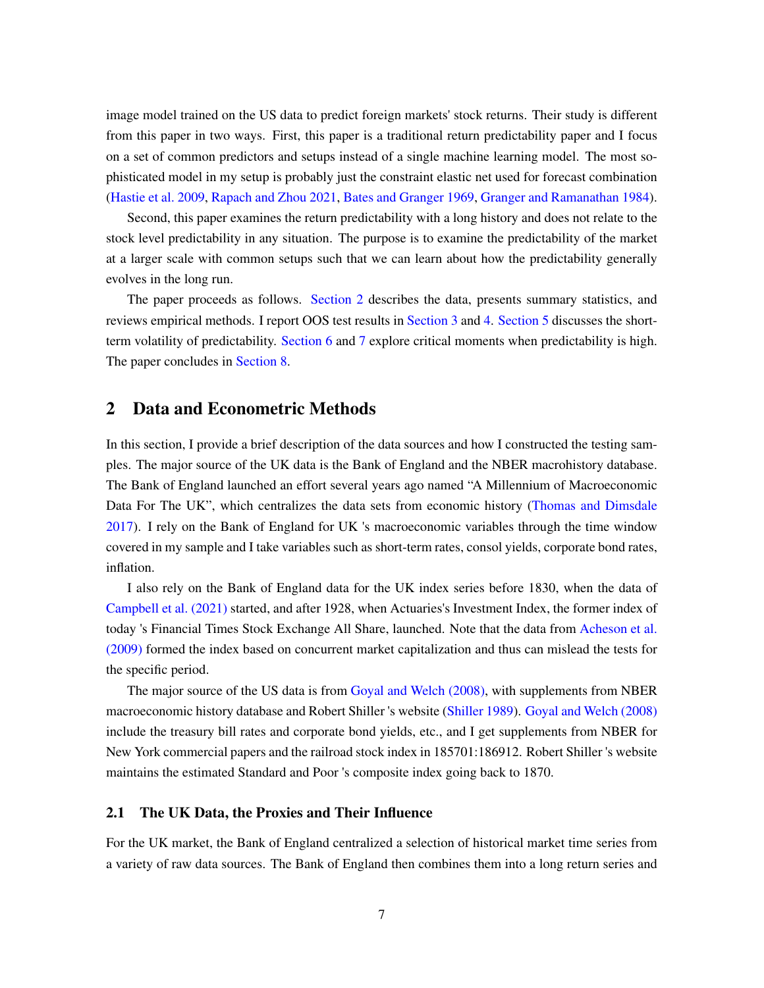image model trained on the US data to predict foreign markets' stock returns. Their study is different from this paper in two ways. First, this paper is a traditional return predictability paper and I focus on a set of common predictors and setups instead of a single machine learning model. The most sophisticated model in my setup is probably just the constraint elastic net used for forecast combination [\(Hastie et al. 2009,](#page-32-10) [Rapach and Zhou 2021,](#page-33-0) [Bates and Granger 1969,](#page-31-9) [Granger and Ramanathan 1984\)](#page-32-11).

Second, this paper examines the return predictability with a long history and does not relate to the stock level predictability in any situation. The purpose is to examine the predictability of the market at a larger scale with common setups such that we can learn about how the predictability generally evolves in the long run.

The paper proceeds as follows. [Section 2](#page-6-0) describes the data, presents summary statistics, and reviews empirical methods. I report OOS test results in [Section 3](#page-16-0) and [4.](#page-22-0) [Section 5](#page-25-0) discusses the shortterm volatility of predictability. [Section 6](#page-26-0) and [7](#page-27-0) explore critical moments when predictability is high. The paper concludes in [Section 8.](#page-29-0)

### <span id="page-6-0"></span>2 Data and Econometric Methods

In this section, I provide a brief description of the data sources and how I constructed the testing samples. The major source of the UK data is the Bank of England and the NBER macrohistory database. The Bank of England launched an effort several years ago named "A Millennium of Macroeconomic Data For The UK", which centralizes the data sets from economic history [\(Thomas and Dimsdale](#page-34-4) [2017\)](#page-34-4). I rely on the Bank of England for UK 's macroeconomic variables through the time window covered in my sample and I take variables such as short-term rates, consol yields, corporate bond rates, inflation.

I also rely on the Bank of England data for the UK index series before 1830, when the data of [Campbell et al. \(2021\)](#page-31-2) started, and after 1928, when Actuaries's Investment Index, the former index of today 's Financial Times Stock Exchange All Share, launched. Note that the data from [Acheson et al.](#page-31-1) [\(2009\)](#page-31-1) formed the index based on concurrent market capitalization and thus can mislead the tests for the specific period.

The major source of the US data is from [Goyal and Welch \(2008\),](#page-32-0) with supplements from NBER macroeconomic history database and Robert Shiller 's website [\(Shiller 1989\)](#page-34-5). [Goyal and Welch \(2008\)](#page-32-0) include the treasury bill rates and corporate bond yields, etc., and I get supplements from NBER for New York commercial papers and the railroad stock index in 185701:186912. Robert Shiller 's website maintains the estimated Standard and Poor 's composite index going back to 1870.

#### 2.1 The UK Data, the Proxies and Their Influence

For the UK market, the Bank of England centralized a selection of historical market time series from a variety of raw data sources. The Bank of England then combines them into a long return series and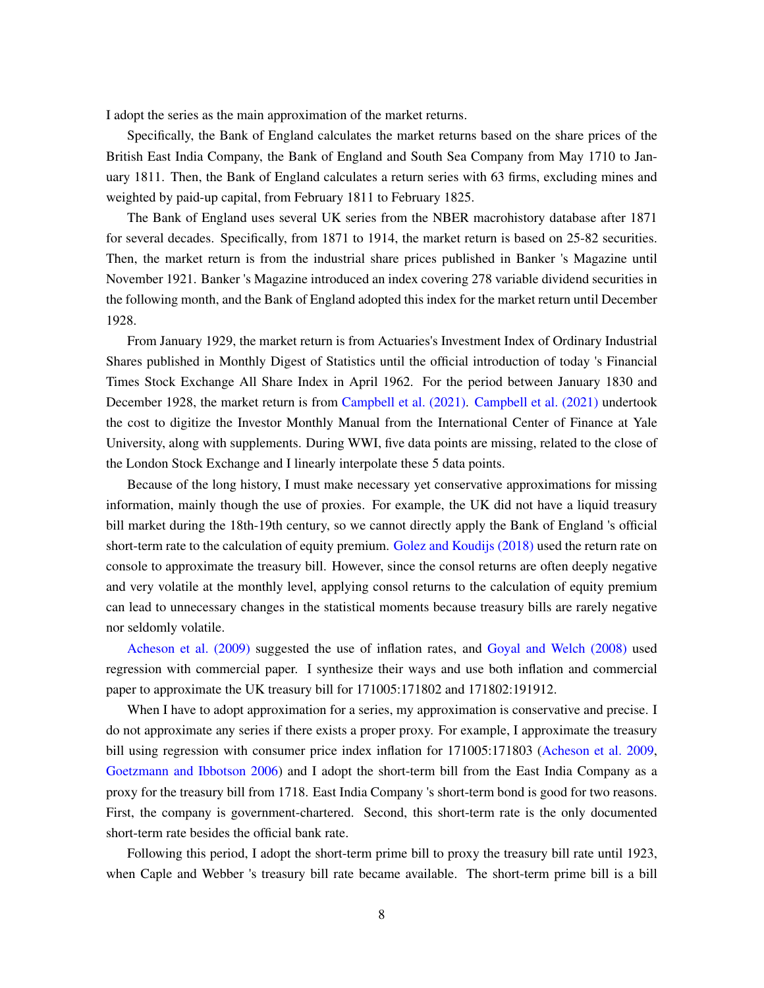I adopt the series as the main approximation of the market returns.

Specifically, the Bank of England calculates the market returns based on the share prices of the British East India Company, the Bank of England and South Sea Company from May 1710 to January 1811. Then, the Bank of England calculates a return series with 63 firms, excluding mines and weighted by paid-up capital, from February 1811 to February 1825.

The Bank of England uses several UK series from the NBER macrohistory database after 1871 for several decades. Specifically, from 1871 to 1914, the market return is based on 25-82 securities. Then, the market return is from the industrial share prices published in Banker 's Magazine until November 1921. Banker 's Magazine introduced an index covering 278 variable dividend securities in the following month, and the Bank of England adopted this index for the market return until December 1928.

From January 1929, the market return is from Actuaries's Investment Index of Ordinary Industrial Shares published in Monthly Digest of Statistics until the official introduction of today 's Financial Times Stock Exchange All Share Index in April 1962. For the period between January 1830 and December 1928, the market return is from [Campbell et al. \(2021\).](#page-31-2) [Campbell et al. \(2021\)](#page-31-2) undertook the cost to digitize the Investor Monthly Manual from the International Center of Finance at Yale University, along with supplements. During WWI, five data points are missing, related to the close of the London Stock Exchange and I linearly interpolate these 5 data points.

Because of the long history, I must make necessary yet conservative approximations for missing information, mainly though the use of proxies. For example, the UK did not have a liquid treasury bill market during the 18th-19th century, so we cannot directly apply the Bank of England 's official short-term rate to the calculation of equity premium. [Golez and Koudijs \(2018\)](#page-32-3) used the return rate on console to approximate the treasury bill. However, since the consol returns are often deeply negative and very volatile at the monthly level, applying consol returns to the calculation of equity premium can lead to unnecessary changes in the statistical moments because treasury bills are rarely negative nor seldomly volatile.

[Acheson et al. \(2009\)](#page-31-1) suggested the use of inflation rates, and [Goyal and Welch \(2008\)](#page-32-0) used regression with commercial paper. I synthesize their ways and use both inflation and commercial paper to approximate the UK treasury bill for 171005:171802 and 171802:191912.

When I have to adopt approximation for a series, my approximation is conservative and precise. I do not approximate any series if there exists a proper proxy. For example, I approximate the treasury bill using regression with consumer price index inflation for 171005:171803 [\(Acheson et al. 2009,](#page-31-1) [Goetzmann and Ibbotson 2006\)](#page-32-12) and I adopt the short-term bill from the East India Company as a proxy for the treasury bill from 1718. East India Company 's short-term bond is good for two reasons. First, the company is government-chartered. Second, this short-term rate is the only documented short-term rate besides the official bank rate.

Following this period, I adopt the short-term prime bill to proxy the treasury bill rate until 1923, when Caple and Webber 's treasury bill rate became available. The short-term prime bill is a bill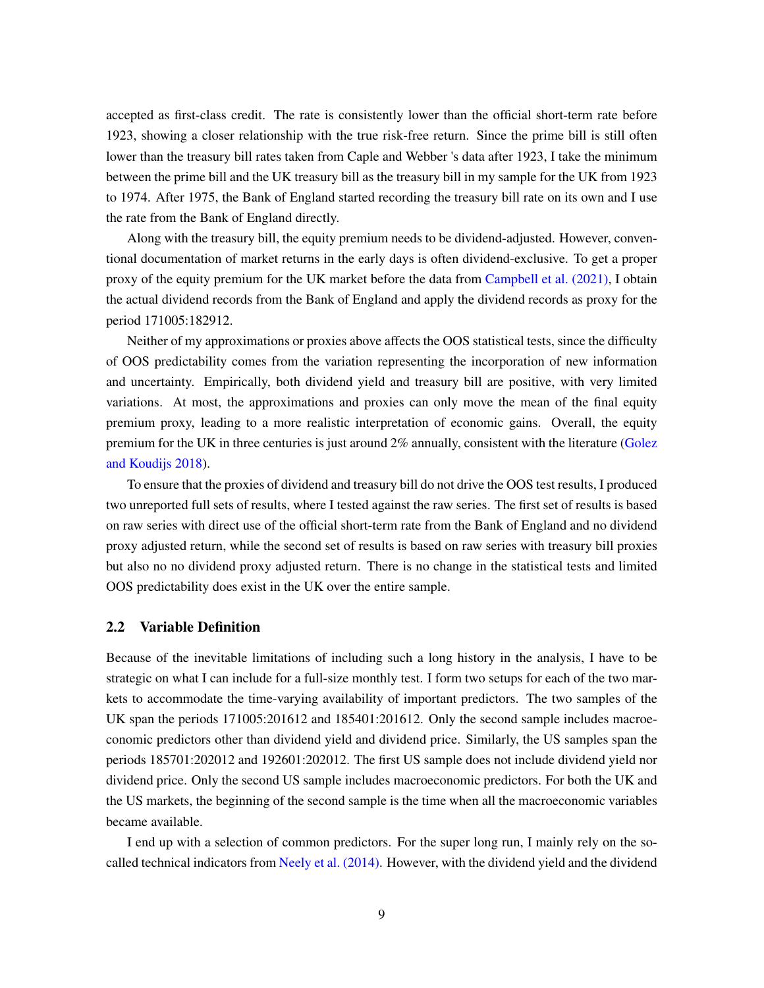accepted as first-class credit. The rate is consistently lower than the official short-term rate before 1923, showing a closer relationship with the true risk-free return. Since the prime bill is still often lower than the treasury bill rates taken from Caple and Webber 's data after 1923, I take the minimum between the prime bill and the UK treasury bill as the treasury bill in my sample for the UK from 1923 to 1974. After 1975, the Bank of England started recording the treasury bill rate on its own and I use the rate from the Bank of England directly.

Along with the treasury bill, the equity premium needs to be dividend-adjusted. However, conventional documentation of market returns in the early days is often dividend-exclusive. To get a proper proxy of the equity premium for the UK market before the data from [Campbell et al. \(2021\),](#page-31-2) I obtain the actual dividend records from the Bank of England and apply the dividend records as proxy for the period 171005:182912.

Neither of my approximations or proxies above affects the OOS statistical tests, since the difficulty of OOS predictability comes from the variation representing the incorporation of new information and uncertainty. Empirically, both dividend yield and treasury bill are positive, with very limited variations. At most, the approximations and proxies can only move the mean of the final equity premium proxy, leading to a more realistic interpretation of economic gains. Overall, the equity premium for the UK in three centuries is just around 2% annually, consistent with the literature [\(Golez](#page-32-3) [and Koudijs 2018\)](#page-32-3).

To ensure that the proxies of dividend and treasury bill do not drive the OOS test results, I produced two unreported full sets of results, where I tested against the raw series. The first set of results is based on raw series with direct use of the official short-term rate from the Bank of England and no dividend proxy adjusted return, while the second set of results is based on raw series with treasury bill proxies but also no no dividend proxy adjusted return. There is no change in the statistical tests and limited OOS predictability does exist in the UK over the entire sample.

#### 2.2 Variable Definition

Because of the inevitable limitations of including such a long history in the analysis, I have to be strategic on what I can include for a full-size monthly test. I form two setups for each of the two markets to accommodate the time-varying availability of important predictors. The two samples of the UK span the periods 171005:201612 and 185401:201612. Only the second sample includes macroeconomic predictors other than dividend yield and dividend price. Similarly, the US samples span the periods 185701:202012 and 192601:202012. The first US sample does not include dividend yield nor dividend price. Only the second US sample includes macroeconomic predictors. For both the UK and the US markets, the beginning of the second sample is the time when all the macroeconomic variables became available.

I end up with a selection of common predictors. For the super long run, I mainly rely on the socalled technical indicators from [Neely et al. \(2014\).](#page-33-1) However, with the dividend yield and the dividend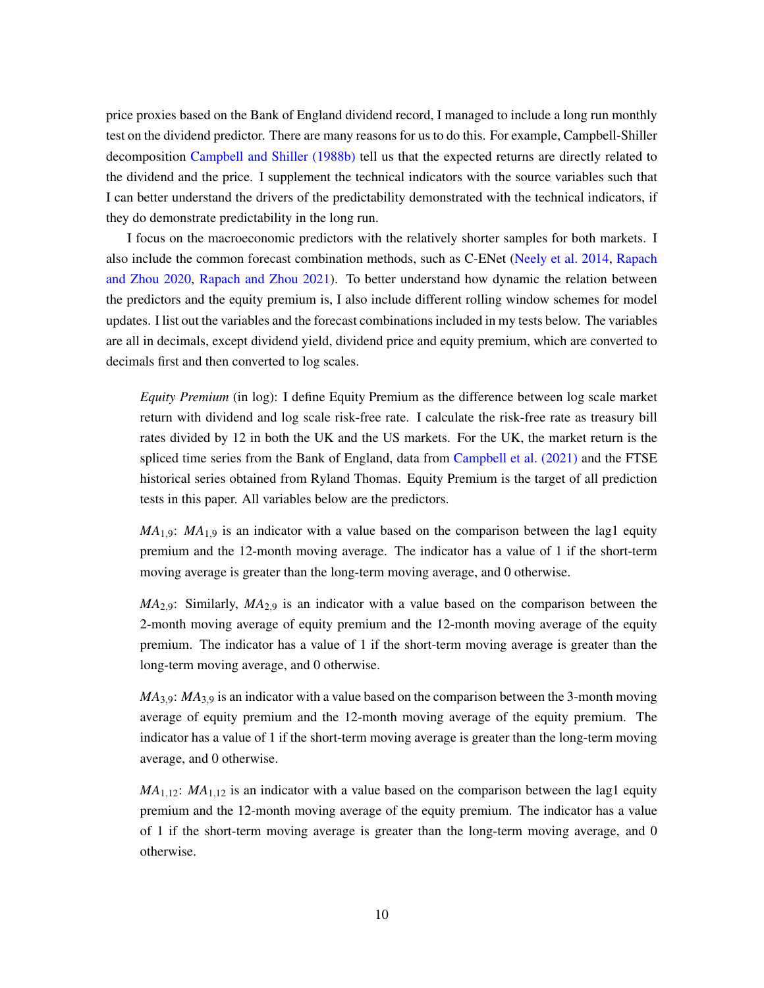price proxies based on the Bank of England dividend record, I managed to include a long run monthly test on the dividend predictor. There are many reasons for us to do this. For example, Campbell-Shiller decomposition [Campbell and Shiller \(1988b\)](#page-31-7) tell us that the expected returns are directly related to the dividend and the price. I supplement the technical indicators with the source variables such that I can better understand the drivers of the predictability demonstrated with the technical indicators, if they do demonstrate predictability in the long run.

I focus on the macroeconomic predictors with the relatively shorter samples for both markets. I also include the common forecast combination methods, such as C-ENet [\(Neely et al. 2014,](#page-33-1) [Rapach](#page-33-9) [and Zhou 2020,](#page-33-9) [Rapach and Zhou 2021\)](#page-33-0). To better understand how dynamic the relation between the predictors and the equity premium is, I also include different rolling window schemes for model updates. I list out the variables and the forecast combinations included in my tests below. The variables are all in decimals, except dividend yield, dividend price and equity premium, which are converted to decimals first and then converted to log scales.

*Equity Premium* (in log): I define Equity Premium as the difference between log scale market return with dividend and log scale risk-free rate. I calculate the risk-free rate as treasury bill rates divided by 12 in both the UK and the US markets. For the UK, the market return is the spliced time series from the Bank of England, data from [Campbell et al. \(2021\)](#page-31-2) and the FTSE historical series obtained from Ryland Thomas. Equity Premium is the target of all prediction tests in this paper. All variables below are the predictors.

 $MA<sub>1.9</sub>$ :  $MA<sub>1.9</sub>$  is an indicator with a value based on the comparison between the lag1 equity premium and the 12-month moving average. The indicator has a value of 1 if the short-term moving average is greater than the long-term moving average, and 0 otherwise.

*MA*2,9: Similarly, *MA*2,<sup>9</sup> is an indicator with a value based on the comparison between the 2-month moving average of equity premium and the 12-month moving average of the equity premium. The indicator has a value of 1 if the short-term moving average is greater than the long-term moving average, and 0 otherwise.

*MA*<sub>3,9</sub>: *MA*<sub>3,9</sub> is an indicator with a value based on the comparison between the 3-month moving average of equity premium and the 12-month moving average of the equity premium. The indicator has a value of 1 if the short-term moving average is greater than the long-term moving average, and 0 otherwise.

 $MA<sub>1,12</sub>$ :  $MA<sub>1,12</sub>$  is an indicator with a value based on the comparison between the lag1 equity premium and the 12-month moving average of the equity premium. The indicator has a value of 1 if the short-term moving average is greater than the long-term moving average, and 0 otherwise.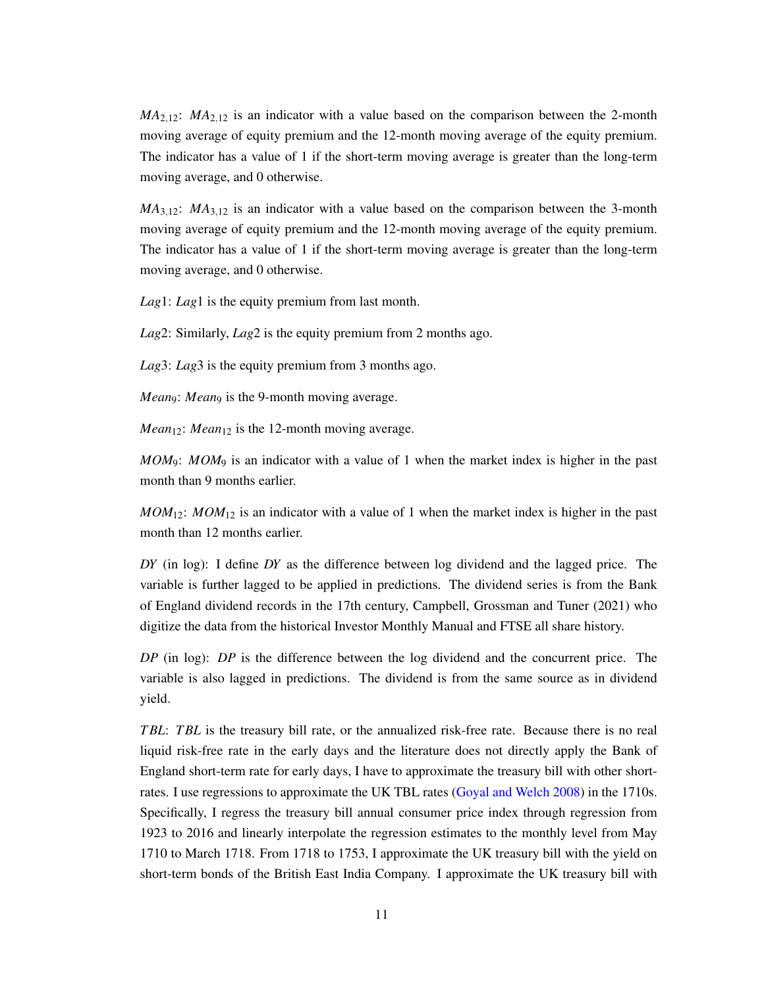*MA*2,12: *MA*2,<sup>12</sup> is an indicator with a value based on the comparison between the 2-month moving average of equity premium and the 12-month moving average of the equity premium. The indicator has a value of 1 if the short-term moving average is greater than the long-term moving average, and 0 otherwise.

 $MA<sub>3,12</sub>$ :  $MA<sub>3,12</sub>$  is an indicator with a value based on the comparison between the 3-month moving average of equity premium and the 12-month moving average of the equity premium. The indicator has a value of 1 if the short-term moving average is greater than the long-term moving average, and 0 otherwise.

*Lag*1: *Lag*1 is the equity premium from last month.

*Lag*2: Similarly, *Lag*2 is the equity premium from 2 months ago.

*Lag*3: *Lag*3 is the equity premium from 3 months ago.

*Mean*9: *Mean*9 is the 9-month moving average.

*Mean*<sub>12</sub>: *Mean*<sub>12</sub> is the 12-month moving average.

*MOM*9: *MOM*<sup>9</sup> is an indicator with a value of 1 when the market index is higher in the past month than 9 months earlier.

 $MOM_{12}$ :  $MOM_{12}$  is an indicator with a value of 1 when the market index is higher in the past month than 12 months earlier.

*DY* (in log): I define *DY* as the difference between log dividend and the lagged price. The variable is further lagged to be applied in predictions. The dividend series is from the Bank of England dividend records in the 17th century, Campbell, Grossman and Tuner (2021) who digitize the data from the historical Investor Monthly Manual and FTSE all share history.

*DP* (in log): *DP* is the difference between the log dividend and the concurrent price. The variable is also lagged in predictions. The dividend is from the same source as in dividend yield.

*T BL*: *T BL* is the treasury bill rate, or the annualized risk-free rate. Because there is no real liquid risk-free rate in the early days and the literature does not directly apply the Bank of England short-term rate for early days, I have to approximate the treasury bill with other shortrates. I use regressions to approximate the UK TBL rates [\(Goyal and Welch 2008\)](#page-32-0) in the 1710s. Specifically, I regress the treasury bill annual consumer price index through regression from 1923 to 2016 and linearly interpolate the regression estimates to the monthly level from May 1710 to March 1718. From 1718 to 1753, I approximate the UK treasury bill with the yield on short-term bonds of the British East India Company. I approximate the UK treasury bill with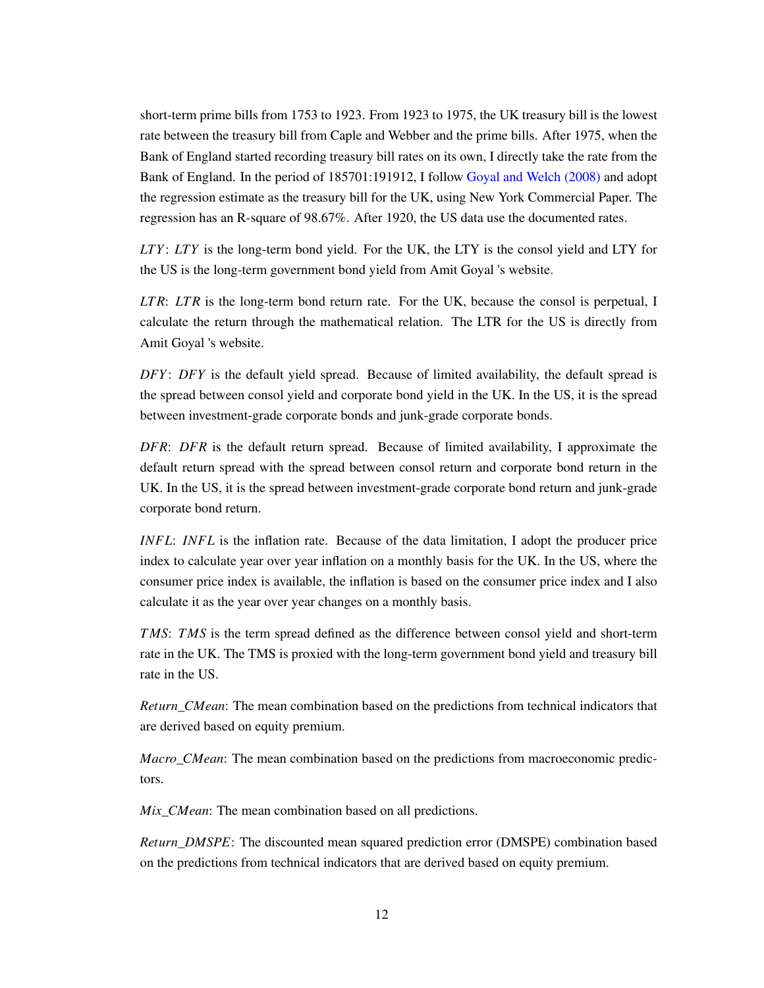short-term prime bills from 1753 to 1923. From 1923 to 1975, the UK treasury bill is the lowest rate between the treasury bill from Caple and Webber and the prime bills. After 1975, when the Bank of England started recording treasury bill rates on its own, I directly take the rate from the Bank of England. In the period of 185701:191912, I follow [Goyal and Welch \(2008\)](#page-32-0) and adopt the regression estimate as the treasury bill for the UK, using New York Commercial Paper. The regression has an R-square of 98.67%. After 1920, the US data use the documented rates.

*LTY*: *LTY* is the long-term bond yield. For the UK, the LTY is the consol yield and LTY for the US is the long-term government bond yield from Amit Goyal 's website.

*LT R*: *LT R* is the long-term bond return rate. For the UK, because the consol is perpetual, I calculate the return through the mathematical relation. The LTR for the US is directly from Amit Goyal 's website.

*DFY*: *DFY* is the default yield spread. Because of limited availability, the default spread is the spread between consol yield and corporate bond yield in the UK. In the US, it is the spread between investment-grade corporate bonds and junk-grade corporate bonds.

*DFR*: *DFR* is the default return spread. Because of limited availability, I approximate the default return spread with the spread between consol return and corporate bond return in the UK. In the US, it is the spread between investment-grade corporate bond return and junk-grade corporate bond return.

*INFL*: *INFL* is the inflation rate. Because of the data limitation, I adopt the producer price index to calculate year over year inflation on a monthly basis for the UK. In the US, where the consumer price index is available, the inflation is based on the consumer price index and I also calculate it as the year over year changes on a monthly basis.

*TMS*: *TMS* is the term spread defined as the difference between consol yield and short-term rate in the UK. The TMS is proxied with the long-term government bond yield and treasury bill rate in the US.

*Return*\_*CMean*: The mean combination based on the predictions from technical indicators that are derived based on equity premium.

*Macro*\_*CMean*: The mean combination based on the predictions from macroeconomic predictors.

*Mix*\_*CMean*: The mean combination based on all predictions.

*Return*\_*DMSPE*: The discounted mean squared prediction error (DMSPE) combination based on the predictions from technical indicators that are derived based on equity premium.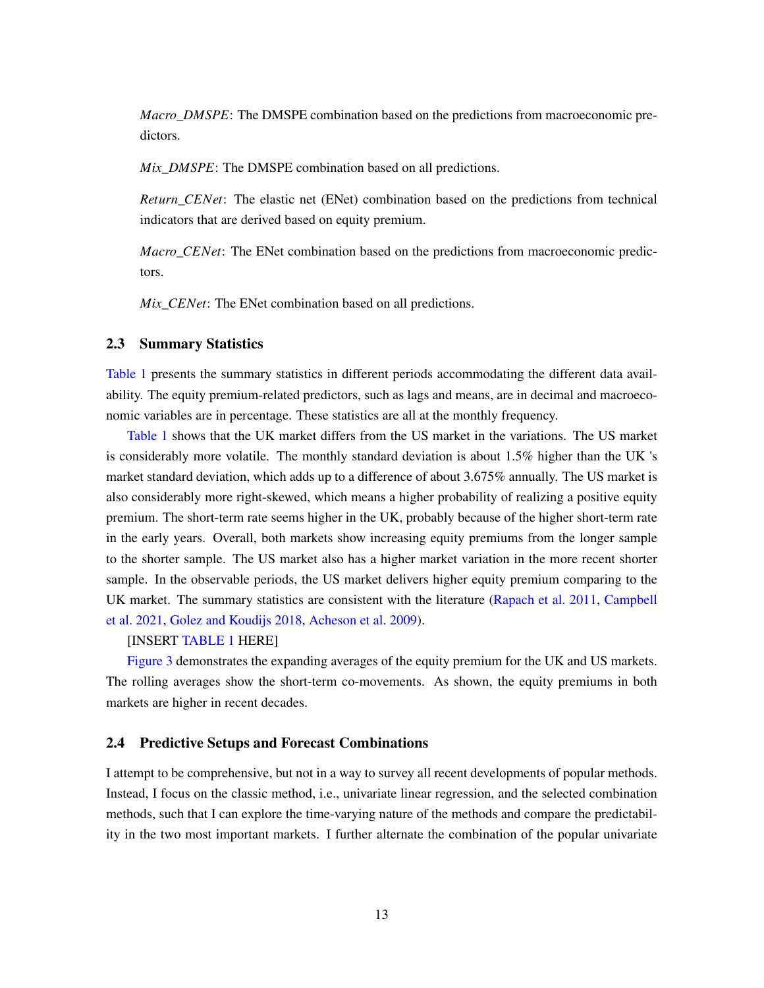*Macro*\_*DMSPE*: The DMSPE combination based on the predictions from macroeconomic predictors.

*Mix*\_*DMSPE*: The DMSPE combination based on all predictions.

*Return*\_*CENet*: The elastic net (ENet) combination based on the predictions from technical indicators that are derived based on equity premium.

*Macro*\_*CENet*: The ENet combination based on the predictions from macroeconomic predictors.

*Mix CENet*: The ENet combination based on all predictions.

#### 2.3 Summary Statistics

[Table 1](#page-35-0) presents the summary statistics in different periods accommodating the different data availability. The equity premium-related predictors, such as lags and means, are in decimal and macroeconomic variables are in percentage. These statistics are all at the monthly frequency.

[Table 1](#page-35-0) shows that the UK market differs from the US market in the variations. The US market is considerably more volatile. The monthly standard deviation is about 1.5% higher than the UK 's market standard deviation, which adds up to a difference of about 3.675% annually. The US market is also considerably more right-skewed, which means a higher probability of realizing a positive equity premium. The short-term rate seems higher in the UK, probably because of the higher short-term rate in the early years. Overall, both markets show increasing equity premiums from the longer sample to the shorter sample. The US market also has a higher market variation in the more recent shorter sample. In the observable periods, the US market delivers higher equity premium comparing to the UK market. The summary statistics are consistent with the literature [\(Rapach et al. 2011,](#page-34-0) [Campbell](#page-31-2) [et al. 2021,](#page-31-2) [Golez and Koudijs 2018,](#page-32-3) [Acheson et al. 2009\)](#page-31-1).

#### [INSERT [TABLE 1](#page-35-0) HERE]

[Figure 3](#page-13-0) demonstrates the expanding averages of the equity premium for the UK and US markets. The rolling averages show the short-term co-movements. As shown, the equity premiums in both markets are higher in recent decades.

#### 2.4 Predictive Setups and Forecast Combinations

I attempt to be comprehensive, but not in a way to survey all recent developments of popular methods. Instead, I focus on the classic method, i.e., univariate linear regression, and the selected combination methods, such that I can explore the time-varying nature of the methods and compare the predictability in the two most important markets. I further alternate the combination of the popular univariate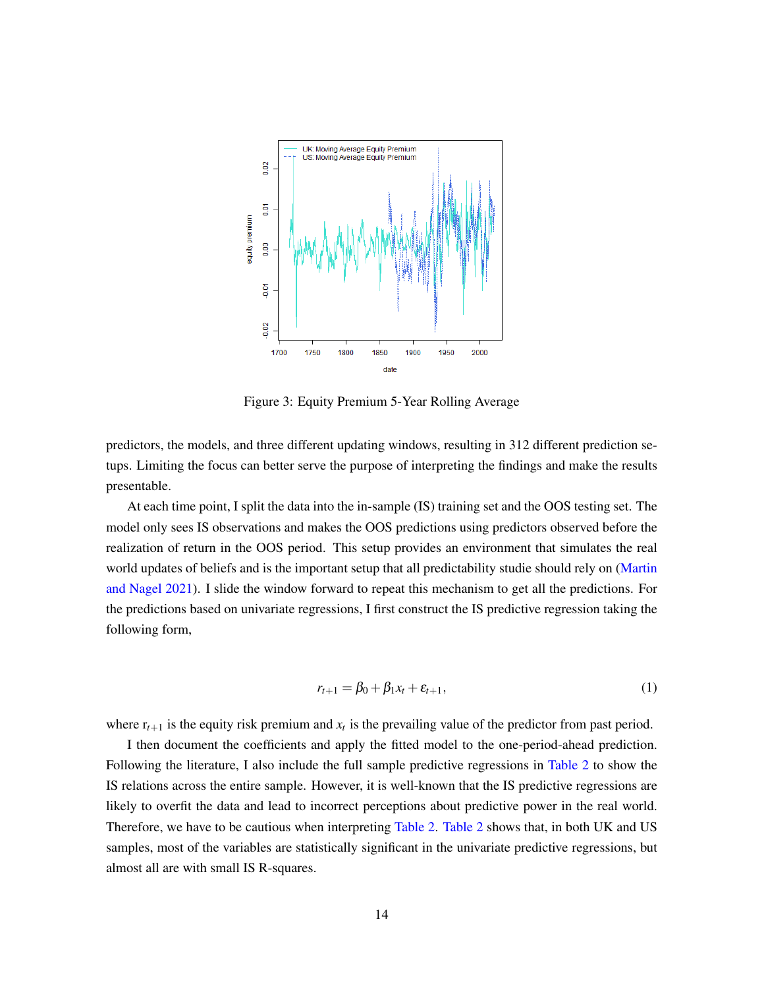<span id="page-13-0"></span>

Figure 3: Equity Premium 5-Year Rolling Average

predictors, the models, and three different updating windows, resulting in 312 different prediction setups. Limiting the focus can better serve the purpose of interpreting the findings and make the results presentable.

At each time point, I split the data into the in-sample (IS) training set and the OOS testing set. The model only sees IS observations and makes the OOS predictions using predictors observed before the realization of return in the OOS period. This setup provides an environment that simulates the real world updates of beliefs and is the important setup that all predictability studie should rely on [\(Martin](#page-33-10) [and Nagel 2021\)](#page-33-10). I slide the window forward to repeat this mechanism to get all the predictions. For the predictions based on univariate regressions, I first construct the IS predictive regression taking the following form,

$$
r_{t+1} = \beta_0 + \beta_1 x_t + \varepsilon_{t+1},
$$
 (1)

where  $r_{t+1}$  is the equity risk premium and  $x_t$  is the prevailing value of the predictor from past period.

I then document the coefficients and apply the fitted model to the one-period-ahead prediction. Following the literature, I also include the full sample predictive regressions in [Table 2](#page-39-0) to show the IS relations across the entire sample. However, it is well-known that the IS predictive regressions are likely to overfit the data and lead to incorrect perceptions about predictive power in the real world. Therefore, we have to be cautious when interpreting [Table 2.](#page-39-0) [Table 2](#page-39-0) shows that, in both UK and US samples, most of the variables are statistically significant in the univariate predictive regressions, but almost all are with small IS R-squares.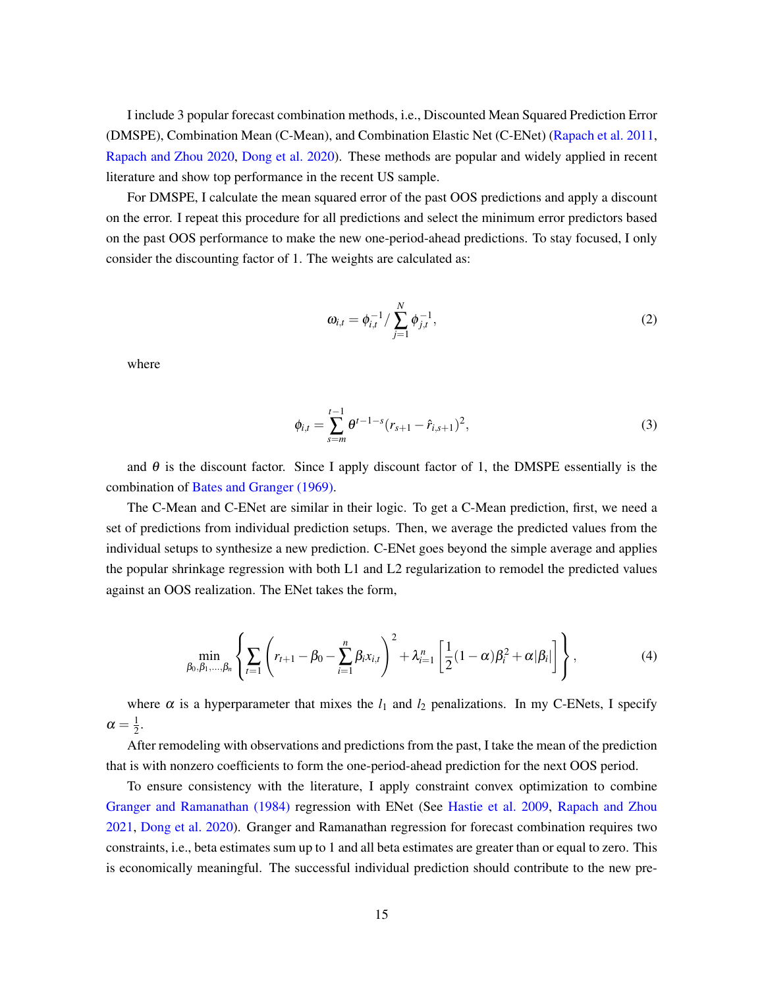I include 3 popular forecast combination methods, i.e., Discounted Mean Squared Prediction Error (DMSPE), Combination Mean (C-Mean), and Combination Elastic Net (C-ENet) [\(Rapach et al. 2011,](#page-34-0) [Rapach and Zhou 2020,](#page-33-9) [Dong et al. 2020\)](#page-32-9). These methods are popular and widely applied in recent literature and show top performance in the recent US sample.

For DMSPE, I calculate the mean squared error of the past OOS predictions and apply a discount on the error. I repeat this procedure for all predictions and select the minimum error predictors based on the past OOS performance to make the new one-period-ahead predictions. To stay focused, I only consider the discounting factor of 1. The weights are calculated as:

$$
\omega_{i,t} = \phi_{i,t}^{-1} / \sum_{j=1}^{N} \phi_{j,t}^{-1},
$$
\n(2)

where

$$
\phi_{i,t} = \sum_{s=m}^{t-1} \theta^{t-1-s} (r_{s+1} - \hat{r}_{i,s+1})^2,
$$
\n(3)

and  $\theta$  is the discount factor. Since I apply discount factor of 1, the DMSPE essentially is the combination of [Bates and Granger \(1969\).](#page-31-9)

The C-Mean and C-ENet are similar in their logic. To get a C-Mean prediction, first, we need a set of predictions from individual prediction setups. Then, we average the predicted values from the individual setups to synthesize a new prediction. C-ENet goes beyond the simple average and applies the popular shrinkage regression with both L1 and L2 regularization to remodel the predicted values against an OOS realization. The ENet takes the form,

$$
\min_{\beta_0, \beta_1, ..., \beta_n} \left\{ \sum_{t=1} \left( r_{t+1} - \beta_0 - \sum_{i=1}^n \beta_i x_{i,t} \right)^2 + \lambda_{i=1}^n \left[ \frac{1}{2} (1 - \alpha) \beta_i^2 + \alpha |\beta_i| \right] \right\},
$$
(4)

where  $\alpha$  is a hyperparameter that mixes the  $l_1$  and  $l_2$  penalizations. In my C-ENets, I specify  $\alpha = \frac{1}{2}$  $rac{1}{2}$ .

After remodeling with observations and predictions from the past, I take the mean of the prediction that is with nonzero coefficients to form the one-period-ahead prediction for the next OOS period.

To ensure consistency with the literature, I apply constraint convex optimization to combine [Granger and Ramanathan \(1984\)](#page-32-11) regression with ENet (See [Hastie et al. 2009,](#page-32-10) [Rapach and Zhou](#page-33-0) [2021,](#page-33-0) [Dong et al. 2020\)](#page-32-9). Granger and Ramanathan regression for forecast combination requires two constraints, i.e., beta estimates sum up to 1 and all beta estimates are greater than or equal to zero. This is economically meaningful. The successful individual prediction should contribute to the new pre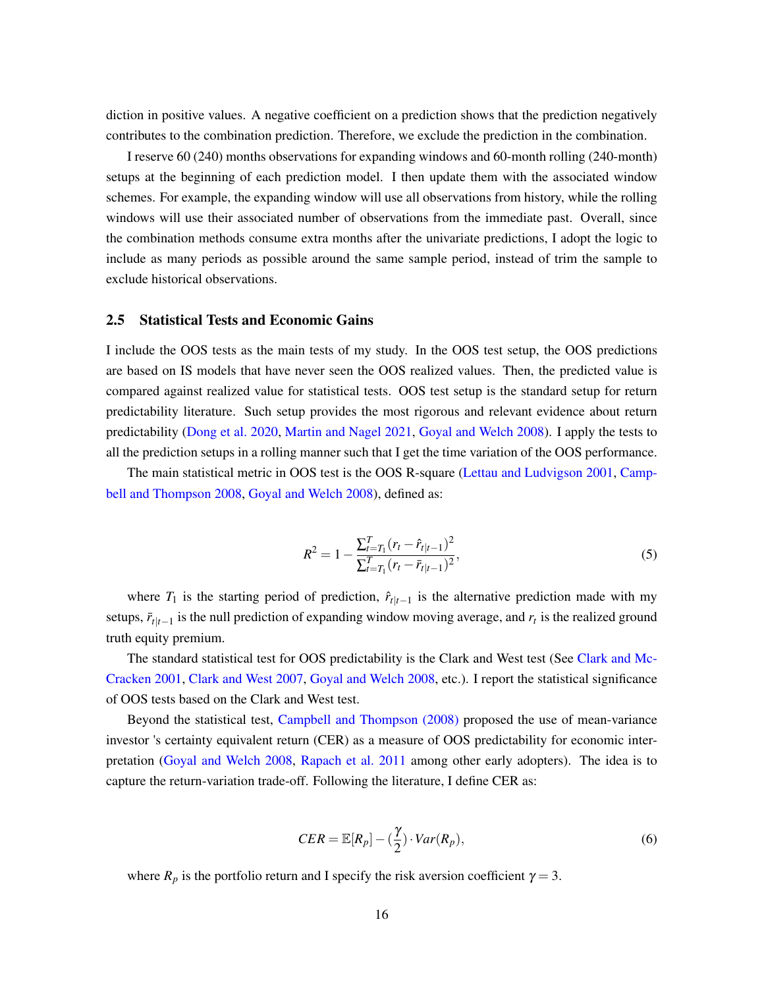diction in positive values. A negative coefficient on a prediction shows that the prediction negatively contributes to the combination prediction. Therefore, we exclude the prediction in the combination.

I reserve 60 (240) months observations for expanding windows and 60-month rolling (240-month) setups at the beginning of each prediction model. I then update them with the associated window schemes. For example, the expanding window will use all observations from history, while the rolling windows will use their associated number of observations from the immediate past. Overall, since the combination methods consume extra months after the univariate predictions, I adopt the logic to include as many periods as possible around the same sample period, instead of trim the sample to exclude historical observations.

#### 2.5 Statistical Tests and Economic Gains

I include the OOS tests as the main tests of my study. In the OOS test setup, the OOS predictions are based on IS models that have never seen the OOS realized values. Then, the predicted value is compared against realized value for statistical tests. OOS test setup is the standard setup for return predictability literature. Such setup provides the most rigorous and relevant evidence about return predictability [\(Dong et al. 2020,](#page-32-9) [Martin and Nagel 2021,](#page-33-10) [Goyal and Welch 2008\)](#page-32-0). I apply the tests to all the prediction setups in a rolling manner such that I get the time variation of the OOS performance.

The main statistical metric in OOS test is the OOS R-square [\(Lettau and Ludvigson 2001,](#page-33-4) [Camp](#page-31-0)[bell and Thompson 2008,](#page-31-0) [Goyal and Welch 2008\)](#page-32-0), defined as:

$$
R^{2} = 1 - \frac{\sum_{t=T_{1}}^{T} (r_{t} - \hat{r}_{t|t-1})^{2}}{\sum_{t=T_{1}}^{T} (r_{t} - \bar{r}_{t|t-1})^{2}},
$$
\n(5)

where  $T_1$  is the starting period of prediction,  $\hat{r}_{t|t-1}$  is the alternative prediction made with my setups,  $\bar{r}_{t|t-1}$  is the null prediction of expanding window moving average, and  $r_t$  is the realized ground truth equity premium.

The standard statistical test for OOS predictability is the Clark and West test (See [Clark and Mc-](#page-31-10)[Cracken 2001,](#page-31-10) [Clark and West 2007,](#page-31-11) [Goyal and Welch 2008,](#page-32-0) etc.). I report the statistical significance of OOS tests based on the Clark and West test.

Beyond the statistical test, [Campbell and Thompson \(2008\)](#page-31-0) proposed the use of mean-variance investor 's certainty equivalent return (CER) as a measure of OOS predictability for economic interpretation [\(Goyal and Welch 2008,](#page-32-0) [Rapach et al. 2011](#page-34-0) among other early adopters). The idea is to capture the return-variation trade-off. Following the literature, I define CER as:

$$
CER = \mathbb{E}[R_p] - \left(\frac{\gamma}{2}\right) \cdot Var(R_p),\tag{6}
$$

where  $R_p$  is the portfolio return and I specify the risk aversion coefficient  $\gamma = 3$ .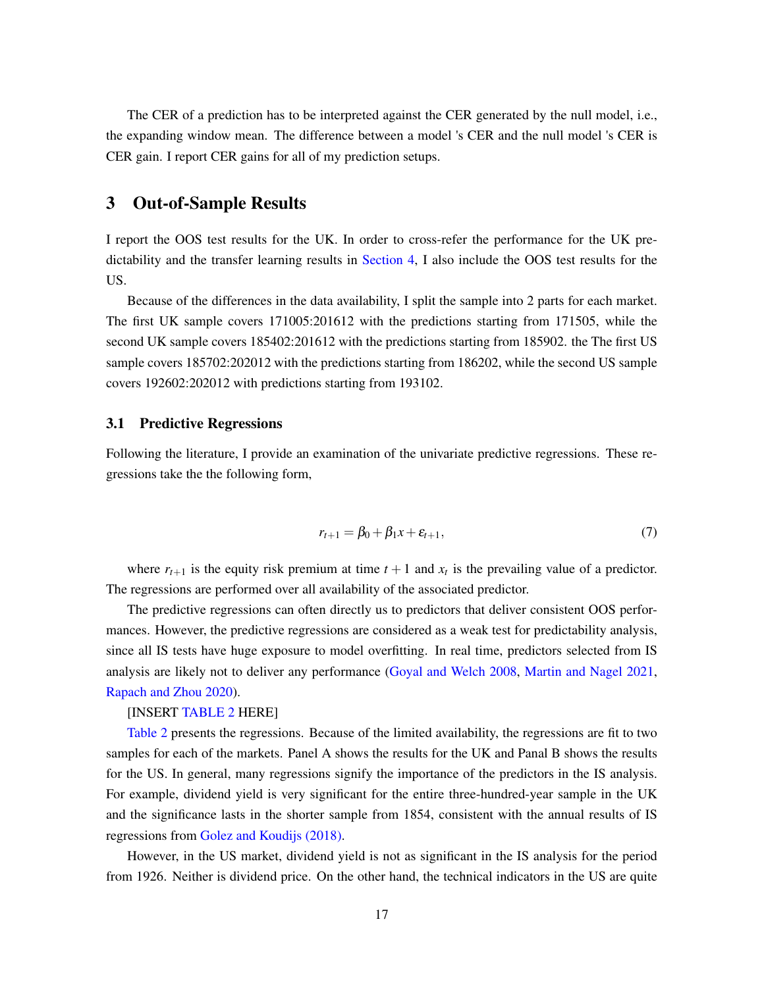The CER of a prediction has to be interpreted against the CER generated by the null model, i.e., the expanding window mean. The difference between a model 's CER and the null model 's CER is CER gain. I report CER gains for all of my prediction setups.

## <span id="page-16-0"></span>3 Out-of-Sample Results

I report the OOS test results for the UK. In order to cross-refer the performance for the UK predictability and the transfer learning results in [Section 4,](#page-22-0) I also include the OOS test results for the US.

Because of the differences in the data availability, I split the sample into 2 parts for each market. The first UK sample covers 171005:201612 with the predictions starting from 171505, while the second UK sample covers 185402:201612 with the predictions starting from 185902. the The first US sample covers 185702:202012 with the predictions starting from 186202, while the second US sample covers 192602:202012 with predictions starting from 193102.

#### 3.1 Predictive Regressions

Following the literature, I provide an examination of the univariate predictive regressions. These regressions take the the following form,

$$
r_{t+1} = \beta_0 + \beta_1 x + \varepsilon_{t+1},\tag{7}
$$

where  $r_{t+1}$  is the equity risk premium at time  $t+1$  and  $x_t$  is the prevailing value of a predictor. The regressions are performed over all availability of the associated predictor.

The predictive regressions can often directly us to predictors that deliver consistent OOS performances. However, the predictive regressions are considered as a weak test for predictability analysis, since all IS tests have huge exposure to model overfitting. In real time, predictors selected from IS analysis are likely not to deliver any performance [\(Goyal and Welch 2008,](#page-32-0) [Martin and Nagel 2021,](#page-33-10) [Rapach and Zhou 2020\)](#page-33-9).

#### [INSERT [TABLE 2](#page-39-0) HERE]

[Table 2](#page-39-0) presents the regressions. Because of the limited availability, the regressions are fit to two samples for each of the markets. Panel A shows the results for the UK and Panal B shows the results for the US. In general, many regressions signify the importance of the predictors in the IS analysis. For example, dividend yield is very significant for the entire three-hundred-year sample in the UK and the significance lasts in the shorter sample from 1854, consistent with the annual results of IS regressions from [Golez and Koudijs \(2018\).](#page-32-3)

However, in the US market, dividend yield is not as significant in the IS analysis for the period from 1926. Neither is dividend price. On the other hand, the technical indicators in the US are quite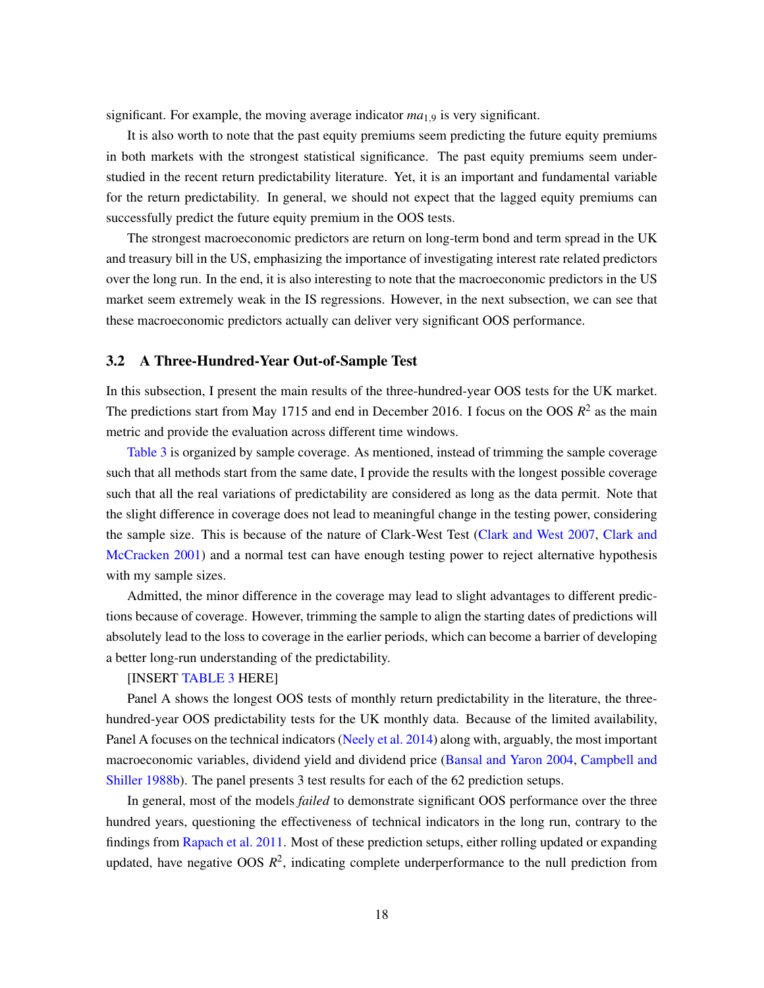significant. For example, the moving average indicator *ma*1,<sup>9</sup> is very significant.

It is also worth to note that the past equity premiums seem predicting the future equity premiums in both markets with the strongest statistical significance. The past equity premiums seem understudied in the recent return predictability literature. Yet, it is an important and fundamental variable for the return predictability. In general, we should not expect that the lagged equity premiums can successfully predict the future equity premium in the OOS tests.

The strongest macroeconomic predictors are return on long-term bond and term spread in the UK and treasury bill in the US, emphasizing the importance of investigating interest rate related predictors over the long run. In the end, it is also interesting to note that the macroeconomic predictors in the US market seem extremely weak in the IS regressions. However, in the next subsection, we can see that these macroeconomic predictors actually can deliver very significant OOS performance.

#### 3.2 A Three-Hundred-Year Out-of-Sample Test

In this subsection, I present the main results of the three-hundred-year OOS tests for the UK market. The predictions start from May 1715 and end in December 2016. I focus on the OOS  $R^2$  as the main metric and provide the evaluation across different time windows.

[Table 3](#page-41-0) is organized by sample coverage. As mentioned, instead of trimming the sample coverage such that all methods start from the same date, I provide the results with the longest possible coverage such that all the real variations of predictability are considered as long as the data permit. Note that the slight difference in coverage does not lead to meaningful change in the testing power, considering the sample size. This is because of the nature of Clark-West Test [\(Clark and West 2007,](#page-31-11) [Clark and](#page-31-10) [McCracken 2001\)](#page-31-10) and a normal test can have enough testing power to reject alternative hypothesis with my sample sizes.

Admitted, the minor difference in the coverage may lead to slight advantages to different predictions because of coverage. However, trimming the sample to align the starting dates of predictions will absolutely lead to the loss to coverage in the earlier periods, which can become a barrier of developing a better long-run understanding of the predictability.

#### [INSERT [TABLE 3](#page-41-0) HERE]

Panel A shows the longest OOS tests of monthly return predictability in the literature, the threehundred-year OOS predictability tests for the UK monthly data. Because of the limited availability, Panel A focuses on the technical indicators [\(Neely et al. 2014\)](#page-33-1) along with, arguably, the most important macroeconomic variables, dividend yield and dividend price [\(Bansal and Yaron 2004,](#page-31-12) [Campbell and](#page-31-7) [Shiller 1988b\)](#page-31-7). The panel presents 3 test results for each of the 62 prediction setups.

In general, most of the models *failed* to demonstrate significant OOS performance over the three hundred years, questioning the effectiveness of technical indicators in the long run, contrary to the findings from [Rapach et al. 2011.](#page-34-0) Most of these prediction setups, either rolling updated or expanding updated, have negative OOS  $R^2$ , indicating complete underperformance to the null prediction from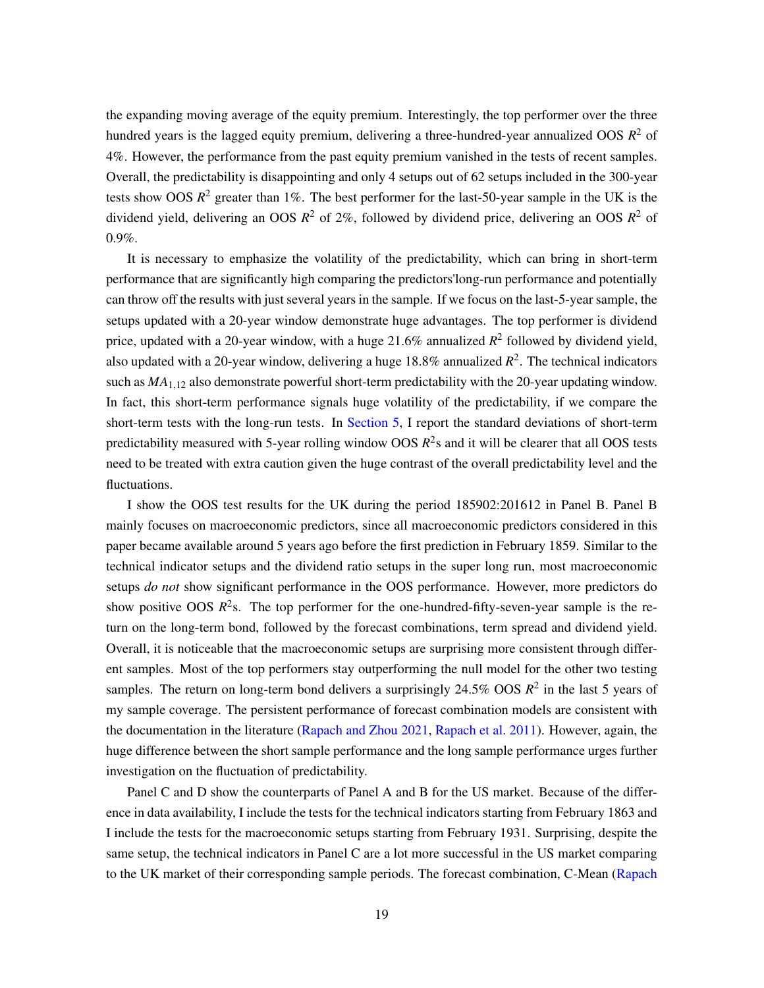the expanding moving average of the equity premium. Interestingly, the top performer over the three hundred years is the lagged equity premium, delivering a three-hundred-year annualized OOS *R* <sup>2</sup> of 4%. However, the performance from the past equity premium vanished in the tests of recent samples. Overall, the predictability is disappointing and only 4 setups out of 62 setups included in the 300-year tests show OOS  $R^2$  greater than 1%. The best performer for the last-50-year sample in the UK is the dividend yield, delivering an OOS *R* <sup>2</sup> of 2%, followed by dividend price, delivering an OOS *R* <sup>2</sup> of 0.9%.

It is necessary to emphasize the volatility of the predictability, which can bring in short-term performance that are significantly high comparing the predictors'long-run performance and potentially can throw off the results with just several years in the sample. If we focus on the last-5-year sample, the setups updated with a 20-year window demonstrate huge advantages. The top performer is dividend price, updated with a 20-year window, with a huge  $21.6\%$  annualized  $R^2$  followed by dividend yield, also updated with a 20-year window, delivering a huge 18.8% annualized  $R^2$ . The technical indicators such as  $MA<sub>112</sub>$  also demonstrate powerful short-term predictability with the 20-year updating window. In fact, this short-term performance signals huge volatility of the predictability, if we compare the short-term tests with the long-run tests. In [Section 5,](#page-25-0) I report the standard deviations of short-term predictability measured with 5-year rolling window OOS *R* 2 s and it will be clearer that all OOS tests need to be treated with extra caution given the huge contrast of the overall predictability level and the fluctuations.

I show the OOS test results for the UK during the period 185902:201612 in Panel B. Panel B mainly focuses on macroeconomic predictors, since all macroeconomic predictors considered in this paper became available around 5 years ago before the first prediction in February 1859. Similar to the technical indicator setups and the dividend ratio setups in the super long run, most macroeconomic setups *do not* show significant performance in the OOS performance. However, more predictors do show positive OOS  $R^2$ s. The top performer for the one-hundred-fifty-seven-year sample is the return on the long-term bond, followed by the forecast combinations, term spread and dividend yield. Overall, it is noticeable that the macroeconomic setups are surprising more consistent through different samples. Most of the top performers stay outperforming the null model for the other two testing samples. The return on long-term bond delivers a surprisingly  $24.5\%$  OOS  $R^2$  in the last 5 years of my sample coverage. The persistent performance of forecast combination models are consistent with the documentation in the literature [\(Rapach and Zhou 2021,](#page-33-0) [Rapach et al. 2011\)](#page-34-0). However, again, the huge difference between the short sample performance and the long sample performance urges further investigation on the fluctuation of predictability.

Panel C and D show the counterparts of Panel A and B for the US market. Because of the difference in data availability, I include the tests for the technical indicators starting from February 1863 and I include the tests for the macroeconomic setups starting from February 1931. Surprising, despite the same setup, the technical indicators in Panel C are a lot more successful in the US market comparing to the UK market of their corresponding sample periods. The forecast combination, C-Mean [\(Rapach](#page-34-0)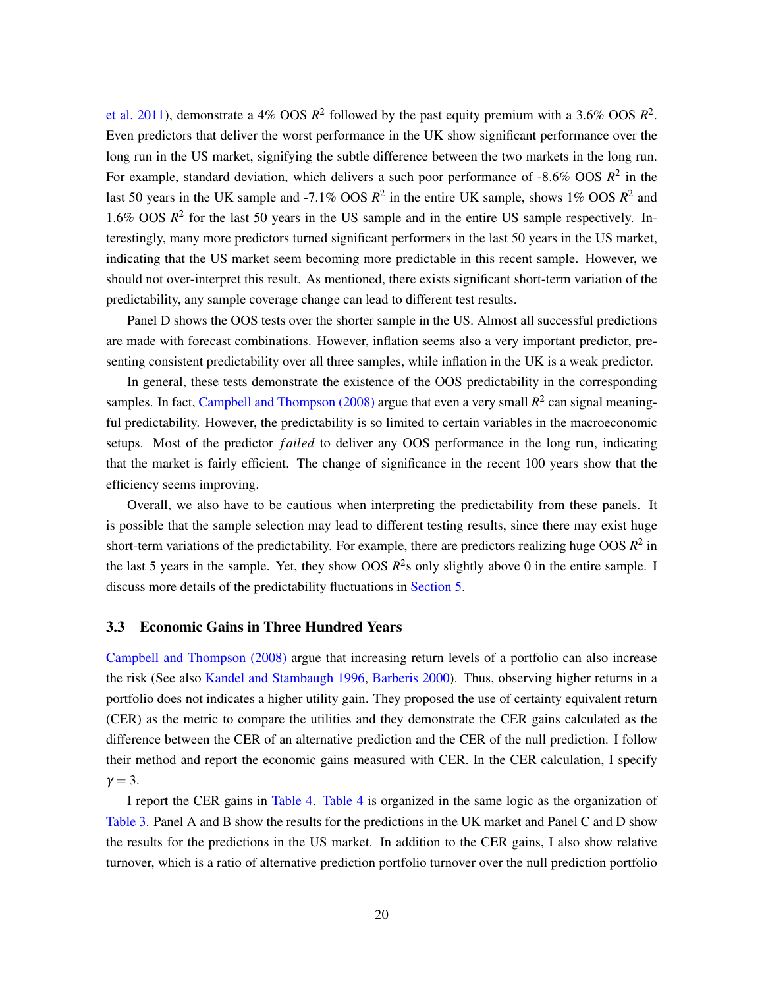[et al. 2011\)](#page-34-0), demonstrate a 4% OOS  $R^2$  followed by the past equity premium with a 3.6% OOS  $R^2$ . Even predictors that deliver the worst performance in the UK show significant performance over the long run in the US market, signifying the subtle difference between the two markets in the long run. For example, standard deviation, which delivers a such poor performance of  $-8.6\%$  OOS  $R^2$  in the last 50 years in the UK sample and -7.1% OOS  $R^2$  in the entire UK sample, shows 1% OOS  $R^2$  and 1.6% OOS  $R^2$  for the last 50 years in the US sample and in the entire US sample respectively. Interestingly, many more predictors turned significant performers in the last 50 years in the US market, indicating that the US market seem becoming more predictable in this recent sample. However, we should not over-interpret this result. As mentioned, there exists significant short-term variation of the predictability, any sample coverage change can lead to different test results.

Panel D shows the OOS tests over the shorter sample in the US. Almost all successful predictions are made with forecast combinations. However, inflation seems also a very important predictor, presenting consistent predictability over all three samples, while inflation in the UK is a weak predictor.

In general, these tests demonstrate the existence of the OOS predictability in the corresponding samples. In fact, [Campbell and Thompson \(2008\)](#page-31-0) argue that even a very small  $R^2$  can signal meaningful predictability. However, the predictability is so limited to certain variables in the macroeconomic setups. Most of the predictor *f ailed* to deliver any OOS performance in the long run, indicating that the market is fairly efficient. The change of significance in the recent 100 years show that the efficiency seems improving.

Overall, we also have to be cautious when interpreting the predictability from these panels. It is possible that the sample selection may lead to different testing results, since there may exist huge short-term variations of the predictability. For example, there are predictors realizing huge OOS  $R^2$  in the last 5 years in the sample. Yet, they show OOS  $R^2$ s only slightly above 0 in the entire sample. I discuss more details of the predictability fluctuations in [Section 5.](#page-25-0)

#### 3.3 Economic Gains in Three Hundred Years

[Campbell and Thompson \(2008\)](#page-31-0) argue that increasing return levels of a portfolio can also increase the risk (See also [Kandel and Stambaugh 1996,](#page-33-6) [Barberis 2000\)](#page-31-6). Thus, observing higher returns in a portfolio does not indicates a higher utility gain. They proposed the use of certainty equivalent return (CER) as the metric to compare the utilities and they demonstrate the CER gains calculated as the difference between the CER of an alternative prediction and the CER of the null prediction. I follow their method and report the economic gains measured with CER. In the CER calculation, I specify  $\gamma = 3$ .

I report the CER gains in [Table 4.](#page-50-0) [Table 4](#page-50-0) is organized in the same logic as the organization of [Table 3.](#page-41-0) Panel A and B show the results for the predictions in the UK market and Panel C and D show the results for the predictions in the US market. In addition to the CER gains, I also show relative turnover, which is a ratio of alternative prediction portfolio turnover over the null prediction portfolio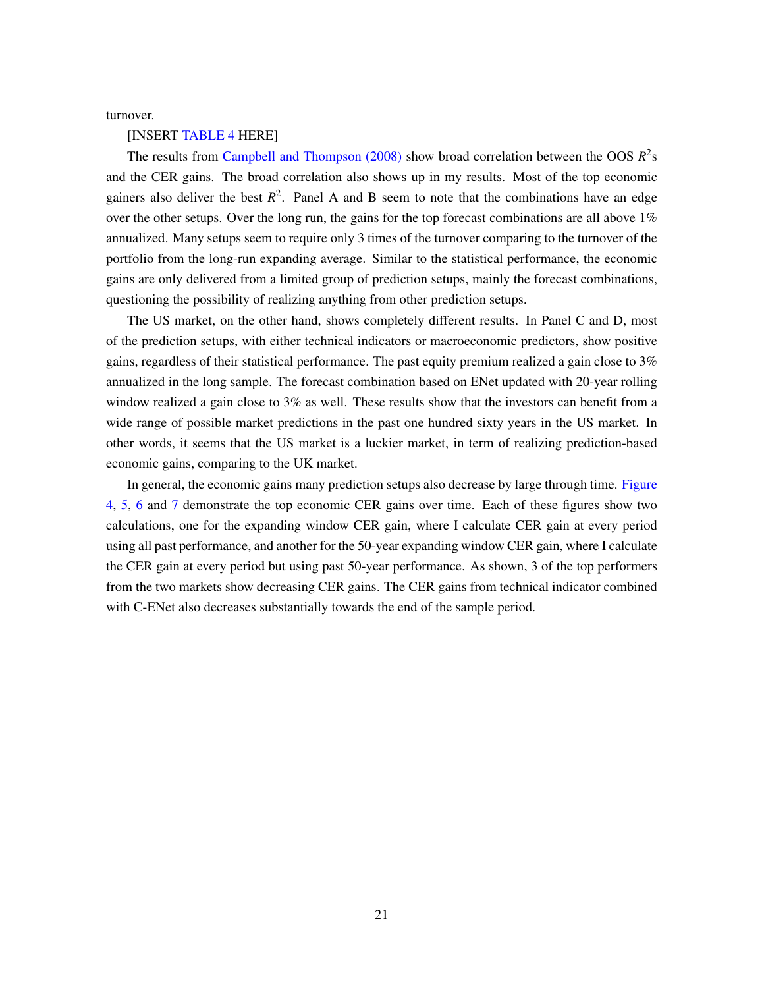turnover.

#### [INSERT [TABLE 4](#page-50-0) HERE]

The results from Campbell and Thompson  $(2008)$  show broad correlation between the OOS  $R^2$ s and the CER gains. The broad correlation also shows up in my results. Most of the top economic gainers also deliver the best  $R^2$ . Panel A and B seem to note that the combinations have an edge over the other setups. Over the long run, the gains for the top forecast combinations are all above  $1\%$ annualized. Many setups seem to require only 3 times of the turnover comparing to the turnover of the portfolio from the long-run expanding average. Similar to the statistical performance, the economic gains are only delivered from a limited group of prediction setups, mainly the forecast combinations, questioning the possibility of realizing anything from other prediction setups.

The US market, on the other hand, shows completely different results. In Panel C and D, most of the prediction setups, with either technical indicators or macroeconomic predictors, show positive gains, regardless of their statistical performance. The past equity premium realized a gain close to 3% annualized in the long sample. The forecast combination based on ENet updated with 20-year rolling window realized a gain close to 3% as well. These results show that the investors can benefit from a wide range of possible market predictions in the past one hundred sixty years in the US market. In other words, it seems that the US market is a luckier market, in term of realizing prediction-based economic gains, comparing to the UK market.

In general, the economic gains many prediction setups also decrease by large through time. [Figure](#page-21-0) [4,](#page-21-0) [5,](#page-21-1) [6](#page-22-1) and [7](#page-22-2) demonstrate the top economic CER gains over time. Each of these figures show two calculations, one for the expanding window CER gain, where I calculate CER gain at every period using all past performance, and another for the 50-year expanding window CER gain, where I calculate the CER gain at every period but using past 50-year performance. As shown, 3 of the top performers from the two markets show decreasing CER gains. The CER gains from technical indicator combined with C-ENet also decreases substantially towards the end of the sample period.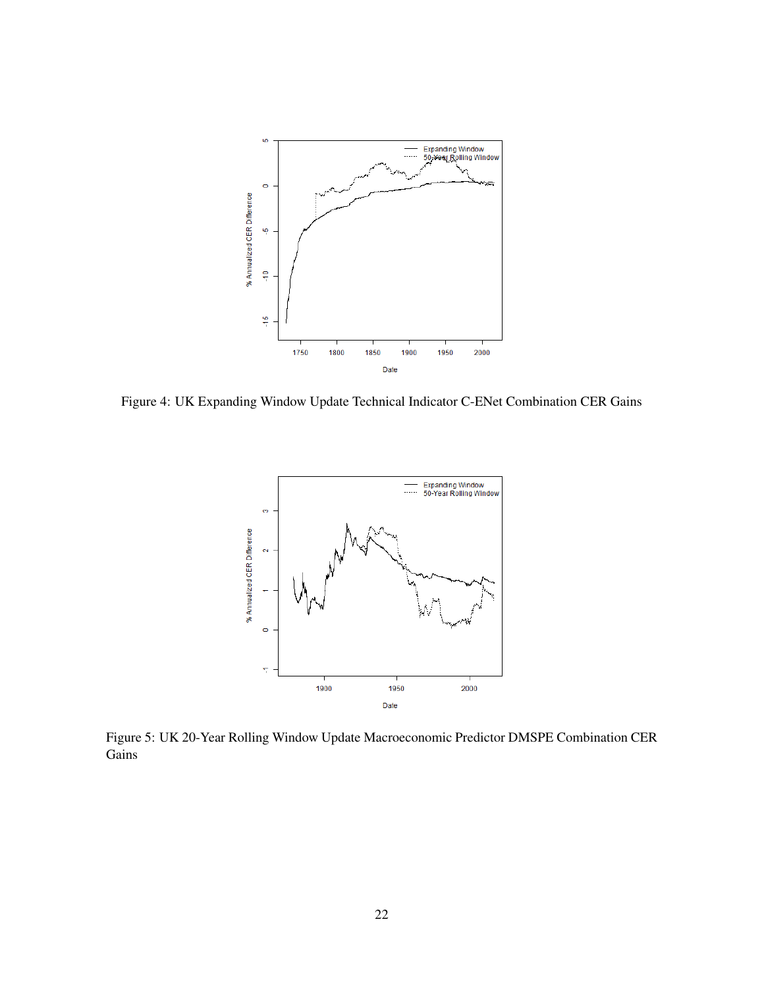<span id="page-21-0"></span>

<span id="page-21-1"></span>Figure 4: UK Expanding Window Update Technical Indicator C-ENet Combination CER Gains



Figure 5: UK 20-Year Rolling Window Update Macroeconomic Predictor DMSPE Combination CER Gains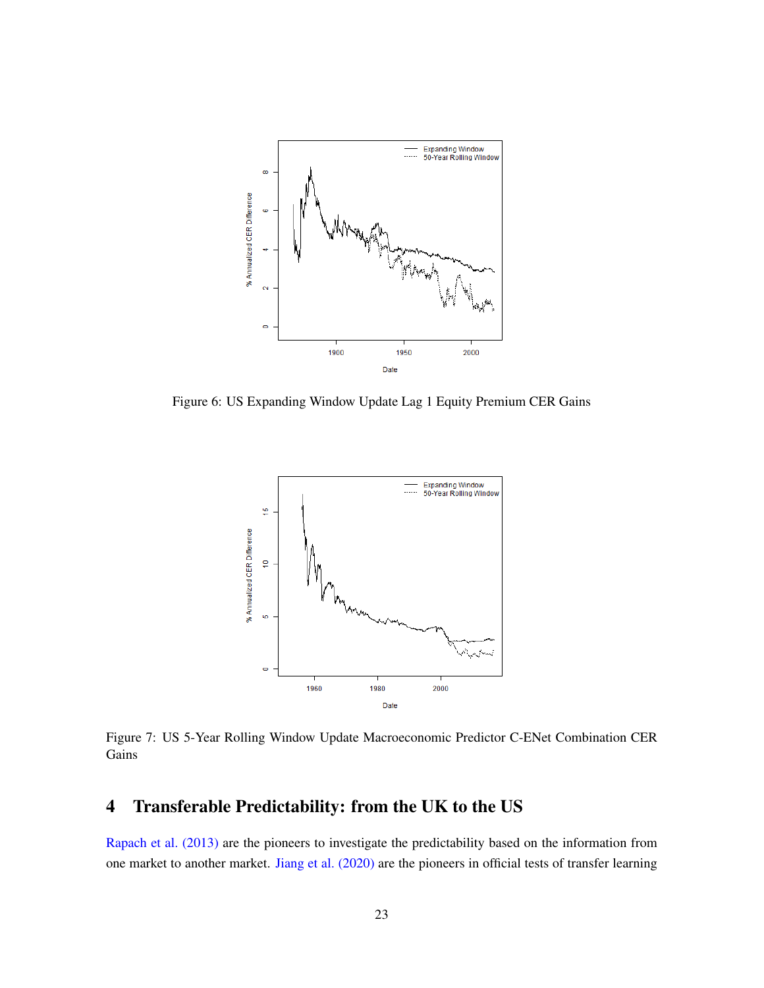<span id="page-22-1"></span>

<span id="page-22-2"></span>Figure 6: US Expanding Window Update Lag 1 Equity Premium CER Gains



Figure 7: US 5-Year Rolling Window Update Macroeconomic Predictor C-ENet Combination CER Gains

# <span id="page-22-0"></span>4 Transferable Predictability: from the UK to the US

[Rapach et al. \(2013\)](#page-34-3) are the pioneers to investigate the predictability based on the information from one market to another market. [Jiang et al. \(2020\)](#page-33-3) are the pioneers in official tests of transfer learning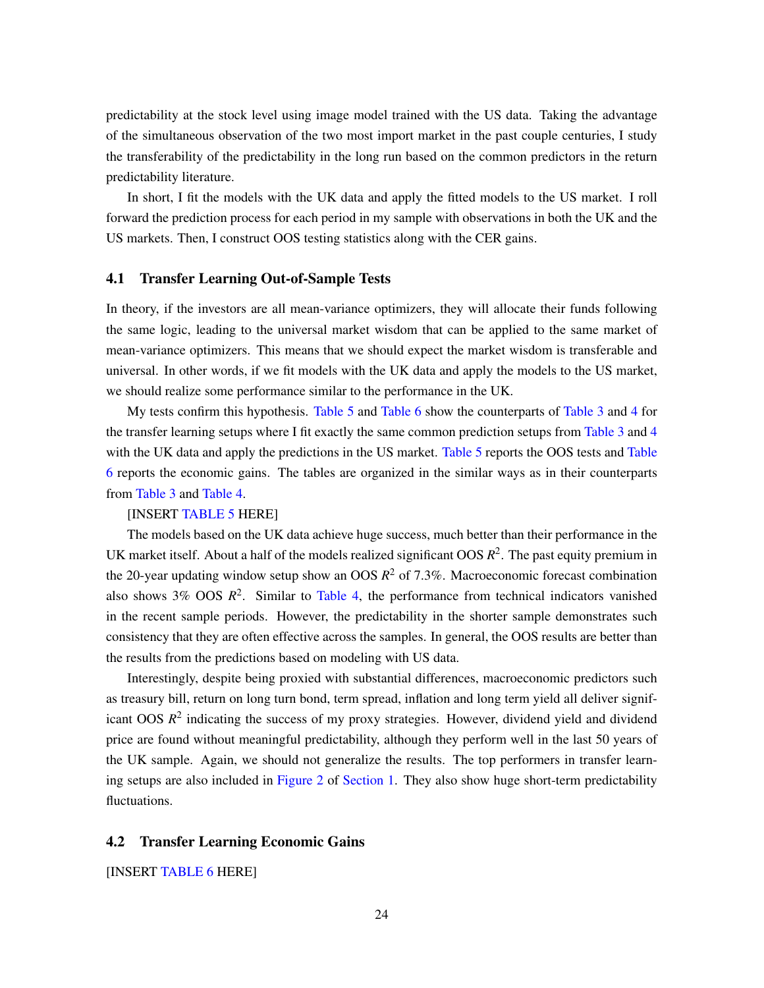predictability at the stock level using image model trained with the US data. Taking the advantage of the simultaneous observation of the two most import market in the past couple centuries, I study the transferability of the predictability in the long run based on the common predictors in the return predictability literature.

In short, I fit the models with the UK data and apply the fitted models to the US market. I roll forward the prediction process for each period in my sample with observations in both the UK and the US markets. Then, I construct OOS testing statistics along with the CER gains.

#### 4.1 Transfer Learning Out-of-Sample Tests

In theory, if the investors are all mean-variance optimizers, they will allocate their funds following the same logic, leading to the universal market wisdom that can be applied to the same market of mean-variance optimizers. This means that we should expect the market wisdom is transferable and universal. In other words, if we fit models with the UK data and apply the models to the US market, we should realize some performance similar to the performance in the UK.

My tests confirm this hypothesis. [Table 5](#page-58-0) and [Table 6](#page-62-0) show the counterparts of [Table 3](#page-41-0) and [4](#page-50-0) for the transfer learning setups where I fit exactly the same common prediction setups from [Table 3](#page-41-0) and [4](#page-50-0) with the UK data and apply the predictions in the US market. [Table 5](#page-58-0) reports the OOS tests and [Table](#page-62-0) [6](#page-62-0) reports the economic gains. The tables are organized in the similar ways as in their counterparts from [Table 3](#page-41-0) and [Table 4.](#page-50-0)

#### [INSERT [TABLE 5](#page-58-0) HERE]

The models based on the UK data achieve huge success, much better than their performance in the UK market itself. About a half of the models realized significant  $OOS R<sup>2</sup>$ . The past equity premium in the 20-year updating window setup show an OOS  $R^2$  of 7.3%. Macroeconomic forecast combination also shows  $3\%$  OOS  $R^2$ . Similar to [Table 4,](#page-50-0) the performance from technical indicators vanished in the recent sample periods. However, the predictability in the shorter sample demonstrates such consistency that they are often effective across the samples. In general, the OOS results are better than the results from the predictions based on modeling with US data.

Interestingly, despite being proxied with substantial differences, macroeconomic predictors such as treasury bill, return on long turn bond, term spread, inflation and long term yield all deliver significant OOS  $R^2$  indicating the success of my proxy strategies. However, dividend yield and dividend price are found without meaningful predictability, although they perform well in the last 50 years of the UK sample. Again, we should not generalize the results. The top performers in transfer learning setups are also included in [Figure 2](#page-3-0) of [Section 1.](#page-1-0) They also show huge short-term predictability fluctuations.

#### 4.2 Transfer Learning Economic Gains

[INSERT [TABLE 6](#page-62-0) HERE]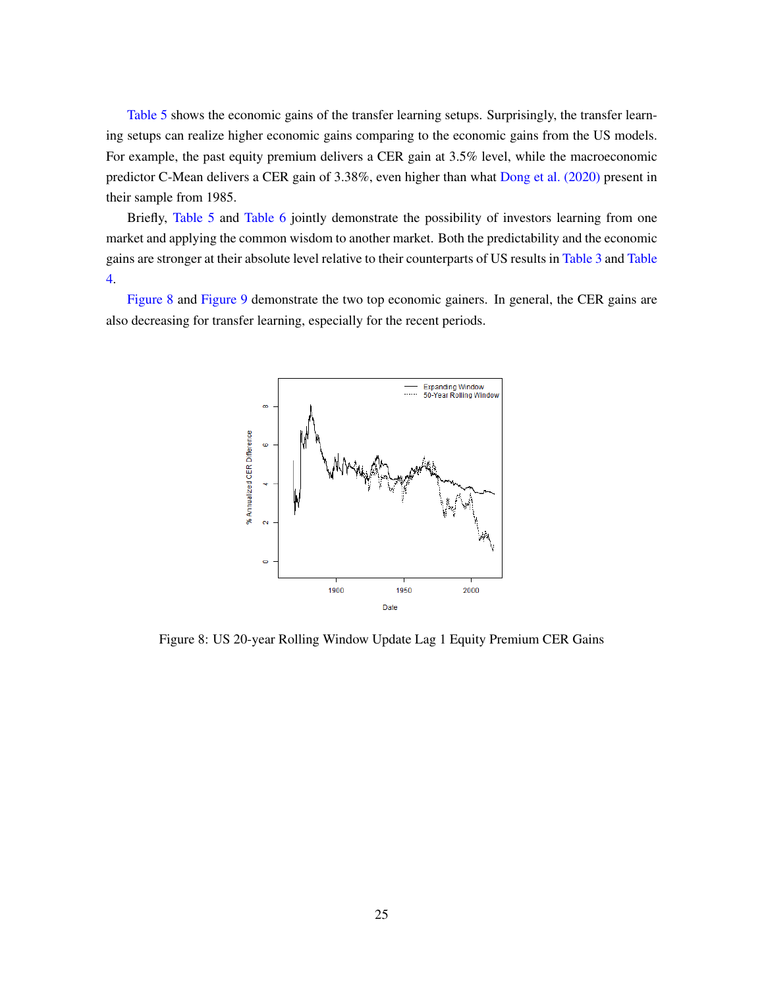[Table 5](#page-58-0) shows the economic gains of the transfer learning setups. Surprisingly, the transfer learning setups can realize higher economic gains comparing to the economic gains from the US models. For example, the past equity premium delivers a CER gain at 3.5% level, while the macroeconomic predictor C-Mean delivers a CER gain of 3.38%, even higher than what [Dong et al. \(2020\)](#page-32-9) present in their sample from 1985.

Briefly, [Table 5](#page-58-0) and [Table 6](#page-62-0) jointly demonstrate the possibility of investors learning from one market and applying the common wisdom to another market. Both the predictability and the economic gains are stronger at their absolute level relative to their counterparts of US results in [Table 3](#page-41-0) and [Table](#page-50-0) [4.](#page-50-0)

<span id="page-24-0"></span>[Figure 8](#page-24-0) and [Figure 9](#page-25-1) demonstrate the two top economic gainers. In general, the CER gains are also decreasing for transfer learning, especially for the recent periods.



Figure 8: US 20-year Rolling Window Update Lag 1 Equity Premium CER Gains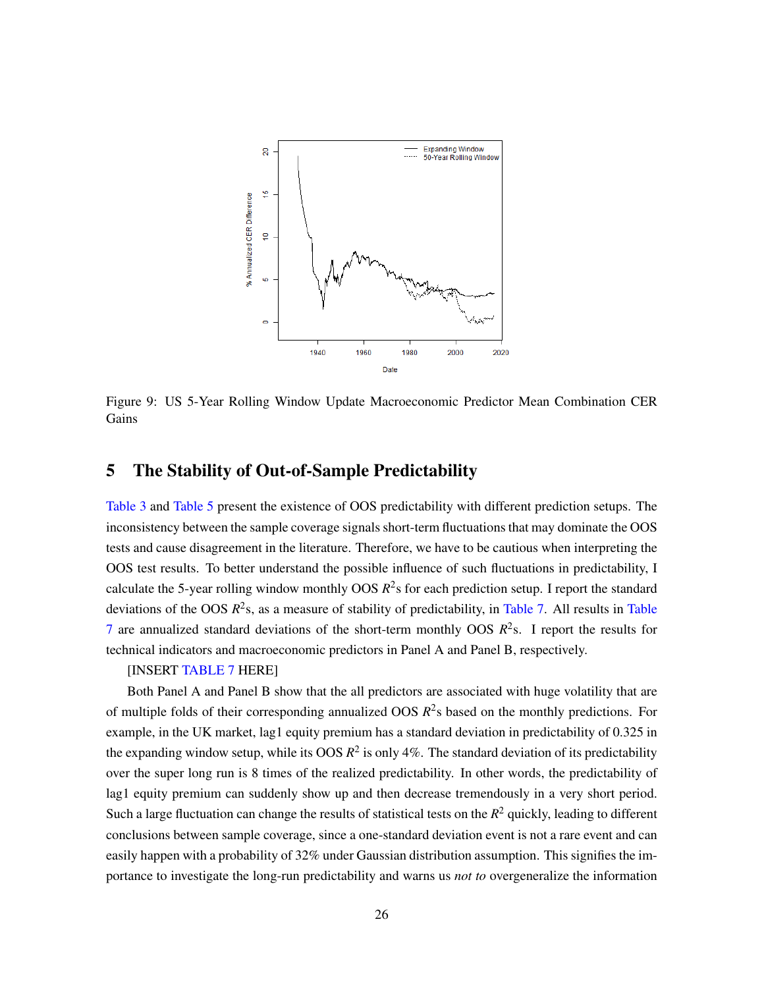<span id="page-25-1"></span>

Figure 9: US 5-Year Rolling Window Update Macroeconomic Predictor Mean Combination CER Gains

## <span id="page-25-0"></span>5 The Stability of Out-of-Sample Predictability

[Table 3](#page-41-0) and [Table 5](#page-58-0) present the existence of OOS predictability with different prediction setups. The inconsistency between the sample coverage signals short-term fluctuations that may dominate the OOS tests and cause disagreement in the literature. Therefore, we have to be cautious when interpreting the OOS test results. To better understand the possible influence of such fluctuations in predictability, I calculate the 5-year rolling window monthly OOS *R* 2 s for each prediction setup. I report the standard deviations of the OOS  $R^2$ s, as a measure of stability of predictability, in [Table 7.](#page-66-0) All results in [Table](#page-66-0) [7](#page-66-0) are annualized standard deviations of the short-term monthly OOS  $R^2$ s. I report the results for technical indicators and macroeconomic predictors in Panel A and Panel B, respectively.

#### [INSERT [TABLE 7](#page-66-0) HERE]

Both Panel A and Panel B show that the all predictors are associated with huge volatility that are of multiple folds of their corresponding annualized OOS  $R^2$ s based on the monthly predictions. For example, in the UK market, lag1 equity premium has a standard deviation in predictability of 0.325 in the expanding window setup, while its OOS  $R^2$  is only 4%. The standard deviation of its predictability over the super long run is 8 times of the realized predictability. In other words, the predictability of lag1 equity premium can suddenly show up and then decrease tremendously in a very short period. Such a large fluctuation can change the results of statistical tests on the  $R<sup>2</sup>$  quickly, leading to different conclusions between sample coverage, since a one-standard deviation event is not a rare event and can easily happen with a probability of 32% under Gaussian distribution assumption. This signifies the importance to investigate the long-run predictability and warns us *not to* overgeneralize the information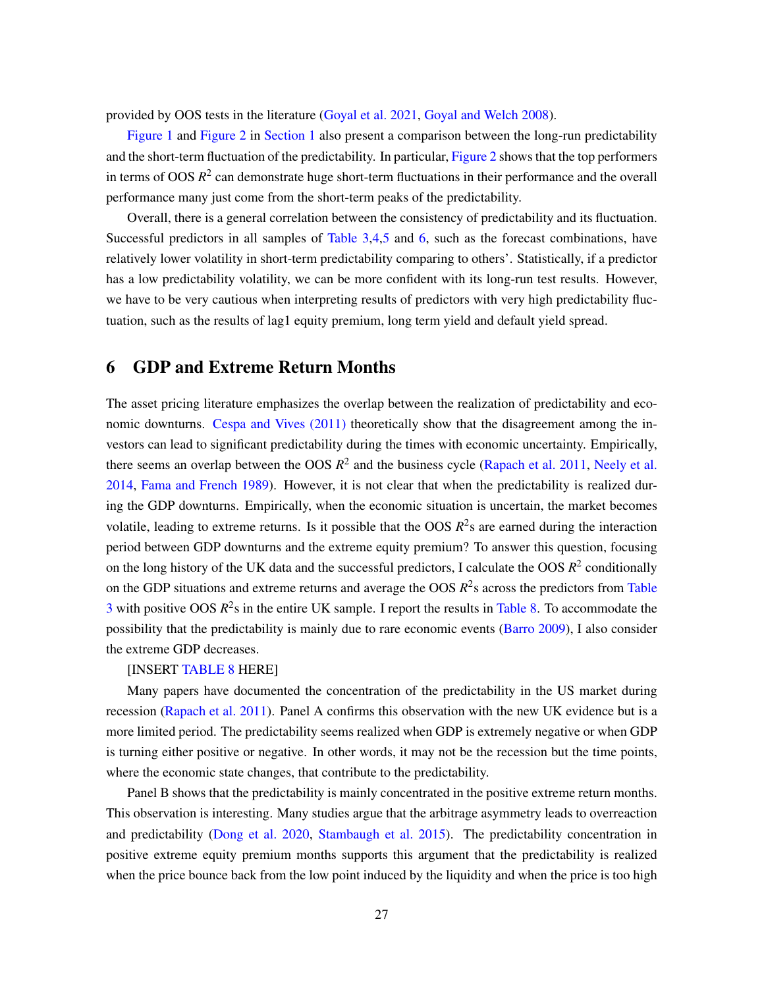provided by OOS tests in the literature [\(Goyal et al. 2021,](#page-32-1) [Goyal and Welch 2008\)](#page-32-0).

[Figure 1](#page-2-0) and [Figure 2](#page-3-0) in [Section 1](#page-1-0) also present a comparison between the long-run predictability and the short-term fluctuation of the predictability. In particular, [Figure 2](#page-3-0) shows that the top performers in terms of OOS  $R^2$  can demonstrate huge short-term fluctuations in their performance and the overall performance many just come from the short-term peaks of the predictability.

Overall, there is a general correlation between the consistency of predictability and its fluctuation. Successful predictors in all samples of [Table 3,](#page-41-0)[4,](#page-50-0)[5](#page-58-0) and [6,](#page-62-0) such as the forecast combinations, have relatively lower volatility in short-term predictability comparing to others'. Statistically, if a predictor has a low predictability volatility, we can be more confident with its long-run test results. However, we have to be very cautious when interpreting results of predictors with very high predictability fluctuation, such as the results of lag1 equity premium, long term yield and default yield spread.

## <span id="page-26-0"></span>6 GDP and Extreme Return Months

The asset pricing literature emphasizes the overlap between the realization of predictability and economic downturns. [Cespa and Vives \(2011\)](#page-31-13) theoretically show that the disagreement among the investors can lead to significant predictability during the times with economic uncertainty. Empirically, there seems an overlap between the OOS  $R^2$  and the business cycle [\(Rapach et al. 2011,](#page-34-0) [Neely et al.](#page-33-1) [2014,](#page-33-1) [Fama and French 1989\)](#page-32-8). However, it is not clear that when the predictability is realized during the GDP downturns. Empirically, when the economic situation is uncertain, the market becomes volatile, leading to extreme returns. Is it possible that the OOS  $R^2$ s are earned during the interaction period between GDP downturns and the extreme equity premium? To answer this question, focusing on the long history of the UK data and the successful predictors, I calculate the OOS  $R^2$  conditionally on the GDP situations and extreme returns and average the OOS *R* 2 s across the predictors from [Table](#page-41-0)  $3$  with positive OOS  $R^2$ s in the entire UK sample. I report the results in [Table 8.](#page-68-0) To accommodate the possibility that the predictability is mainly due to rare economic events [\(Barro 2009\)](#page-31-3), I also consider the extreme GDP decreases.

#### [INSERT [TABLE 8](#page-68-0) HERE]

Many papers have documented the concentration of the predictability in the US market during recession [\(Rapach et al. 2011\)](#page-34-0). Panel A confirms this observation with the new UK evidence but is a more limited period. The predictability seems realized when GDP is extremely negative or when GDP is turning either positive or negative. In other words, it may not be the recession but the time points, where the economic state changes, that contribute to the predictability.

Panel B shows that the predictability is mainly concentrated in the positive extreme return months. This observation is interesting. Many studies argue that the arbitrage asymmetry leads to overreaction and predictability [\(Dong et al. 2020,](#page-32-9) [Stambaugh et al. 2015\)](#page-34-6). The predictability concentration in positive extreme equity premium months supports this argument that the predictability is realized when the price bounce back from the low point induced by the liquidity and when the price is too high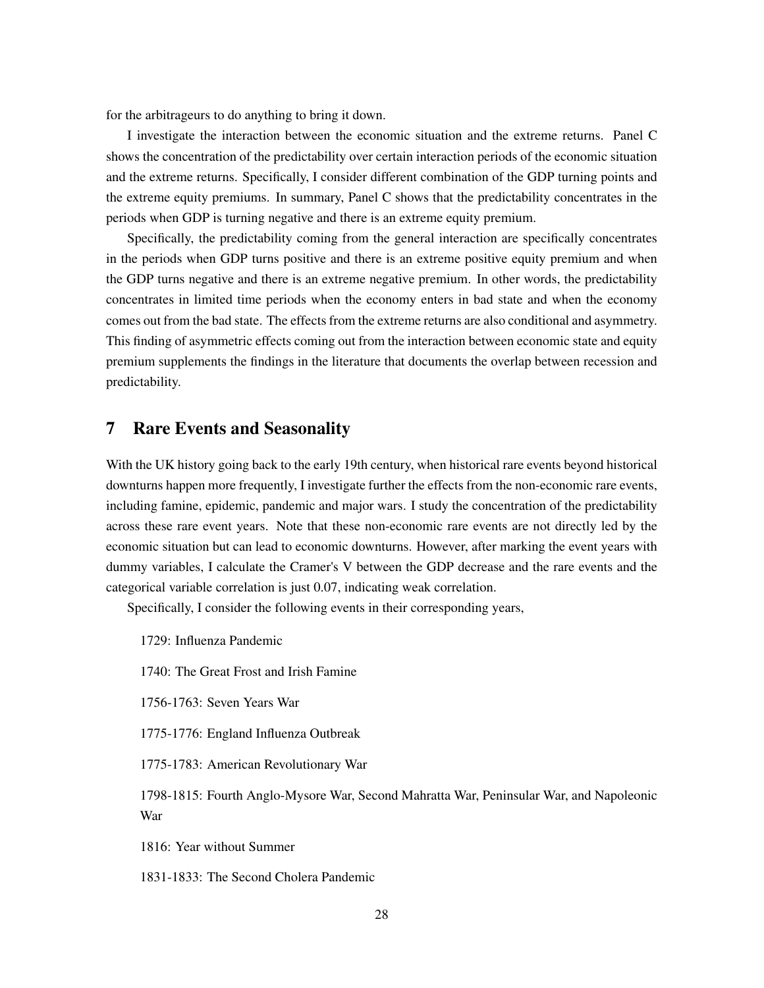for the arbitrageurs to do anything to bring it down.

I investigate the interaction between the economic situation and the extreme returns. Panel C shows the concentration of the predictability over certain interaction periods of the economic situation and the extreme returns. Specifically, I consider different combination of the GDP turning points and the extreme equity premiums. In summary, Panel C shows that the predictability concentrates in the periods when GDP is turning negative and there is an extreme equity premium.

Specifically, the predictability coming from the general interaction are specifically concentrates in the periods when GDP turns positive and there is an extreme positive equity premium and when the GDP turns negative and there is an extreme negative premium. In other words, the predictability concentrates in limited time periods when the economy enters in bad state and when the economy comes out from the bad state. The effects from the extreme returns are also conditional and asymmetry. This finding of asymmetric effects coming out from the interaction between economic state and equity premium supplements the findings in the literature that documents the overlap between recession and predictability.

### <span id="page-27-0"></span>7 Rare Events and Seasonality

With the UK history going back to the early 19th century, when historical rare events beyond historical downturns happen more frequently, I investigate further the effects from the non-economic rare events, including famine, epidemic, pandemic and major wars. I study the concentration of the predictability across these rare event years. Note that these non-economic rare events are not directly led by the economic situation but can lead to economic downturns. However, after marking the event years with dummy variables, I calculate the Cramer's V between the GDP decrease and the rare events and the categorical variable correlation is just 0.07, indicating weak correlation.

Specifically, I consider the following events in their corresponding years,

1729: Influenza Pandemic

1740: The Great Frost and Irish Famine

1756-1763: Seven Years War

1775-1776: England Influenza Outbreak

1775-1783: American Revolutionary War

1798-1815: Fourth Anglo-Mysore War, Second Mahratta War, Peninsular War, and Napoleonic War

1816: Year without Summer

1831-1833: The Second Cholera Pandemic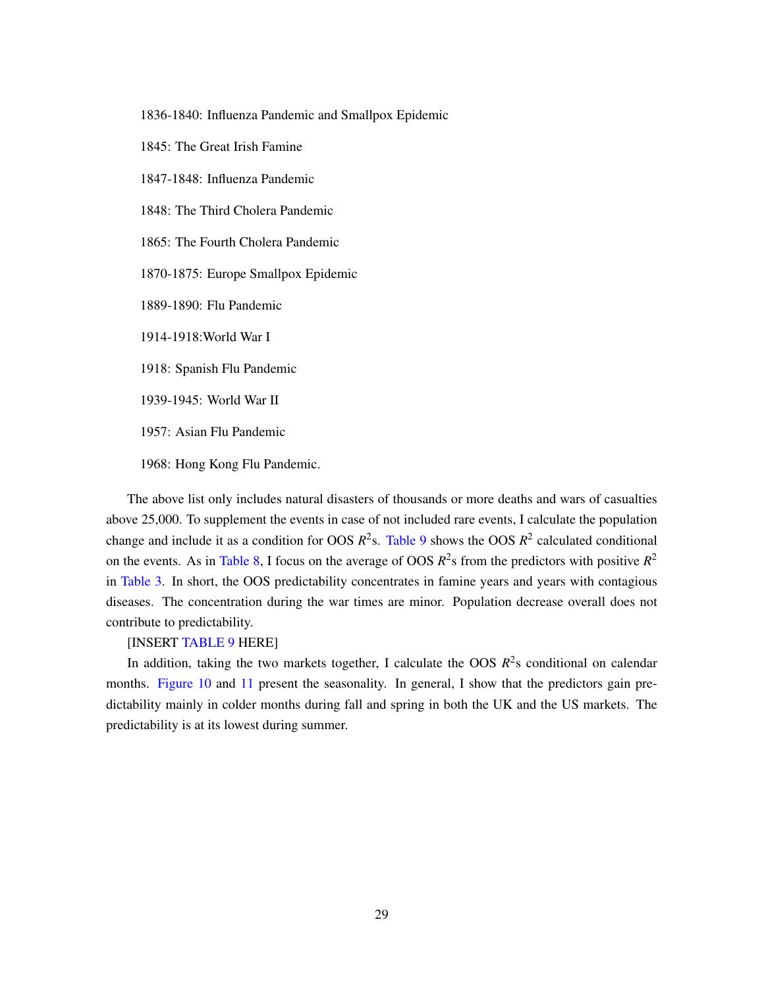1836-1840: Influenza Pandemic and Smallpox Epidemic

1845: The Great Irish Famine

1847-1848: Influenza Pandemic

1848: The Third Cholera Pandemic

1865: The Fourth Cholera Pandemic

1870-1875: Europe Smallpox Epidemic

1889-1890: Flu Pandemic

1914-1918:World War I

1918: Spanish Flu Pandemic

1939-1945: World War II

1957: Asian Flu Pandemic

1968: Hong Kong Flu Pandemic.

The above list only includes natural disasters of thousands or more deaths and wars of casualties above 25,000. To supplement the events in case of not included rare events, I calculate the population change and include it as a condition for OOS  $R^2$ s. [Table 9](#page-71-0) shows the OOS  $R^2$  calculated conditional on the events. As in [Table 8,](#page-68-0) I focus on the average of OOS  $R^2$ s from the predictors with positive  $R^2$ in [Table 3.](#page-41-0) In short, the OOS predictability concentrates in famine years and years with contagious diseases. The concentration during the war times are minor. Population decrease overall does not contribute to predictability.

#### [INSERT [TABLE 9](#page-71-0) HERE]

In addition, taking the two markets together, I calculate the OOS  $R^2$ s conditional on calendar months. [Figure 10](#page-29-1) and [11](#page-29-2) present the seasonality. In general, I show that the predictors gain predictability mainly in colder months during fall and spring in both the UK and the US markets. The predictability is at its lowest during summer.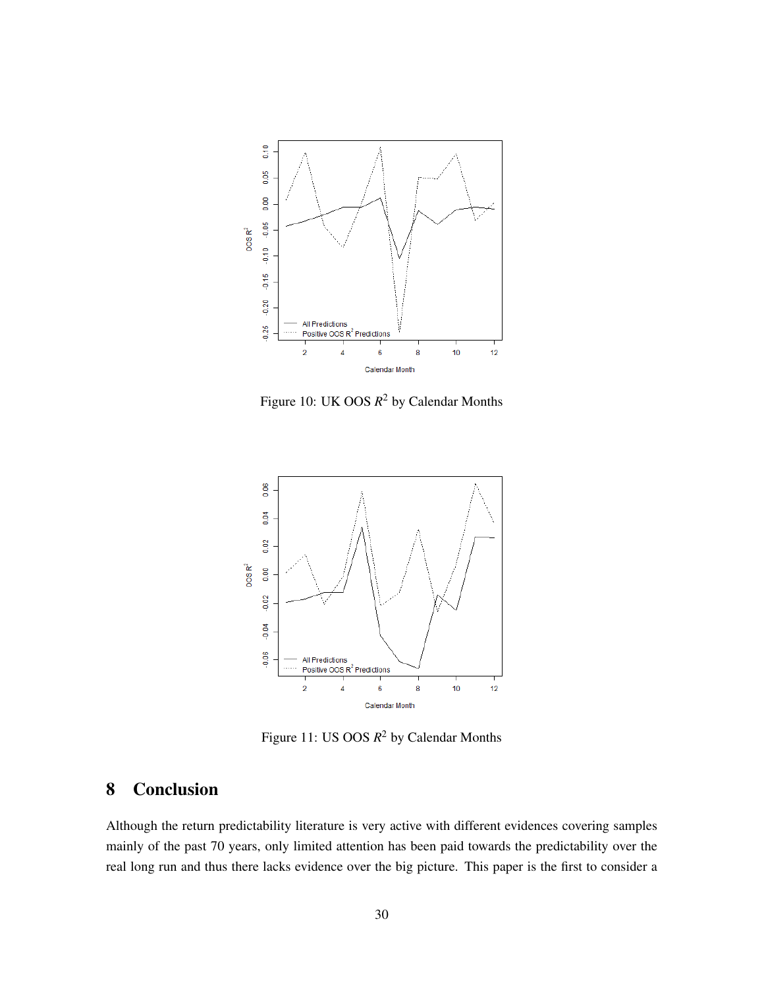<span id="page-29-1"></span>

Figure 10: UK OOS *R* <sup>2</sup> by Calendar Months

<span id="page-29-2"></span>

Figure 11: US OOS *R* <sup>2</sup> by Calendar Months

# <span id="page-29-0"></span>8 Conclusion

Although the return predictability literature is very active with different evidences covering samples mainly of the past 70 years, only limited attention has been paid towards the predictability over the real long run and thus there lacks evidence over the big picture. This paper is the first to consider a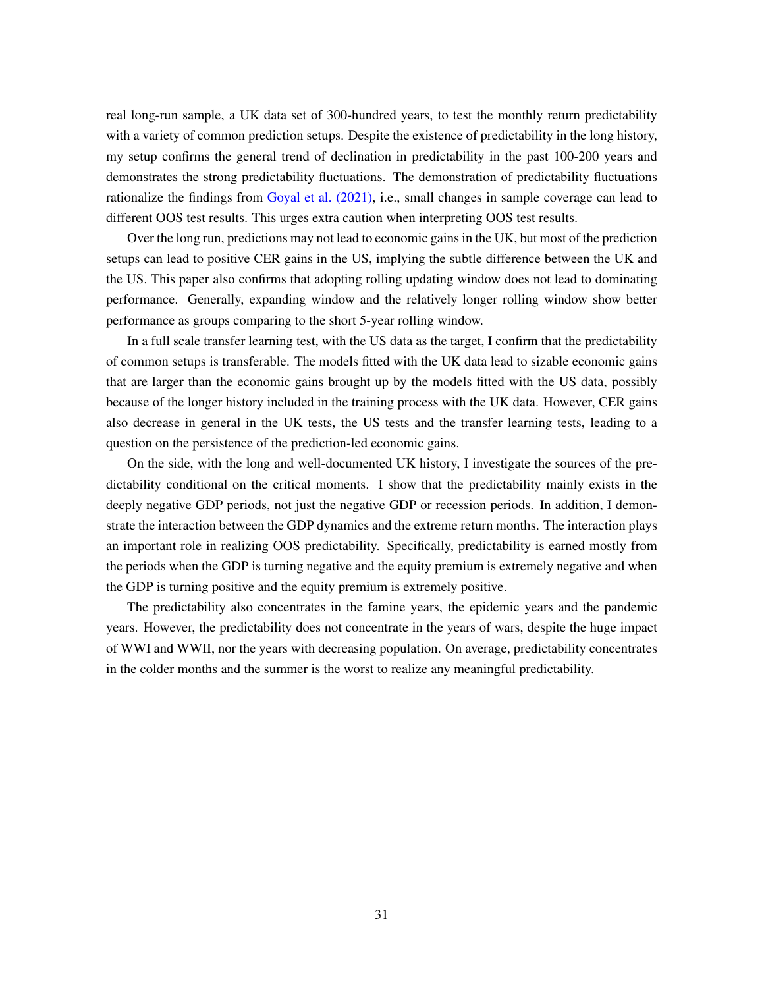real long-run sample, a UK data set of 300-hundred years, to test the monthly return predictability with a variety of common prediction setups. Despite the existence of predictability in the long history, my setup confirms the general trend of declination in predictability in the past 100-200 years and demonstrates the strong predictability fluctuations. The demonstration of predictability fluctuations rationalize the findings from [Goyal et al. \(2021\),](#page-32-1) i.e., small changes in sample coverage can lead to different OOS test results. This urges extra caution when interpreting OOS test results.

Over the long run, predictions may not lead to economic gains in the UK, but most of the prediction setups can lead to positive CER gains in the US, implying the subtle difference between the UK and the US. This paper also confirms that adopting rolling updating window does not lead to dominating performance. Generally, expanding window and the relatively longer rolling window show better performance as groups comparing to the short 5-year rolling window.

In a full scale transfer learning test, with the US data as the target, I confirm that the predictability of common setups is transferable. The models fitted with the UK data lead to sizable economic gains that are larger than the economic gains brought up by the models fitted with the US data, possibly because of the longer history included in the training process with the UK data. However, CER gains also decrease in general in the UK tests, the US tests and the transfer learning tests, leading to a question on the persistence of the prediction-led economic gains.

On the side, with the long and well-documented UK history, I investigate the sources of the predictability conditional on the critical moments. I show that the predictability mainly exists in the deeply negative GDP periods, not just the negative GDP or recession periods. In addition, I demonstrate the interaction between the GDP dynamics and the extreme return months. The interaction plays an important role in realizing OOS predictability. Specifically, predictability is earned mostly from the periods when the GDP is turning negative and the equity premium is extremely negative and when the GDP is turning positive and the equity premium is extremely positive.

The predictability also concentrates in the famine years, the epidemic years and the pandemic years. However, the predictability does not concentrate in the years of wars, despite the huge impact of WWI and WWII, nor the years with decreasing population. On average, predictability concentrates in the colder months and the summer is the worst to realize any meaningful predictability.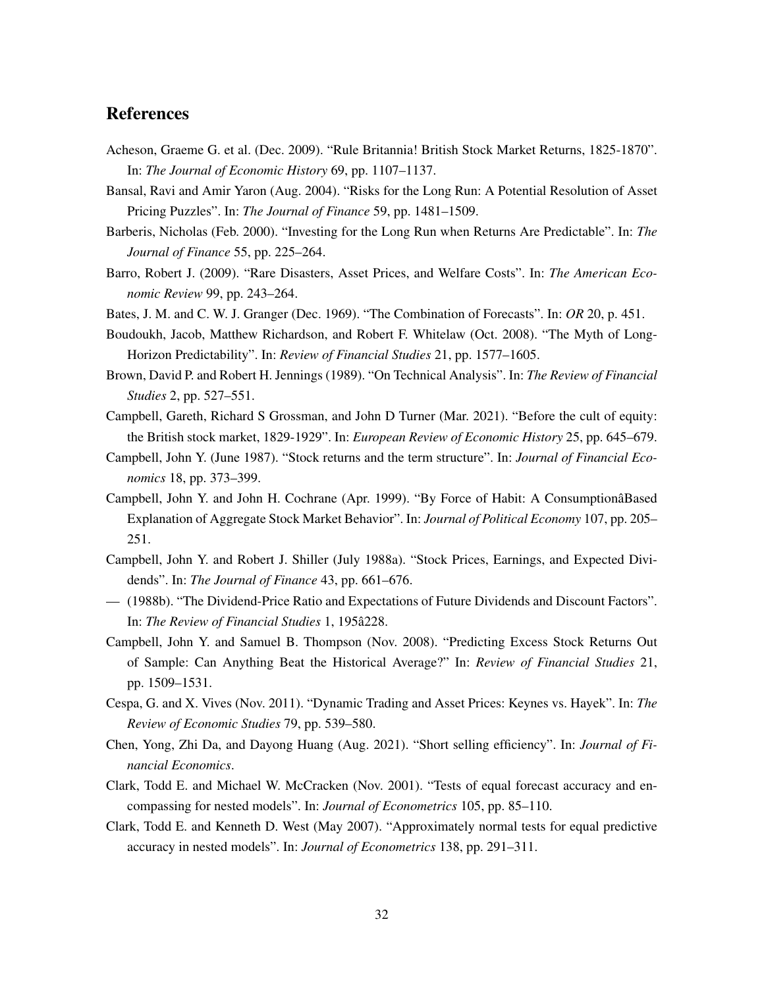## **References**

- <span id="page-31-1"></span>Acheson, Graeme G. et al. (Dec. 2009). "Rule Britannia! British Stock Market Returns, 1825-1870". In: *The Journal of Economic History* 69, pp. 1107–1137.
- <span id="page-31-12"></span>Bansal, Ravi and Amir Yaron (Aug. 2004). "Risks for the Long Run: A Potential Resolution of Asset Pricing Puzzles". In: *The Journal of Finance* 59, pp. 1481–1509.
- <span id="page-31-6"></span>Barberis, Nicholas (Feb. 2000). "Investing for the Long Run when Returns Are Predictable". In: *The Journal of Finance* 55, pp. 225–264.
- <span id="page-31-3"></span>Barro, Robert J. (2009). "Rare Disasters, Asset Prices, and Welfare Costs". In: *The American Economic Review* 99, pp. 243–264.
- <span id="page-31-9"></span>Bates, J. M. and C. W. J. Granger (Dec. 1969). "The Combination of Forecasts". In: *OR* 20, p. 451.
- <span id="page-31-5"></span>Boudoukh, Jacob, Matthew Richardson, and Robert F. Whitelaw (Oct. 2008). "The Myth of Long-Horizon Predictability". In: *Review of Financial Studies* 21, pp. 1577–1605.
- Brown, David P. and Robert H. Jennings (1989). "On Technical Analysis". In: *The Review of Financial Studies* 2, pp. 527–551.
- <span id="page-31-2"></span>Campbell, Gareth, Richard S Grossman, and John D Turner (Mar. 2021). "Before the cult of equity: the British stock market, 1829-1929". In: *European Review of Economic History* 25, pp. 645–679.
- <span id="page-31-4"></span>Campbell, John Y. (June 1987). "Stock returns and the term structure". In: *Journal of Financial Economics* 18, pp. 373–399.
- Campbell, John Y. and John H. Cochrane (Apr. 1999). "By Force of Habit: A ConsumptionâBased Explanation of Aggregate Stock Market Behavior". In: *Journal of Political Economy* 107, pp. 205– 251.
- <span id="page-31-8"></span>Campbell, John Y. and Robert J. Shiller (July 1988a). "Stock Prices, Earnings, and Expected Dividends". In: *The Journal of Finance* 43, pp. 661–676.
- <span id="page-31-7"></span>— (1988b). "The Dividend-Price Ratio and Expectations of Future Dividends and Discount Factors". In: *The Review of Financial Studies* 1, 195â228.
- <span id="page-31-0"></span>Campbell, John Y. and Samuel B. Thompson (Nov. 2008). "Predicting Excess Stock Returns Out of Sample: Can Anything Beat the Historical Average?" In: *Review of Financial Studies* 21, pp. 1509–1531.
- <span id="page-31-13"></span>Cespa, G. and X. Vives (Nov. 2011). "Dynamic Trading and Asset Prices: Keynes vs. Hayek". In: *The Review of Economic Studies* 79, pp. 539–580.
- Chen, Yong, Zhi Da, and Dayong Huang (Aug. 2021). "Short selling efficiency". In: *Journal of Financial Economics*.
- <span id="page-31-10"></span>Clark, Todd E. and Michael W. McCracken (Nov. 2001). "Tests of equal forecast accuracy and encompassing for nested models". In: *Journal of Econometrics* 105, pp. 85–110.
- <span id="page-31-11"></span>Clark, Todd E. and Kenneth D. West (May 2007). "Approximately normal tests for equal predictive accuracy in nested models". In: *Journal of Econometrics* 138, pp. 291–311.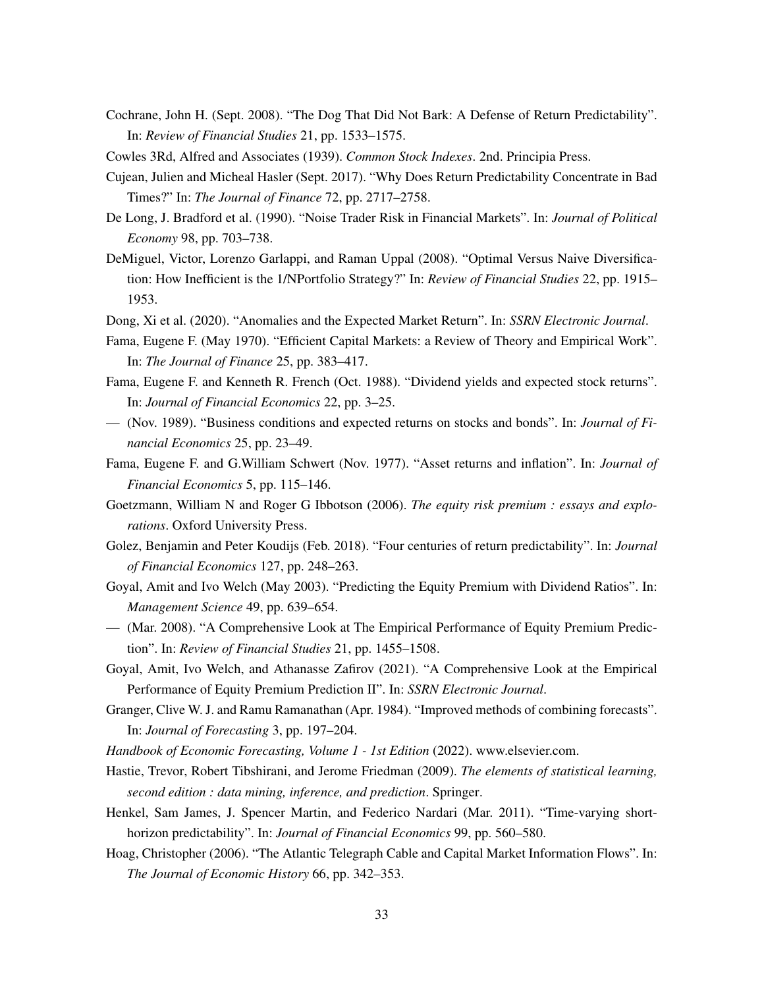- <span id="page-32-5"></span>Cochrane, John H. (Sept. 2008). "The Dog That Did Not Bark: A Defense of Return Predictability". In: *Review of Financial Studies* 21, pp. 1533–1575.
- Cowles 3Rd, Alfred and Associates (1939). *Common Stock Indexes*. 2nd. Principia Press.
- <span id="page-32-4"></span>Cujean, Julien and Micheal Hasler (Sept. 2017). "Why Does Return Predictability Concentrate in Bad Times?" In: *The Journal of Finance* 72, pp. 2717–2758.
- De Long, J. Bradford et al. (1990). "Noise Trader Risk in Financial Markets". In: *Journal of Political Economy* 98, pp. 703–738.
- DeMiguel, Victor, Lorenzo Garlappi, and Raman Uppal (2008). "Optimal Versus Naive Diversification: How Inefficient is the 1/NPortfolio Strategy?" In: *Review of Financial Studies* 22, pp. 1915– 1953.
- <span id="page-32-9"></span>Dong, Xi et al. (2020). "Anomalies and the Expected Market Return". In: *SSRN Electronic Journal*.
- Fama, Eugene F. (May 1970). "Efficient Capital Markets: a Review of Theory and Empirical Work". In: *The Journal of Finance* 25, pp. 383–417.
- <span id="page-32-7"></span>Fama, Eugene F. and Kenneth R. French (Oct. 1988). "Dividend yields and expected stock returns". In: *Journal of Financial Economics* 22, pp. 3–25.
- <span id="page-32-8"></span>— (Nov. 1989). "Business conditions and expected returns on stocks and bonds". In: *Journal of Financial Economics* 25, pp. 23–49.
- Fama, Eugene F. and G.William Schwert (Nov. 1977). "Asset returns and inflation". In: *Journal of Financial Economics* 5, pp. 115–146.
- <span id="page-32-12"></span>Goetzmann, William N and Roger G Ibbotson (2006). *The equity risk premium : essays and explorations*. Oxford University Press.
- <span id="page-32-3"></span>Golez, Benjamin and Peter Koudijs (Feb. 2018). "Four centuries of return predictability". In: *Journal of Financial Economics* 127, pp. 248–263.
- <span id="page-32-6"></span>Goyal, Amit and Ivo Welch (May 2003). "Predicting the Equity Premium with Dividend Ratios". In: *Management Science* 49, pp. 639–654.
- <span id="page-32-0"></span>— (Mar. 2008). "A Comprehensive Look at The Empirical Performance of Equity Premium Prediction". In: *Review of Financial Studies* 21, pp. 1455–1508.
- <span id="page-32-1"></span>Goyal, Amit, Ivo Welch, and Athanasse Zafirov (2021). "A Comprehensive Look at the Empirical Performance of Equity Premium Prediction II". In: *SSRN Electronic Journal*.
- <span id="page-32-11"></span>Granger, Clive W. J. and Ramu Ramanathan (Apr. 1984). "Improved methods of combining forecasts". In: *Journal of Forecasting* 3, pp. 197–204.
- *Handbook of Economic Forecasting, Volume 1 1st Edition* (2022). www.elsevier.com.
- <span id="page-32-10"></span>Hastie, Trevor, Robert Tibshirani, and Jerome Friedman (2009). *The elements of statistical learning, second edition : data mining, inference, and prediction*. Springer.
- Henkel, Sam James, J. Spencer Martin, and Federico Nardari (Mar. 2011). "Time-varying shorthorizon predictability". In: *Journal of Financial Economics* 99, pp. 560–580.
- <span id="page-32-2"></span>Hoag, Christopher (2006). "The Atlantic Telegraph Cable and Capital Market Information Flows". In: *The Journal of Economic History* 66, pp. 342–353.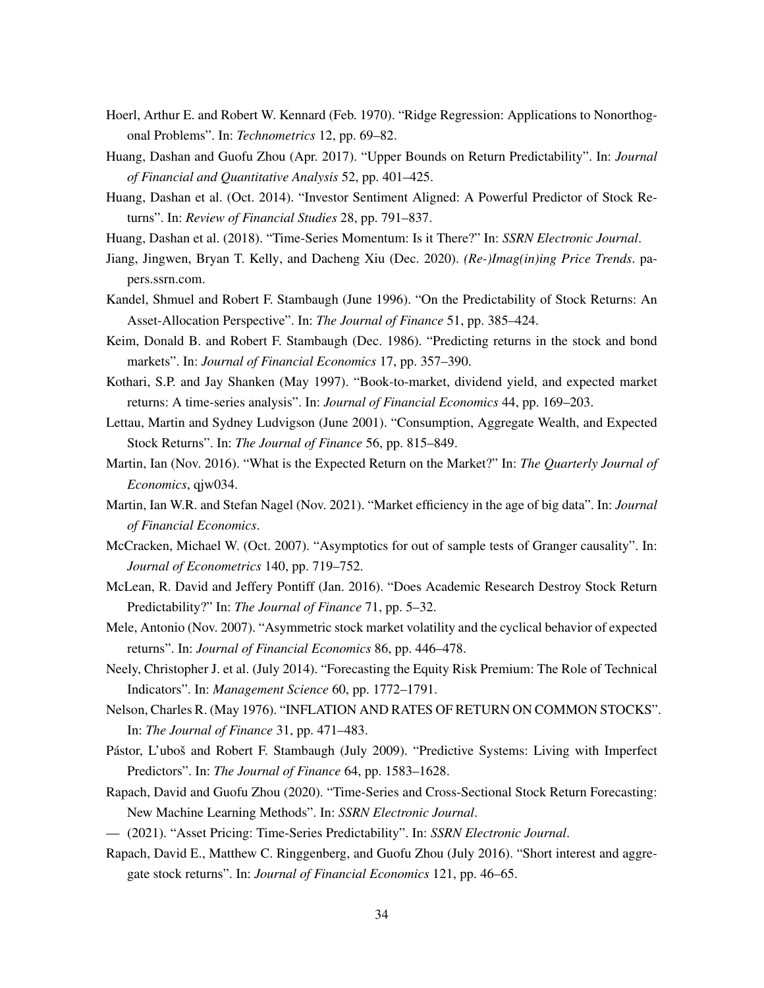- Hoerl, Arthur E. and Robert W. Kennard (Feb. 1970). "Ridge Regression: Applications to Nonorthogonal Problems". In: *Technometrics* 12, pp. 69–82.
- Huang, Dashan and Guofu Zhou (Apr. 2017). "Upper Bounds on Return Predictability". In: *Journal of Financial and Quantitative Analysis* 52, pp. 401–425.
- Huang, Dashan et al. (Oct. 2014). "Investor Sentiment Aligned: A Powerful Predictor of Stock Returns". In: *Review of Financial Studies* 28, pp. 791–837.
- Huang, Dashan et al. (2018). "Time-Series Momentum: Is it There?" In: *SSRN Electronic Journal*.
- <span id="page-33-3"></span>Jiang, Jingwen, Bryan T. Kelly, and Dacheng Xiu (Dec. 2020). *(Re-)Imag(in)ing Price Trends*. papers.ssrn.com.
- <span id="page-33-6"></span>Kandel, Shmuel and Robert F. Stambaugh (June 1996). "On the Predictability of Stock Returns: An Asset-Allocation Perspective". In: *The Journal of Finance* 51, pp. 385–424.
- <span id="page-33-7"></span>Keim, Donald B. and Robert F. Stambaugh (Dec. 1986). "Predicting returns in the stock and bond markets". In: *Journal of Financial Economics* 17, pp. 357–390.
- <span id="page-33-5"></span>Kothari, S.P. and Jay Shanken (May 1997). "Book-to-market, dividend yield, and expected market returns: A time-series analysis". In: *Journal of Financial Economics* 44, pp. 169–203.
- <span id="page-33-4"></span>Lettau, Martin and Sydney Ludvigson (June 2001). "Consumption, Aggregate Wealth, and Expected Stock Returns". In: *The Journal of Finance* 56, pp. 815–849.
- Martin, Ian (Nov. 2016). "What is the Expected Return on the Market?" In: *The Quarterly Journal of Economics*, qjw034.
- <span id="page-33-10"></span>Martin, Ian W.R. and Stefan Nagel (Nov. 2021). "Market efficiency in the age of big data". In: *Journal of Financial Economics*.
- McCracken, Michael W. (Oct. 2007). "Asymptotics for out of sample tests of Granger causality". In: *Journal of Econometrics* 140, pp. 719–752.
- <span id="page-33-2"></span>McLean, R. David and Jeffery Pontiff (Jan. 2016). "Does Academic Research Destroy Stock Return Predictability?" In: *The Journal of Finance* 71, pp. 5–32.
- Mele, Antonio (Nov. 2007). "Asymmetric stock market volatility and the cyclical behavior of expected returns". In: *Journal of Financial Economics* 86, pp. 446–478.
- <span id="page-33-1"></span>Neely, Christopher J. et al. (July 2014). "Forecasting the Equity Risk Premium: The Role of Technical Indicators". In: *Management Science* 60, pp. 1772–1791.
- Nelson, Charles R. (May 1976). "INFLATION AND RATES OF RETURN ON COMMON STOCKS". In: *The Journal of Finance* 31, pp. 471–483.
- <span id="page-33-8"></span>Pástor, L'uboš and Robert F. Stambaugh (July 2009). "Predictive Systems: Living with Imperfect Predictors". In: *The Journal of Finance* 64, pp. 1583–1628.
- <span id="page-33-9"></span>Rapach, David and Guofu Zhou (2020). "Time-Series and Cross-Sectional Stock Return Forecasting: New Machine Learning Methods". In: *SSRN Electronic Journal*.
- <span id="page-33-0"></span>— (2021). "Asset Pricing: Time-Series Predictability". In: *SSRN Electronic Journal*.
- Rapach, David E., Matthew C. Ringgenberg, and Guofu Zhou (July 2016). "Short interest and aggregate stock returns". In: *Journal of Financial Economics* 121, pp. 46–65.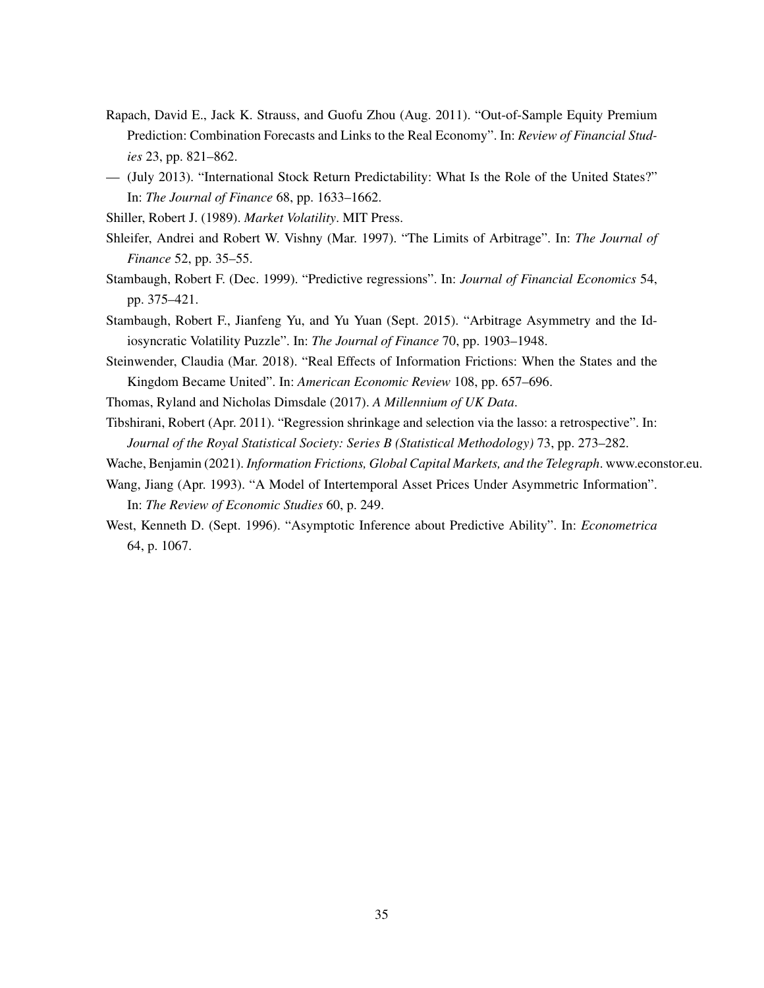- <span id="page-34-0"></span>Rapach, David E., Jack K. Strauss, and Guofu Zhou (Aug. 2011). "Out-of-Sample Equity Premium Prediction: Combination Forecasts and Links to the Real Economy". In: *Review of Financial Studies* 23, pp. 821–862.
- <span id="page-34-3"></span>— (July 2013). "International Stock Return Predictability: What Is the Role of the United States?" In: *The Journal of Finance* 68, pp. 1633–1662.

<span id="page-34-5"></span>Shiller, Robert J. (1989). *Market Volatility*. MIT Press.

- Shleifer, Andrei and Robert W. Vishny (Mar. 1997). "The Limits of Arbitrage". In: *The Journal of Finance* 52, pp. 35–55.
- Stambaugh, Robert F. (Dec. 1999). "Predictive regressions". In: *Journal of Financial Economics* 54, pp. 375–421.
- <span id="page-34-6"></span>Stambaugh, Robert F., Jianfeng Yu, and Yu Yuan (Sept. 2015). "Arbitrage Asymmetry and the Idiosyncratic Volatility Puzzle". In: *The Journal of Finance* 70, pp. 1903–1948.
- <span id="page-34-1"></span>Steinwender, Claudia (Mar. 2018). "Real Effects of Information Frictions: When the States and the Kingdom Became United". In: *American Economic Review* 108, pp. 657–696.
- <span id="page-34-4"></span>Thomas, Ryland and Nicholas Dimsdale (2017). *A Millennium of UK Data*.
- Tibshirani, Robert (Apr. 2011). "Regression shrinkage and selection via the lasso: a retrospective". In: *Journal of the Royal Statistical Society: Series B (Statistical Methodology)* 73, pp. 273–282.
- <span id="page-34-2"></span>Wache, Benjamin (2021). *Information Frictions, Global Capital Markets, and the Telegraph*. www.econstor.eu.
- Wang, Jiang (Apr. 1993). "A Model of Intertemporal Asset Prices Under Asymmetric Information". In: *The Review of Economic Studies* 60, p. 249.
- West, Kenneth D. (Sept. 1996). "Asymptotic Inference about Predictive Ability". In: *Econometrica* 64, p. 1067.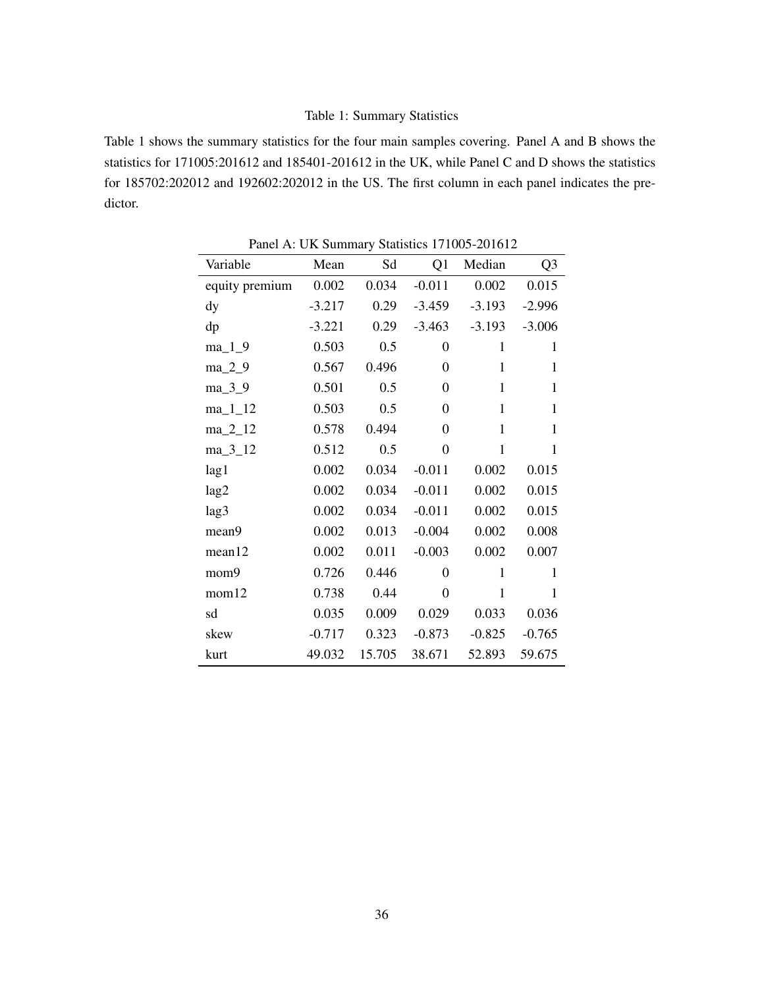### Table 1: Summary Statistics

<span id="page-35-0"></span>Table 1 shows the summary statistics for the four main samples covering. Panel A and B shows the statistics for 171005:201612 and 185401-201612 in the UK, while Panel C and D shows the statistics for 185702:202012 and 192602:202012 in the US. The first column in each panel indicates the predictor.

| Variable       | Mean     | Sd     | Q1             | Median       | Q <sub>3</sub> |
|----------------|----------|--------|----------------|--------------|----------------|
| equity premium | 0.002    | 0.034  | $-0.011$       | 0.002        | 0.015          |
| dy             | $-3.217$ | 0.29   | $-3.459$       | $-3.193$     | $-2.996$       |
| dp             | $-3.221$ | 0.29   | $-3.463$       | $-3.193$     | $-3.006$       |
| $ma_1_9$       | 0.503    | 0.5    | 0              | $\mathbf{1}$ | $\mathbf{1}$   |
| $ma_2_9$       | 0.567    | 0.496  | 0              | $\mathbf{1}$ | 1              |
| ma_3_9         | 0.501    | 0.5    | $\theta$       | $\mathbf{1}$ | $\mathbf{1}$   |
| $ma_11_12$     | 0.503    | 0.5    | 0              | $\mathbf{1}$ | $\mathbf{1}$   |
| ma_2_12        | 0.578    | 0.494  | $\theta$       | 1            | 1              |
| $ma_3_12$      | 0.512    | 0.5    | $\overline{0}$ | $\mathbf{1}$ | 1              |
| lag1           | 0.002    | 0.034  | $-0.011$       | 0.002        | 0.015          |
| lag2           | 0.002    | 0.034  | $-0.011$       | 0.002        | 0.015          |
| lag3           | 0.002    | 0.034  | $-0.011$       | 0.002        | 0.015          |
| mean9          | 0.002    | 0.013  | $-0.004$       | 0.002        | 0.008          |
| mean12         | 0.002    | 0.011  | $-0.003$       | 0.002        | 0.007          |
| mom9           | 0.726    | 0.446  | $\theta$       | 1            | 1              |
| mom12          | 0.738    | 0.44   | $\overline{0}$ | $\mathbf{1}$ | 1              |
| sd             | 0.035    | 0.009  | 0.029          | 0.033        | 0.036          |
| skew           | $-0.717$ | 0.323  | $-0.873$       | $-0.825$     | $-0.765$       |
| kurt           | 49.032   | 15.705 | 38.671         | 52.893       | 59.675         |

Panel A: UK Summary Statistics 171005-201612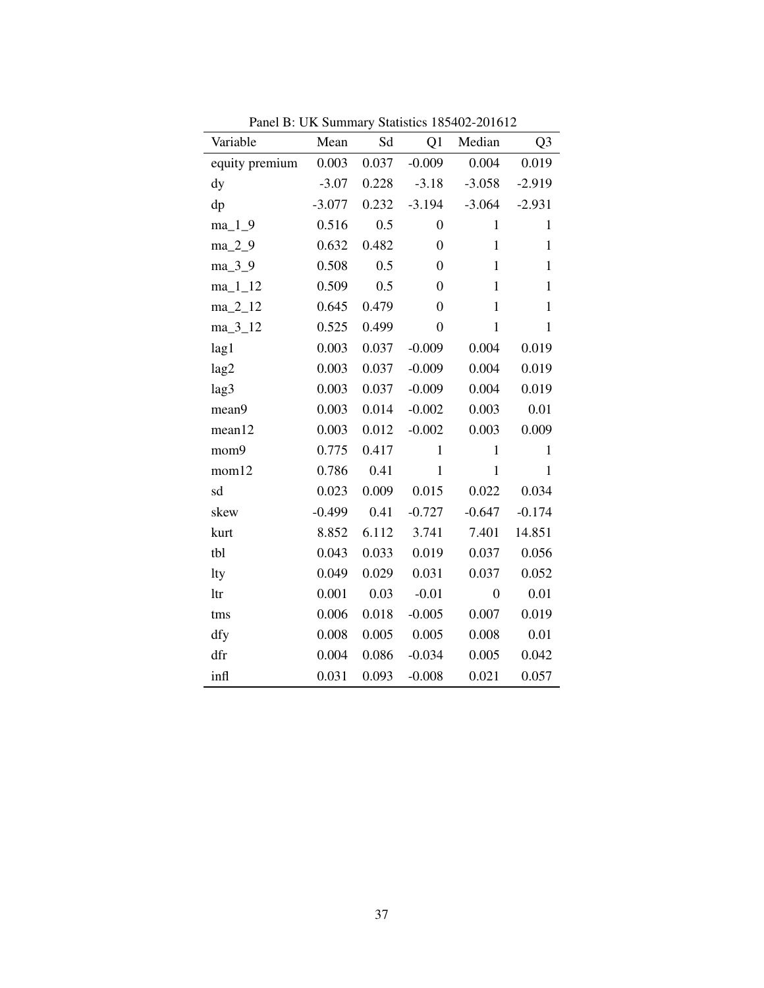| Variable               | Mean     | Sd    | Q1               | I and D. OK Summary Statistics 109+02-201012<br>Median | Q <sub>3</sub> |
|------------------------|----------|-------|------------------|--------------------------------------------------------|----------------|
| equity premium         | 0.003    | 0.037 | $-0.009$         | 0.004                                                  | 0.019          |
| $\mathrm{d}\mathrm{y}$ | $-3.07$  | 0.228 | $-3.18$          | $-3.058$                                               | $-2.919$       |
| dp                     | $-3.077$ | 0.232 | $-3.194$         | $-3.064$                                               | $-2.931$       |
| $ma_1_9$               | 0.516    | 0.5   | $\boldsymbol{0}$ | $\mathbf{1}$                                           | $\mathbf{1}$   |
| $ma_2_9$               | 0.632    | 0.482 | $\boldsymbol{0}$ | $\mathbf{1}$                                           | $\mathbf{1}$   |
| ma_3_9                 | 0.508    | 0.5   | $\overline{0}$   | $\mathbf{1}$                                           | $\mathbf{1}$   |
| $ma_11_12$             | 0.509    | 0.5   | $\overline{0}$   | $\mathbf{1}$                                           | $\mathbf{1}$   |
| $ma_2_12$              | 0.645    | 0.479 | 0                | $\mathbf{1}$                                           | $\mathbf{1}$   |
| $ma_3_12$              | 0.525    | 0.499 | $\overline{0}$   | $\mathbf{1}$                                           | $\mathbf{1}$   |
| lag1                   | 0.003    | 0.037 | $-0.009$         | 0.004                                                  | 0.019          |
| lag2                   | 0.003    | 0.037 | $-0.009$         | 0.004                                                  | 0.019          |
| lag3                   | 0.003    | 0.037 | $-0.009$         | 0.004                                                  | 0.019          |
| mean9                  | 0.003    | 0.014 | $-0.002$         | 0.003                                                  | 0.01           |
| mean12                 | 0.003    | 0.012 | $-0.002$         | 0.003                                                  | 0.009          |
| mom9                   | 0.775    | 0.417 | $\mathbf{1}$     | $\mathbf{1}$                                           | $\mathbf{1}$   |
| mom12                  | 0.786    | 0.41  | $\mathbf{1}$     | $\mathbf{1}$                                           | $\mathbf{1}$   |
| sd                     | 0.023    | 0.009 | 0.015            | 0.022                                                  | 0.034          |
| skew                   | $-0.499$ | 0.41  | $-0.727$         | $-0.647$                                               | $-0.174$       |
| kurt                   | 8.852    | 6.112 | 3.741            | 7.401                                                  | 14.851         |
| tbl                    | 0.043    | 0.033 | 0.019            | 0.037                                                  | 0.056          |
| lty                    | 0.049    | 0.029 | 0.031            | 0.037                                                  | 0.052          |
| ltr                    | 0.001    | 0.03  | $-0.01$          | $\overline{0}$                                         | 0.01           |
| tms                    | 0.006    | 0.018 | $-0.005$         | 0.007                                                  | 0.019          |
| dfy                    | 0.008    | 0.005 | 0.005            | 0.008                                                  | 0.01           |
| dfr                    | 0.004    | 0.086 | $-0.034$         | 0.005                                                  | 0.042          |
| infl                   | 0.031    | 0.093 | $-0.008$         | 0.021                                                  | 0.057          |

Panel B: UK Summary Statistics 185402-201612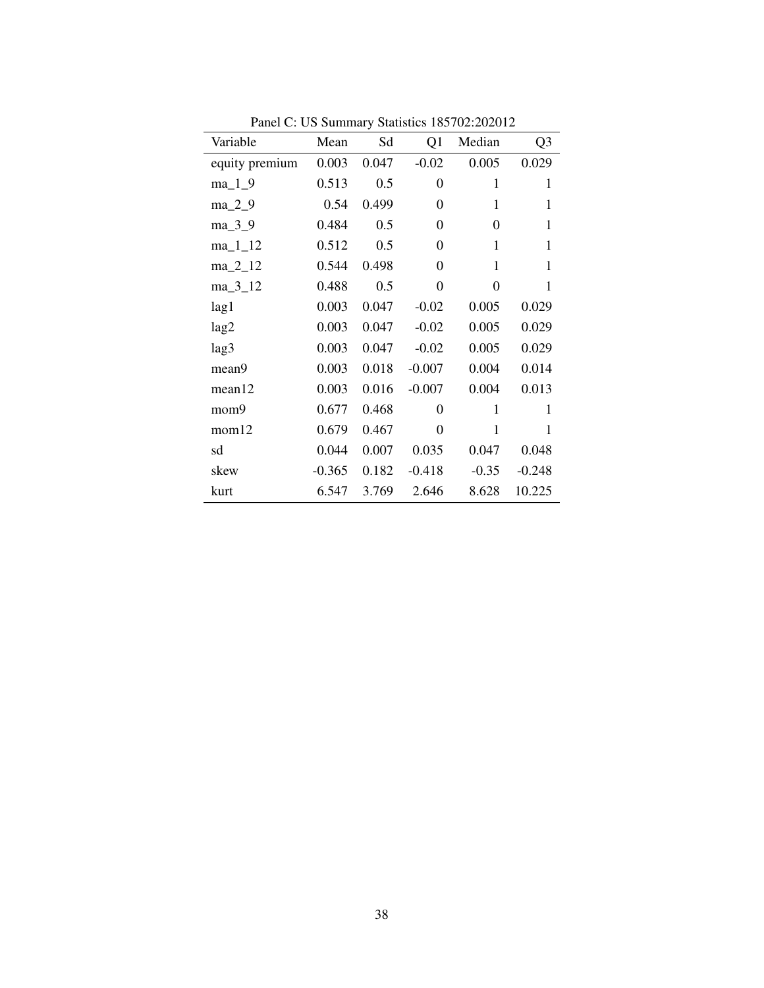| Variable       | Mean     | Sd    | Q <sub>1</sub> | Median       | Q3           |
|----------------|----------|-------|----------------|--------------|--------------|
| equity premium | 0.003    | 0.047 | $-0.02$        | 0.005        | 0.029        |
| $ma_1_9$       | 0.513    | 0.5   | $\theta$       | 1            | 1            |
| $ma_2_9$       | 0.54     | 0.499 | $\theta$       | $\mathbf{1}$ | 1            |
| ma_3_9         | 0.484    | 0.5   | $\theta$       | 0            | $\mathbf{1}$ |
| $ma_11_12$     | 0.512    | 0.5   | $\theta$       | 1            | $\mathbf{1}$ |
| $ma_2_12$      | 0.544    | 0.498 | $\theta$       | $\mathbf{1}$ | $\mathbf{1}$ |
| $ma_3_12$      | 0.488    | 0.5   | $\theta$       | 0            | 1            |
| lag1           | 0.003    | 0.047 | $-0.02$        | 0.005        | 0.029        |
| lag2           | 0.003    | 0.047 | $-0.02$        | 0.005        | 0.029        |
| lag3           | 0.003    | 0.047 | $-0.02$        | 0.005        | 0.029        |
| mean9          | 0.003    | 0.018 | $-0.007$       | 0.004        | 0.014        |
| mean12         | 0.003    | 0.016 | $-0.007$       | 0.004        | 0.013        |
| mom9           | 0.677    | 0.468 | 0              | $\mathbf{1}$ | 1            |
| mom12          | 0.679    | 0.467 | $\theta$       | $\mathbf{1}$ | 1            |
| sd             | 0.044    | 0.007 | 0.035          | 0.047        | 0.048        |
| skew           | $-0.365$ | 0.182 | $-0.418$       | $-0.35$      | $-0.248$     |
| kurt           | 6.547    | 3.769 | 2.646          | 8.628        | 10.225       |

Panel C: US Summary Statistics 185702:202012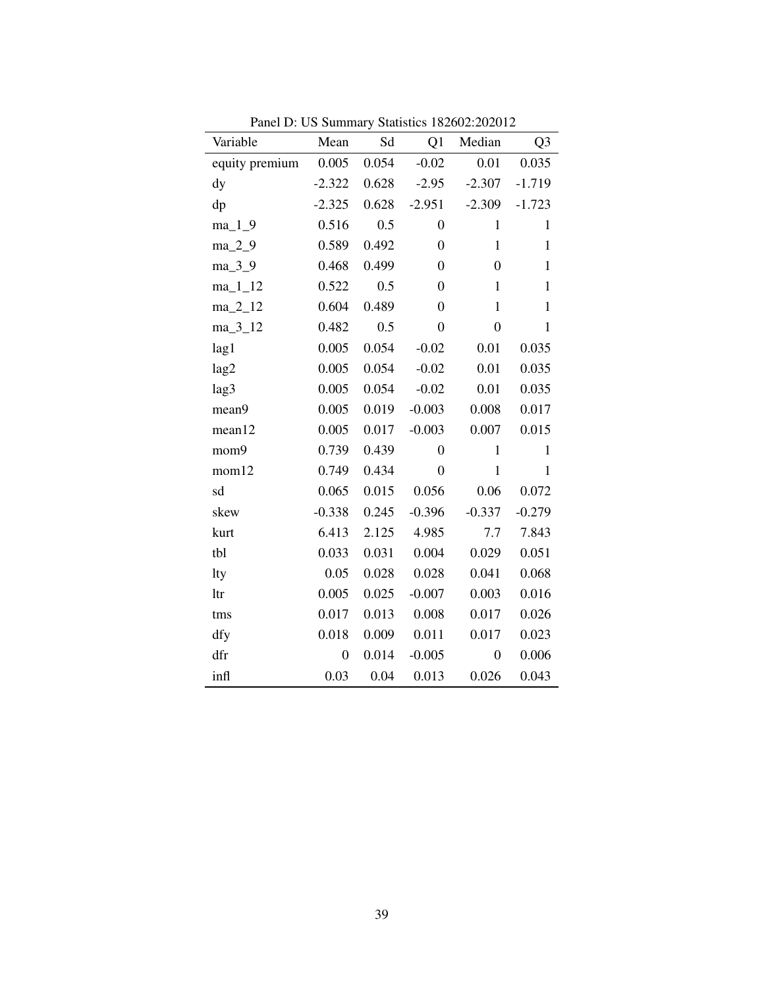| Variable       | Mean             | Sd    | Q1               | Median           | Q <sub>3</sub> |
|----------------|------------------|-------|------------------|------------------|----------------|
| equity premium | 0.005            | 0.054 | $-0.02$          | 0.01             | 0.035          |
| dy             | $-2.322$         | 0.628 | $-2.95$          | $-2.307$         | $-1.719$       |
| dp             | $-2.325$         | 0.628 | $-2.951$         | $-2.309$         | $-1.723$       |
| $ma_1_9$       | 0.516            | 0.5   | $\boldsymbol{0}$ | $\mathbf{1}$     | $\mathbf{1}$   |
| $ma_2_9$       | 0.589            | 0.492 | $\boldsymbol{0}$ | $\mathbf{1}$     | $\mathbf{1}$   |
| ma_3_9         | 0.468            | 0.499 | $\boldsymbol{0}$ | $\boldsymbol{0}$ | $\mathbf{1}$   |
| $ma_11_12$     | 0.522            | 0.5   | $\boldsymbol{0}$ | $\mathbf{1}$     | $\mathbf{1}$   |
| $ma_2_12$      | 0.604            | 0.489 | $\boldsymbol{0}$ | $\mathbf{1}$     | $\mathbf{1}$   |
| $ma_3_12$      | 0.482            | 0.5   | $\overline{0}$   | $\overline{0}$   | $\mathbf{1}$   |
| lag1           | 0.005            | 0.054 | $-0.02$          | 0.01             | 0.035          |
| lag2           | 0.005            | 0.054 | $-0.02$          | 0.01             | 0.035          |
| lag3           | 0.005            | 0.054 | $-0.02$          | 0.01             | 0.035          |
| mean9          | 0.005            | 0.019 | $-0.003$         | 0.008            | 0.017          |
| mean12         | 0.005            | 0.017 | $-0.003$         | 0.007            | 0.015          |
| mom9           | 0.739            | 0.439 | $\overline{0}$   | $\mathbf{1}$     | $\mathbf{1}$   |
| mom12          | 0.749            | 0.434 | $\boldsymbol{0}$ | $\mathbf{1}$     | $\mathbf{1}$   |
| sd             | 0.065            | 0.015 | 0.056            | 0.06             | 0.072          |
| skew           | $-0.338$         | 0.245 | $-0.396$         | $-0.337$         | $-0.279$       |
| kurt           | 6.413            | 2.125 | 4.985            | 7.7              | 7.843          |
| tbl            | 0.033            | 0.031 | 0.004            | 0.029            | 0.051          |
| lty            | 0.05             | 0.028 | 0.028            | 0.041            | 0.068          |
| ltr            | 0.005            | 0.025 | $-0.007$         | 0.003            | 0.016          |
| tms            | 0.017            | 0.013 | 0.008            | 0.017            | 0.026          |
| dfy            | 0.018            | 0.009 | 0.011            | 0.017            | 0.023          |
| dfr            | $\boldsymbol{0}$ | 0.014 | $-0.005$         | $\overline{0}$   | 0.006          |
| infl           | 0.03             | 0.04  | 0.013            | 0.026            | 0.043          |

Panel D: US Summary Statistics 182602:202012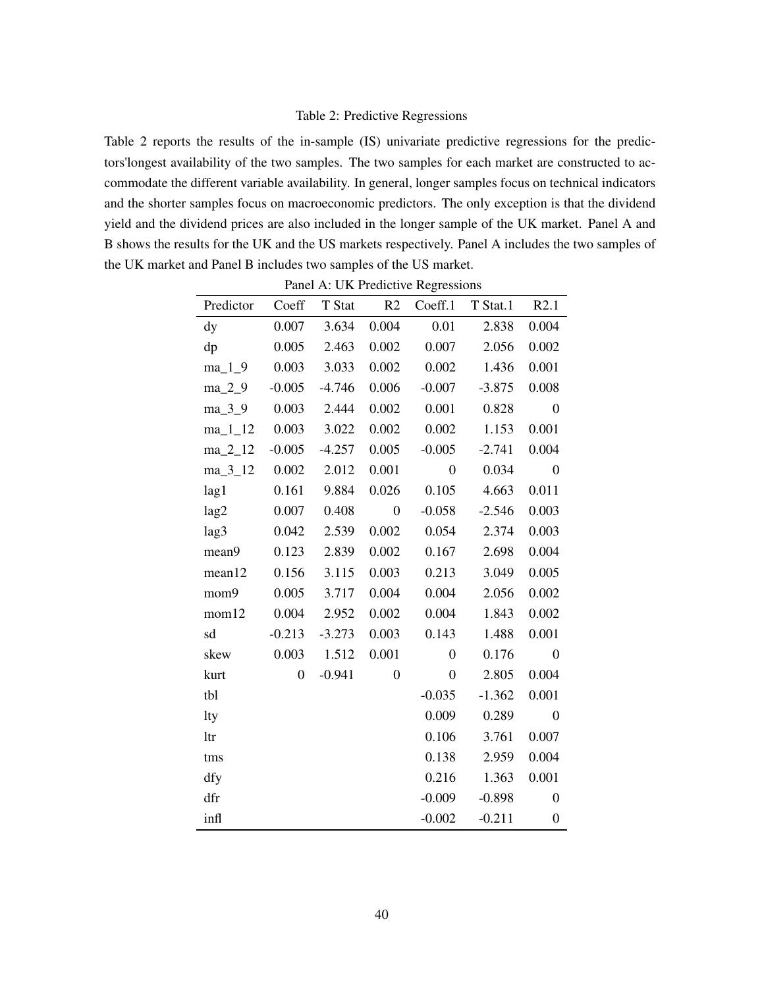## Table 2: Predictive Regressions

Table 2 reports the results of the in-sample (IS) univariate predictive regressions for the predictors'longest availability of the two samples. The two samples for each market are constructed to accommodate the different variable availability. In general, longer samples focus on technical indicators and the shorter samples focus on macroeconomic predictors. The only exception is that the dividend yield and the dividend prices are also included in the longer sample of the UK market. Panel A and B shows the results for the UK and the US markets respectively. Panel A includes the two samples of the UK market and Panel B includes two samples of the US market.

|            |                |          |                | Panel A: UK Predictive Regressions |          |                  |
|------------|----------------|----------|----------------|------------------------------------|----------|------------------|
| Predictor  | Coeff          | T Stat   | R2             | Coeff.1                            | T Stat.1 | R2.1             |
| dy         | 0.007          | 3.634    | 0.004          | 0.01                               | 2.838    | 0.004            |
| dp         | 0.005          | 2.463    | 0.002          | 0.007                              | 2.056    | 0.002            |
| $ma_1_9$   | 0.003          | 3.033    | 0.002          | 0.002                              | 1.436    | 0.001            |
| $ma_2_9$   | $-0.005$       | $-4.746$ | 0.006          | $-0.007$                           | $-3.875$ | 0.008            |
| ma_3_9     | 0.003          | 2.444    | 0.002          | 0.001                              | 0.828    | $\overline{0}$   |
| $ma_11_12$ | 0.003          | 3.022    | 0.002          | 0.002                              | 1.153    | 0.001            |
| $ma_2_12$  | $-0.005$       | $-4.257$ | 0.005          | $-0.005$                           | $-2.741$ | 0.004            |
| $ma_3_12$  | 0.002          | 2.012    | 0.001          | $\overline{0}$                     | 0.034    | $\mathbf{0}$     |
| lag1       | 0.161          | 9.884    | 0.026          | 0.105                              | 4.663    | 0.011            |
| lag2       | 0.007          | 0.408    | $\overline{0}$ | $-0.058$                           | $-2.546$ | 0.003            |
| lag3       | 0.042          | 2.539    | 0.002          | 0.054                              | 2.374    | 0.003            |
| mean9      | 0.123          | 2.839    | 0.002          | 0.167                              | 2.698    | 0.004            |
| mean12     | 0.156          | 3.115    | 0.003          | 0.213                              | 3.049    | 0.005            |
| mom9       | 0.005          | 3.717    | 0.004          | 0.004                              | 2.056    | 0.002            |
| mom12      | 0.004          | 2.952    | 0.002          | 0.004                              | 1.843    | 0.002            |
| sd         | $-0.213$       | $-3.273$ | 0.003          | 0.143                              | 1.488    | 0.001            |
| skew       | 0.003          | 1.512    | 0.001          | $\overline{0}$                     | 0.176    | $\theta$         |
| kurt       | $\overline{0}$ | $-0.941$ | $\overline{0}$ | $\overline{0}$                     | 2.805    | 0.004            |
| tbl        |                |          |                | $-0.035$                           | $-1.362$ | 0.001            |
| lty        |                |          |                | 0.009                              | 0.289    | $\overline{0}$   |
| ltr        |                |          |                | 0.106                              | 3.761    | 0.007            |
| tms        |                |          |                | 0.138                              | 2.959    | 0.004            |
| dfy        |                |          |                | 0.216                              | 1.363    | 0.001            |
| dfr        |                |          |                | $-0.009$                           | $-0.898$ | $\overline{0}$   |
| infl       |                |          |                | $-0.002$                           | $-0.211$ | $\boldsymbol{0}$ |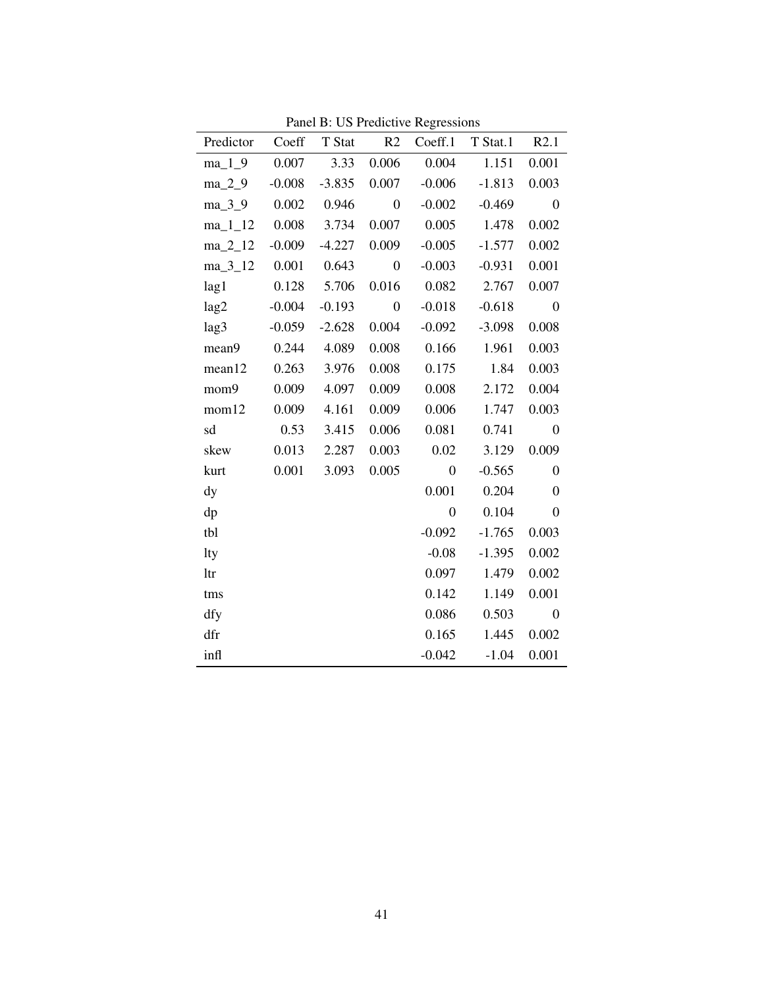| Predictor Coeff T Stat R2 |             |          |                  |                | Coeff.1 T Stat.1 R2.1 |                  |
|---------------------------|-------------|----------|------------------|----------------|-----------------------|------------------|
| $ma_1_9$                  | 0.007       | 3.33     | 0.006            | 0.004          | 1.151                 | 0.001            |
| ma 2 9                    | $-0.008$    | $-3.835$ | 0.007            | $-0.006$       | $-1.813$              | 0.003            |
| $ma_3_9$                  | 0.002       | 0.946    | $\boldsymbol{0}$ | $-0.002$       | $-0.469$              | $\boldsymbol{0}$ |
| $ma_11_2$ 0.008 3.734     |             |          | 0.007            |                | 0.005 1.478           | 0.002            |
| $ma_2_12$                 | $-0.009$    | $-4.227$ | 0.009            | $-0.005$       | $-1.577$              | 0.002            |
| $ma_3_12$ 0.001           |             | 0.643    | $\boldsymbol{0}$ | $-0.003$       | $-0.931$              | 0.001            |
| lag1                      | 0.128 5.706 |          | 0.016            |                | $0.082$ 2.767         | 0.007            |
| lag2                      | $-0.004$    | $-0.193$ | $\boldsymbol{0}$ | $-0.018$       | $-0.618$              | $\mathbf{0}$     |
| lag3                      | $-0.059$    | $-2.628$ | 0.004            | $-0.092$       | $-3.098$              | 0.008            |
| mean9                     | 0.244       | 4.089    | 0.008            | 0.166          | 1.961                 | 0.003            |
| mean12                    | 0.263       | 3.976    | 0.008            | 0.175          | 1.84                  | 0.003            |
| mom9                      | 0.009       | 4.097    | 0.009            | 0.008          | 2.172                 | 0.004            |
| mom12                     | 0.009       | 4.161    | 0.009            | 0.006          | 1.747                 | 0.003            |
| sd                        | 0.53        | 3.415    | 0.006            | 0.081          | 0.741                 | $\mathbf{0}$     |
| skew                      | 0.013       | 2.287    | 0.003            | 0.02           | 3.129                 | 0.009            |
| kurt                      | 0.001       | 3.093    | 0.005            | $\mathbf{0}$   | $-0.565$              | $\boldsymbol{0}$ |
| dy                        |             |          |                  | 0.001          | 0.204                 | $\mathbf{0}$     |
| dp                        |             |          |                  | $\overline{0}$ | 0.104                 | $\mathbf{0}$     |
| tbl                       |             |          |                  | $-0.092$       | $-1.765$              | 0.003            |
| lty                       |             |          |                  | $-0.08$        | $-1.395$              | 0.002            |
| ltr                       |             |          |                  | 0.097          | 1.479                 | 0.002            |
| tms                       |             |          |                  | 0.142          | 1.149                 | 0.001            |
| dfy                       |             |          |                  | 0.086          | 0.503                 | $\boldsymbol{0}$ |
| dfr                       |             |          |                  | 0.165          | 1.445                 | 0.002            |
| infl                      |             |          |                  | $-0.042$       | $-1.04$               | 0.001            |

Panel B: US Predictive Regressions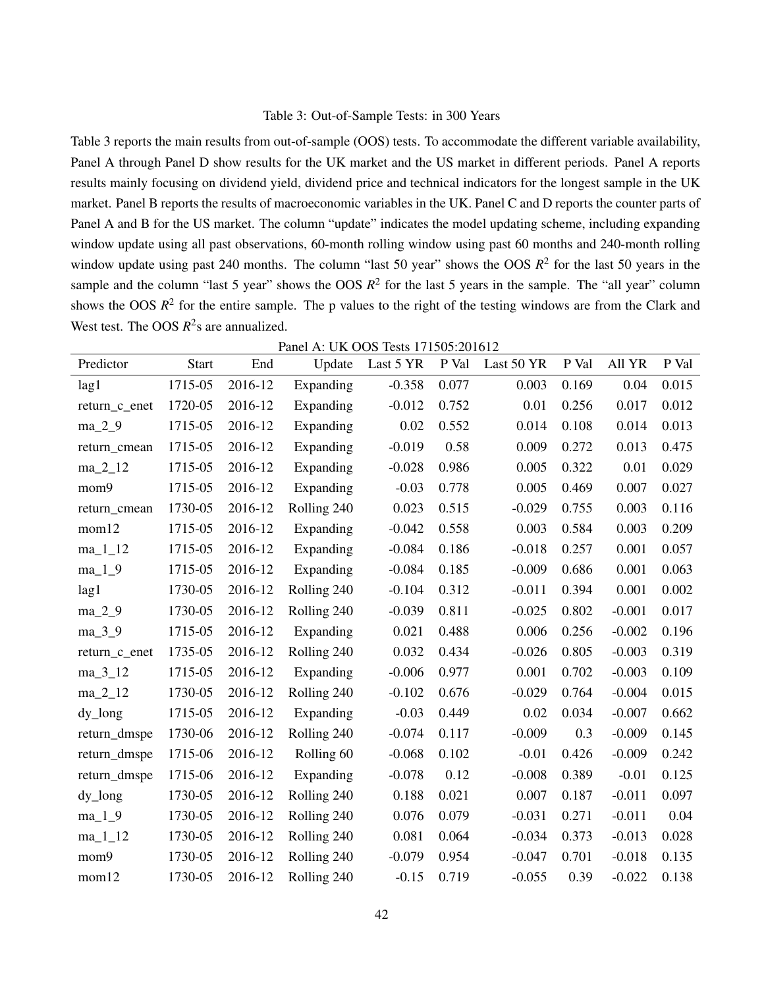## Table 3: Out-of-Sample Tests: in 300 Years

Table 3 reports the main results from out-of-sample (OOS) tests. To accommodate the different variable availability, Panel A through Panel D show results for the UK market and the US market in different periods. Panel A reports results mainly focusing on dividend yield, dividend price and technical indicators for the longest sample in the UK market. Panel B reports the results of macroeconomic variables in the UK. Panel C and D reports the counter parts of Panel A and B for the US market. The column "update" indicates the model updating scheme, including expanding window update using all past observations, 60-month rolling window using past 60 months and 240-month rolling window update using past 240 months. The column "last 50 year" shows the OOS  $R^2$  for the last 50 years in the sample and the column "last 5 year" shows the OOS  $R^2$  for the last 5 years in the sample. The "all year" column shows the OOS  $R^2$  for the entire sample. The p values to the right of the testing windows are from the Clark and West test. The OOS  $R^2$ s are annualized.

|               |              |         | Panel A: UK OOS Tests 171505:201612 |           |       |            |       |          |       |
|---------------|--------------|---------|-------------------------------------|-----------|-------|------------|-------|----------|-------|
| Predictor     | <b>Start</b> | End     | Update                              | Last 5 YR | P Val | Last 50 YR | P Val | All YR   | P Val |
| lag1          | 1715-05      | 2016-12 | Expanding                           | $-0.358$  | 0.077 | 0.003      | 0.169 | 0.04     | 0.015 |
| return_c_enet | 1720-05      | 2016-12 | Expanding                           | $-0.012$  | 0.752 | 0.01       | 0.256 | 0.017    | 0.012 |
| $ma_2_9$      | 1715-05      | 2016-12 | Expanding                           | 0.02      | 0.552 | 0.014      | 0.108 | 0.014    | 0.013 |
| return cmean  | 1715-05      | 2016-12 | Expanding                           | $-0.019$  | 0.58  | 0.009      | 0.272 | 0.013    | 0.475 |
| $ma_2_12$     | 1715-05      | 2016-12 | Expanding                           | $-0.028$  | 0.986 | 0.005      | 0.322 | 0.01     | 0.029 |
| mom9          | 1715-05      | 2016-12 | Expanding                           | $-0.03$   | 0.778 | 0.005      | 0.469 | 0.007    | 0.027 |
| return_cmean  | 1730-05      | 2016-12 | Rolling 240                         | 0.023     | 0.515 | $-0.029$   | 0.755 | 0.003    | 0.116 |
| mom12         | 1715-05      | 2016-12 | Expanding                           | $-0.042$  | 0.558 | 0.003      | 0.584 | 0.003    | 0.209 |
| $ma_11_12$    | 1715-05      | 2016-12 | Expanding                           | $-0.084$  | 0.186 | $-0.018$   | 0.257 | 0.001    | 0.057 |
| $ma_1_9$      | 1715-05      | 2016-12 | Expanding                           | $-0.084$  | 0.185 | $-0.009$   | 0.686 | 0.001    | 0.063 |
| lag1          | 1730-05      | 2016-12 | Rolling 240                         | $-0.104$  | 0.312 | $-0.011$   | 0.394 | 0.001    | 0.002 |
| $ma_2_9$      | 1730-05      | 2016-12 | Rolling 240                         | $-0.039$  | 0.811 | $-0.025$   | 0.802 | $-0.001$ | 0.017 |
| ma_3_9        | 1715-05      | 2016-12 | Expanding                           | 0.021     | 0.488 | 0.006      | 0.256 | $-0.002$ | 0.196 |
| return_c_enet | 1735-05      | 2016-12 | Rolling 240                         | 0.032     | 0.434 | $-0.026$   | 0.805 | $-0.003$ | 0.319 |
| $ma_3_12$     | 1715-05      | 2016-12 | Expanding                           | $-0.006$  | 0.977 | 0.001      | 0.702 | $-0.003$ | 0.109 |
| $ma_2_12$     | 1730-05      | 2016-12 | Rolling 240                         | $-0.102$  | 0.676 | $-0.029$   | 0.764 | $-0.004$ | 0.015 |
| $dy_{long}$   | 1715-05      | 2016-12 | Expanding                           | $-0.03$   | 0.449 | 0.02       | 0.034 | $-0.007$ | 0.662 |
| return_dmspe  | 1730-06      | 2016-12 | Rolling 240                         | $-0.074$  | 0.117 | $-0.009$   | 0.3   | $-0.009$ | 0.145 |
| return_dmspe  | 1715-06      | 2016-12 | Rolling 60                          | $-0.068$  | 0.102 | $-0.01$    | 0.426 | $-0.009$ | 0.242 |
| return_dmspe  | 1715-06      | 2016-12 | Expanding                           | $-0.078$  | 0.12  | $-0.008$   | 0.389 | $-0.01$  | 0.125 |
| $dy_{long}$   | 1730-05      | 2016-12 | Rolling 240                         | 0.188     | 0.021 | 0.007      | 0.187 | $-0.011$ | 0.097 |
| $ma_1_9$      | 1730-05      | 2016-12 | Rolling 240                         | 0.076     | 0.079 | $-0.031$   | 0.271 | $-0.011$ | 0.04  |
| $ma_11_12$    | 1730-05      | 2016-12 | Rolling 240                         | 0.081     | 0.064 | $-0.034$   | 0.373 | $-0.013$ | 0.028 |
| mom9          | 1730-05      | 2016-12 | Rolling 240                         | $-0.079$  | 0.954 | $-0.047$   | 0.701 | $-0.018$ | 0.135 |
| mom12         | 1730-05      | 2016-12 | Rolling 240                         | $-0.15$   | 0.719 | $-0.055$   | 0.39  | $-0.022$ | 0.138 |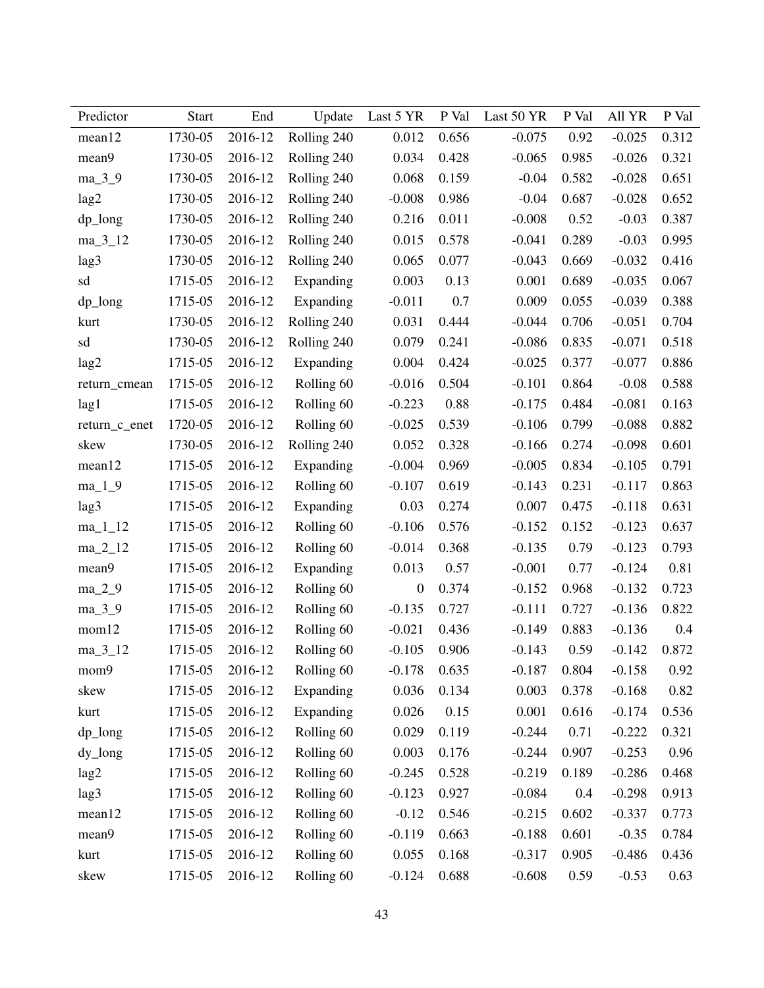| Predictor     | <b>Start</b> | End     | Update      | Last 5 YR        | P Val | Last 50 YR | P Val | All YR   | P Val |
|---------------|--------------|---------|-------------|------------------|-------|------------|-------|----------|-------|
| mean12        | 1730-05      | 2016-12 | Rolling 240 | 0.012            | 0.656 | $-0.075$   | 0.92  | $-0.025$ | 0.312 |
| mean9         | 1730-05      | 2016-12 | Rolling 240 | 0.034            | 0.428 | $-0.065$   | 0.985 | $-0.026$ | 0.321 |
| ma_3_9        | 1730-05      | 2016-12 | Rolling 240 | 0.068            | 0.159 | $-0.04$    | 0.582 | $-0.028$ | 0.651 |
| lag2          | 1730-05      | 2016-12 | Rolling 240 | $-0.008$         | 0.986 | $-0.04$    | 0.687 | $-0.028$ | 0.652 |
| dp_long       | 1730-05      | 2016-12 | Rolling 240 | 0.216            | 0.011 | $-0.008$   | 0.52  | $-0.03$  | 0.387 |
| $ma_3_12$     | 1730-05      | 2016-12 | Rolling 240 | 0.015            | 0.578 | $-0.041$   | 0.289 | $-0.03$  | 0.995 |
| lag3          | 1730-05      | 2016-12 | Rolling 240 | 0.065            | 0.077 | $-0.043$   | 0.669 | $-0.032$ | 0.416 |
| sd            | 1715-05      | 2016-12 | Expanding   | 0.003            | 0.13  | 0.001      | 0.689 | $-0.035$ | 0.067 |
| $dp_l$        | 1715-05      | 2016-12 | Expanding   | $-0.011$         | 0.7   | 0.009      | 0.055 | $-0.039$ | 0.388 |
| kurt          | 1730-05      | 2016-12 | Rolling 240 | 0.031            | 0.444 | $-0.044$   | 0.706 | $-0.051$ | 0.704 |
| sd            | 1730-05      | 2016-12 | Rolling 240 | 0.079            | 0.241 | $-0.086$   | 0.835 | $-0.071$ | 0.518 |
| lag2          | 1715-05      | 2016-12 | Expanding   | 0.004            | 0.424 | $-0.025$   | 0.377 | $-0.077$ | 0.886 |
| return_cmean  | 1715-05      | 2016-12 | Rolling 60  | $-0.016$         | 0.504 | $-0.101$   | 0.864 | $-0.08$  | 0.588 |
| lag1          | 1715-05      | 2016-12 | Rolling 60  | $-0.223$         | 0.88  | $-0.175$   | 0.484 | $-0.081$ | 0.163 |
| return_c_enet | 1720-05      | 2016-12 | Rolling 60  | $-0.025$         | 0.539 | $-0.106$   | 0.799 | $-0.088$ | 0.882 |
| skew          | 1730-05      | 2016-12 | Rolling 240 | 0.052            | 0.328 | $-0.166$   | 0.274 | $-0.098$ | 0.601 |
| mean12        | 1715-05      | 2016-12 | Expanding   | $-0.004$         | 0.969 | $-0.005$   | 0.834 | $-0.105$ | 0.791 |
| $ma_1_9$      | 1715-05      | 2016-12 | Rolling 60  | $-0.107$         | 0.619 | $-0.143$   | 0.231 | $-0.117$ | 0.863 |
| lag3          | 1715-05      | 2016-12 | Expanding   | 0.03             | 0.274 | 0.007      | 0.475 | $-0.118$ | 0.631 |
| $ma_11_12$    | 1715-05      | 2016-12 | Rolling 60  | $-0.106$         | 0.576 | $-0.152$   | 0.152 | $-0.123$ | 0.637 |
| $ma_2_12$     | 1715-05      | 2016-12 | Rolling 60  | $-0.014$         | 0.368 | $-0.135$   | 0.79  | $-0.123$ | 0.793 |
| mean9         | 1715-05      | 2016-12 | Expanding   | 0.013            | 0.57  | $-0.001$   | 0.77  | $-0.124$ | 0.81  |
| $ma_2_9$      | 1715-05      | 2016-12 | Rolling 60  | $\boldsymbol{0}$ | 0.374 | $-0.152$   | 0.968 | $-0.132$ | 0.723 |
| $ma_3_9$      | 1715-05      | 2016-12 | Rolling 60  | $-0.135$         | 0.727 | $-0.111$   | 0.727 | $-0.136$ | 0.822 |
| mom12         | 1715-05      | 2016-12 | Rolling 60  | $-0.021$         | 0.436 | $-0.149$   | 0.883 | $-0.136$ | 0.4   |
| $ma_3_12$     | 1715-05      | 2016-12 | Rolling 60  | $-0.105$         | 0.906 | $-0.143$   | 0.59  | $-0.142$ | 0.872 |
| mom9          | 1715-05      | 2016-12 | Rolling 60  | $-0.178$         | 0.635 | $-0.187$   | 0.804 | $-0.158$ | 0.92  |
| skew          | 1715-05      | 2016-12 | Expanding   | 0.036            | 0.134 | 0.003      | 0.378 | $-0.168$ | 0.82  |
| kurt          | 1715-05      | 2016-12 | Expanding   | 0.026            | 0.15  | 0.001      | 0.616 | $-0.174$ | 0.536 |
| dp_long       | 1715-05      | 2016-12 | Rolling 60  | 0.029            | 0.119 | $-0.244$   | 0.71  | $-0.222$ | 0.321 |
| dy_long       | 1715-05      | 2016-12 | Rolling 60  | 0.003            | 0.176 | $-0.244$   | 0.907 | $-0.253$ | 0.96  |
| lag2          | 1715-05      | 2016-12 | Rolling 60  | $-0.245$         | 0.528 | $-0.219$   | 0.189 | $-0.286$ | 0.468 |
| lag3          | 1715-05      | 2016-12 | Rolling 60  | $-0.123$         | 0.927 | $-0.084$   | 0.4   | $-0.298$ | 0.913 |
| mean12        | 1715-05      | 2016-12 | Rolling 60  | $-0.12$          | 0.546 | $-0.215$   | 0.602 | $-0.337$ | 0.773 |
| mean9         | 1715-05      | 2016-12 | Rolling 60  | $-0.119$         | 0.663 | $-0.188$   | 0.601 | $-0.35$  | 0.784 |
| kurt          | 1715-05      | 2016-12 | Rolling 60  | 0.055            | 0.168 | $-0.317$   | 0.905 | $-0.486$ | 0.436 |
| skew          | 1715-05      | 2016-12 | Rolling 60  | $-0.124$         | 0.688 | $-0.608$   | 0.59  | $-0.53$  | 0.63  |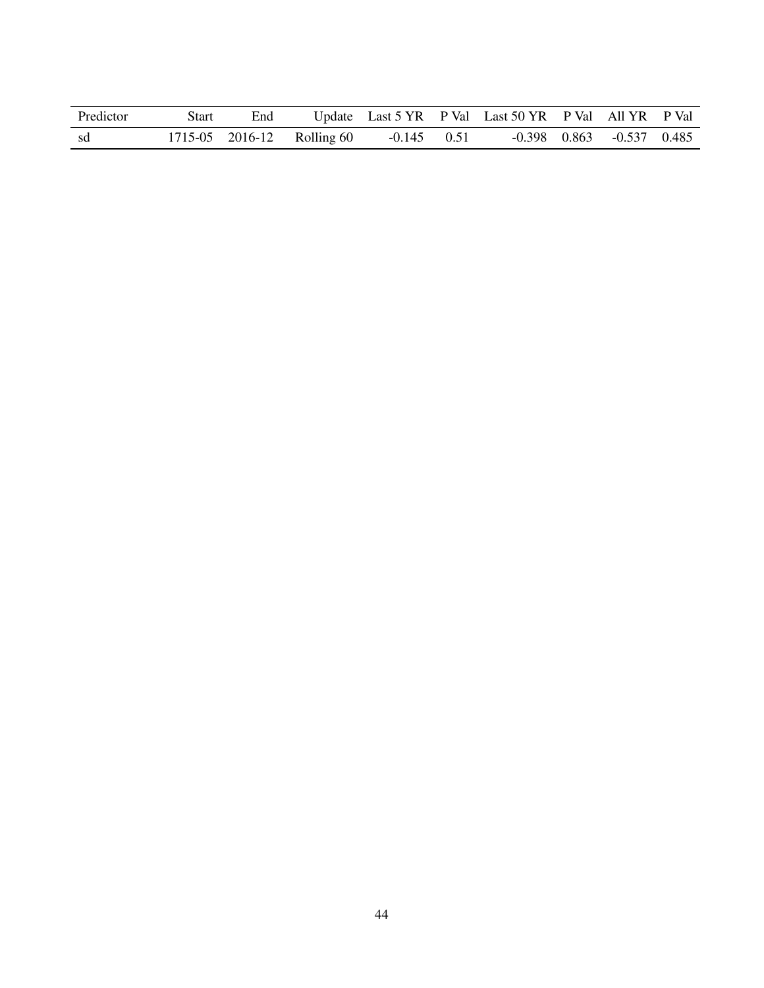| Predictor | Start | End |                            |               | Update Last 5 YR P Val Last 50 YR P Val All YR P Val |                                   |  |
|-----------|-------|-----|----------------------------|---------------|------------------------------------------------------|-----------------------------------|--|
| -sd       |       |     | 1715-05 2016-12 Rolling 60 | $-0.145$ 0.51 |                                                      | $-0.398$ $0.863$ $-0.537$ $0.485$ |  |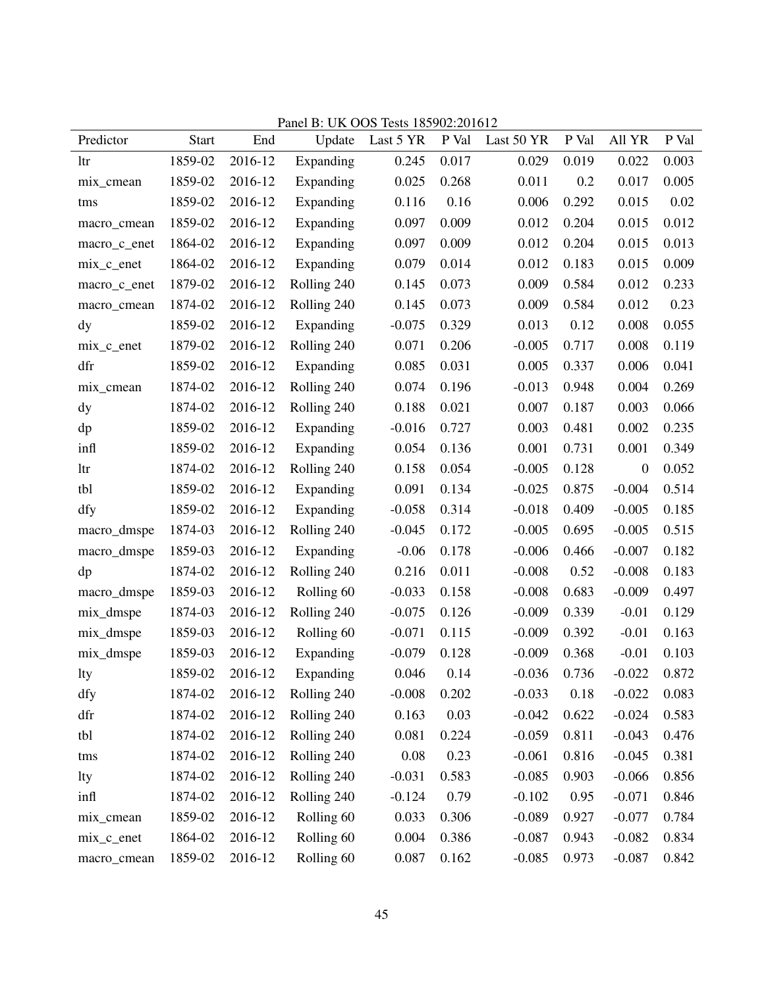|               |              |         | Patiel D. UN UUS TESIS 10J902.201012 |           |       |            |       |                  |       |
|---------------|--------------|---------|--------------------------------------|-----------|-------|------------|-------|------------------|-------|
| Predictor     | <b>Start</b> | End     | Update                               | Last 5 YR | P Val | Last 50 YR | P Val | All YR           | P Val |
| ltr           | 1859-02      | 2016-12 | Expanding                            | 0.245     | 0.017 | 0.029      | 0.019 | 0.022            | 0.003 |
| mix_cmean     | 1859-02      | 2016-12 | Expanding                            | 0.025     | 0.268 | 0.011      | 0.2   | 0.017            | 0.005 |
| tms           | 1859-02      | 2016-12 | Expanding                            | 0.116     | 0.16  | 0.006      | 0.292 | 0.015            | 0.02  |
| macro_cmean   | 1859-02      | 2016-12 | Expanding                            | 0.097     | 0.009 | 0.012      | 0.204 | 0.015            | 0.012 |
| macro_c_enet  | 1864-02      | 2016-12 | Expanding                            | 0.097     | 0.009 | 0.012      | 0.204 | 0.015            | 0.013 |
| $mix_c$ enet  | 1864-02      | 2016-12 | Expanding                            | 0.079     | 0.014 | 0.012      | 0.183 | 0.015            | 0.009 |
| macro_c_enet  | 1879-02      | 2016-12 | Rolling 240                          | 0.145     | 0.073 | 0.009      | 0.584 | 0.012            | 0.233 |
| macro_cmean   | 1874-02      | 2016-12 | Rolling 240                          | 0.145     | 0.073 | 0.009      | 0.584 | 0.012            | 0.23  |
| $\mathbf{dy}$ | 1859-02      | 2016-12 | Expanding                            | $-0.075$  | 0.329 | 0.013      | 0.12  | 0.008            | 0.055 |
| $mix_c$ enet  | 1879-02      | 2016-12 | Rolling 240                          | 0.071     | 0.206 | $-0.005$   | 0.717 | 0.008            | 0.119 |
| dfr           | 1859-02      | 2016-12 | Expanding                            | 0.085     | 0.031 | 0.005      | 0.337 | 0.006            | 0.041 |
| mix_cmean     | 1874-02      | 2016-12 | Rolling 240                          | 0.074     | 0.196 | $-0.013$   | 0.948 | 0.004            | 0.269 |
| $\mathbf{dy}$ | 1874-02      | 2016-12 | Rolling 240                          | 0.188     | 0.021 | 0.007      | 0.187 | 0.003            | 0.066 |
| dp            | 1859-02      | 2016-12 | Expanding                            | $-0.016$  | 0.727 | 0.003      | 0.481 | 0.002            | 0.235 |
| infl          | 1859-02      | 2016-12 | Expanding                            | 0.054     | 0.136 | 0.001      | 0.731 | 0.001            | 0.349 |
| ltr           | 1874-02      | 2016-12 | Rolling 240                          | 0.158     | 0.054 | $-0.005$   | 0.128 | $\boldsymbol{0}$ | 0.052 |
| tbl           | 1859-02      | 2016-12 | Expanding                            | 0.091     | 0.134 | $-0.025$   | 0.875 | $-0.004$         | 0.514 |
| dfy           | 1859-02      | 2016-12 | Expanding                            | $-0.058$  | 0.314 | $-0.018$   | 0.409 | $-0.005$         | 0.185 |
| macro_dmspe   | 1874-03      | 2016-12 | Rolling 240                          | $-0.045$  | 0.172 | $-0.005$   | 0.695 | $-0.005$         | 0.515 |
| macro_dmspe   | 1859-03      | 2016-12 | Expanding                            | $-0.06$   | 0.178 | $-0.006$   | 0.466 | $-0.007$         | 0.182 |
| dp            | 1874-02      | 2016-12 | Rolling 240                          | 0.216     | 0.011 | $-0.008$   | 0.52  | $-0.008$         | 0.183 |
| macro_dmspe   | 1859-03      | 2016-12 | Rolling 60                           | $-0.033$  | 0.158 | $-0.008$   | 0.683 | $-0.009$         | 0.497 |
| mix_dmspe     | 1874-03      | 2016-12 | Rolling 240                          | $-0.075$  | 0.126 | $-0.009$   | 0.339 | $-0.01$          | 0.129 |
| mix_dmspe     | 1859-03      | 2016-12 | Rolling 60                           | $-0.071$  | 0.115 | $-0.009$   | 0.392 | $-0.01$          | 0.163 |
| mix dmspe     | 1859-03      | 2016-12 | Expanding                            | $-0.079$  | 0.128 | $-0.009$   | 0.368 | $-0.01$          | 0.103 |
| lty           | 1859-02      | 2016-12 | Expanding                            | 0.046     | 0.14  | $-0.036$   | 0.736 | $-0.022$         | 0.872 |
| dfy           | 1874-02      | 2016-12 | Rolling 240                          | $-0.008$  | 0.202 | $-0.033$   | 0.18  | $-0.022$         | 0.083 |
| dfr           | 1874-02      | 2016-12 | Rolling 240                          | 0.163     | 0.03  | $-0.042$   | 0.622 | $-0.024$         | 0.583 |
| tbl           | 1874-02      | 2016-12 | Rolling 240                          | 0.081     | 0.224 | $-0.059$   | 0.811 | $-0.043$         | 0.476 |
| tms           | 1874-02      | 2016-12 | Rolling 240                          | 0.08      | 0.23  | $-0.061$   | 0.816 | $-0.045$         | 0.381 |
| lty           | 1874-02      | 2016-12 | Rolling 240                          | $-0.031$  | 0.583 | $-0.085$   | 0.903 | $-0.066$         | 0.856 |
| infl          | 1874-02      | 2016-12 | Rolling 240                          | $-0.124$  | 0.79  | $-0.102$   | 0.95  | $-0.071$         | 0.846 |
| mix_cmean     | 1859-02      | 2016-12 | Rolling 60                           | 0.033     | 0.306 | $-0.089$   | 0.927 | $-0.077$         | 0.784 |
| $mix_c$ enet  | 1864-02      | 2016-12 | Rolling 60                           | 0.004     | 0.386 | $-0.087$   | 0.943 | $-0.082$         | 0.834 |
| macro_cmean   | 1859-02      | 2016-12 | Rolling 60                           | 0.087     | 0.162 | $-0.085$   | 0.973 | $-0.087$         | 0.842 |

Panel B: UK OOS Tests 185902:201612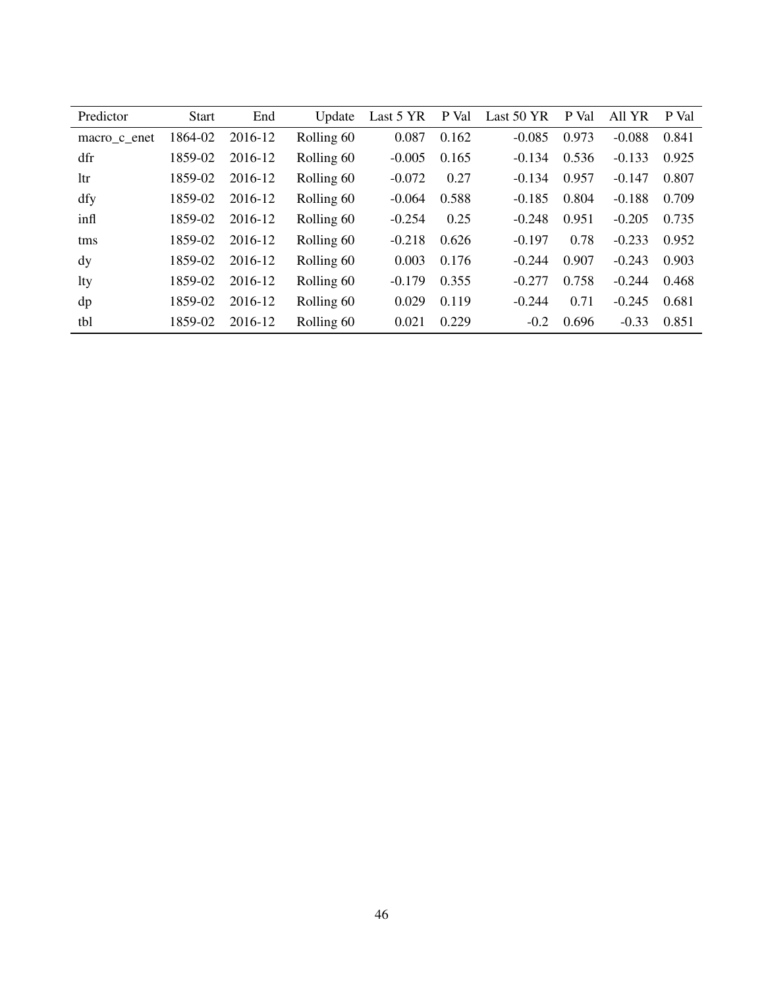| Predictor    | <b>Start</b> | End     | Update     | Last 5 YR | P Val | Last 50 YR | P Val | All YR   | P Val |
|--------------|--------------|---------|------------|-----------|-------|------------|-------|----------|-------|
| macro c enet | 1864-02      | 2016-12 | Rolling 60 | 0.087     | 0.162 | $-0.085$   | 0.973 | $-0.088$ | 0.841 |
| dfr          | 1859-02      | 2016-12 | Rolling 60 | $-0.005$  | 0.165 | $-0.134$   | 0.536 | $-0.133$ | 0.925 |
| ltr          | 1859-02      | 2016-12 | Rolling 60 | $-0.072$  | 0.27  | $-0.134$   | 0.957 | $-0.147$ | 0.807 |
| dfy          | 1859-02      | 2016-12 | Rolling 60 | $-0.064$  | 0.588 | $-0.185$   | 0.804 | $-0.188$ | 0.709 |
| infl         | 1859-02      | 2016-12 | Rolling 60 | $-0.254$  | 0.25  | $-0.248$   | 0.951 | $-0.205$ | 0.735 |
| tms          | 1859-02      | 2016-12 | Rolling 60 | $-0.218$  | 0.626 | $-0.197$   | 0.78  | $-0.233$ | 0.952 |
| dy           | 1859-02      | 2016-12 | Rolling 60 | 0.003     | 0.176 | $-0.244$   | 0.907 | $-0.243$ | 0.903 |
| lty          | 1859-02      | 2016-12 | Rolling 60 | $-0.179$  | 0.355 | $-0.277$   | 0.758 | $-0.244$ | 0.468 |
| dp           | 1859-02      | 2016-12 | Rolling 60 | 0.029     | 0.119 | $-0.244$   | 0.71  | $-0.245$ | 0.681 |
| tbl          | 1859-02      | 2016-12 | Rolling 60 | 0.021     | 0.229 | $-0.2$     | 0.696 | $-0.33$  | 0.851 |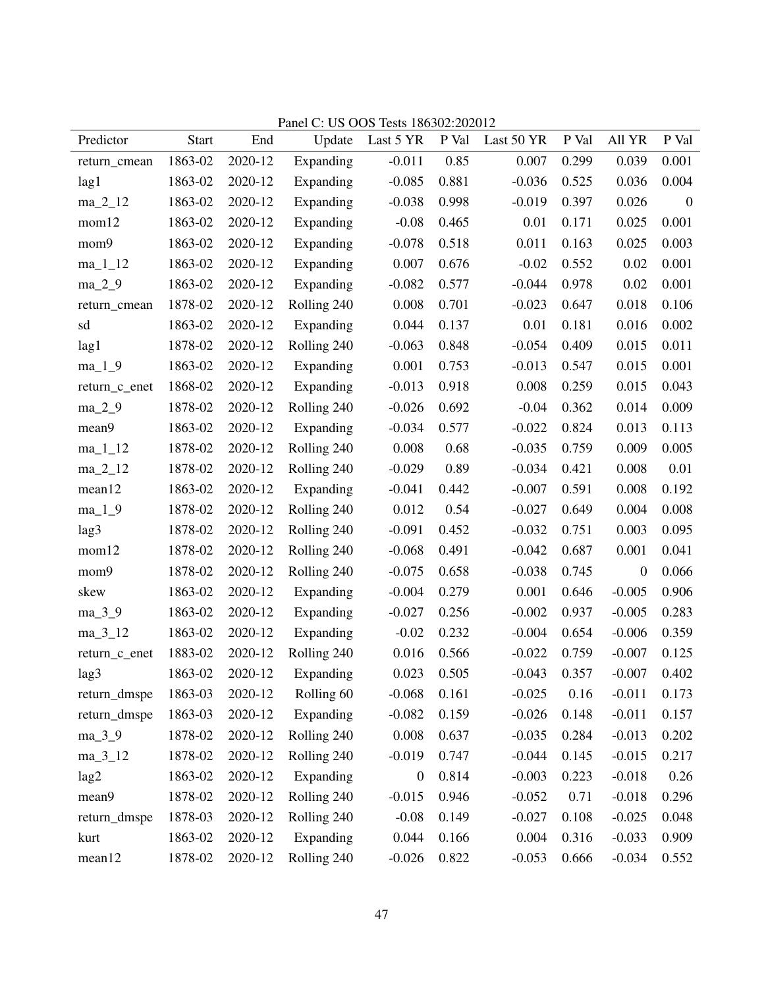| Predictor        | <b>Start</b> | End     | $1$ and $\vee$ .<br>Update | 00 000 1000 100002.202012<br>Last 5 YR | P Val | Last 50 YR | P Val | All YR           | P Val            |
|------------------|--------------|---------|----------------------------|----------------------------------------|-------|------------|-------|------------------|------------------|
| return_cmean     | 1863-02      | 2020-12 | Expanding                  | $-0.011$                               | 0.85  | 0.007      | 0.299 | 0.039            | 0.001            |
| lag1             | 1863-02      | 2020-12 | Expanding                  | $-0.085$                               | 0.881 | $-0.036$   | 0.525 | 0.036            | 0.004            |
| $ma_2_12$        | 1863-02      | 2020-12 | Expanding                  | $-0.038$                               | 0.998 | $-0.019$   | 0.397 | 0.026            | $\boldsymbol{0}$ |
| mom12            | 1863-02      | 2020-12 | Expanding                  | $-0.08$                                | 0.465 | 0.01       | 0.171 | 0.025            | 0.001            |
| mom9             | 1863-02      | 2020-12 | Expanding                  | $-0.078$                               | 0.518 | 0.011      | 0.163 | 0.025            | 0.003            |
| $ma_11_12$       | 1863-02      | 2020-12 | Expanding                  | 0.007                                  | 0.676 | $-0.02$    | 0.552 | 0.02             | 0.001            |
| $ma_2_9$         | 1863-02      | 2020-12 | Expanding                  | $-0.082$                               | 0.577 | $-0.044$   | 0.978 | 0.02             | 0.001            |
| return_cmean     | 1878-02      | 2020-12 | Rolling 240                | 0.008                                  | 0.701 | $-0.023$   | 0.647 | 0.018            | 0.106            |
| sd               | 1863-02      | 2020-12 | Expanding                  | 0.044                                  | 0.137 | 0.01       | 0.181 | 0.016            | 0.002            |
| lag1             | 1878-02      | 2020-12 | Rolling 240                | $-0.063$                               | 0.848 | $-0.054$   | 0.409 | 0.015            | 0.011            |
| $ma_1_9$         | 1863-02      | 2020-12 | Expanding                  | 0.001                                  | 0.753 | $-0.013$   | 0.547 | 0.015            | 0.001            |
| return_c_enet    | 1868-02      | 2020-12 | Expanding                  | $-0.013$                               | 0.918 | 0.008      | 0.259 | 0.015            | 0.043            |
| $ma_2_9$         | 1878-02      | 2020-12 | Rolling 240                | $-0.026$                               | 0.692 | $-0.04$    | 0.362 | 0.014            | 0.009            |
| mean9            | 1863-02      | 2020-12 | Expanding                  | $-0.034$                               | 0.577 | $-0.022$   | 0.824 | 0.013            | 0.113            |
| $ma_11_12$       | 1878-02      | 2020-12 | Rolling 240                | 0.008                                  | 0.68  | $-0.035$   | 0.759 | 0.009            | 0.005            |
| $ma_2_12$        | 1878-02      | 2020-12 | Rolling 240                | $-0.029$                               | 0.89  | $-0.034$   | 0.421 | 0.008            | 0.01             |
| mean12           | 1863-02      | 2020-12 | Expanding                  | $-0.041$                               | 0.442 | $-0.007$   | 0.591 | 0.008            | 0.192            |
| $ma_1_9$         | 1878-02      | 2020-12 | Rolling 240                | 0.012                                  | 0.54  | $-0.027$   | 0.649 | 0.004            | 0.008            |
| lag3             | 1878-02      | 2020-12 | Rolling 240                | $-0.091$                               | 0.452 | $-0.032$   | 0.751 | 0.003            | 0.095            |
| mom12            | 1878-02      | 2020-12 | Rolling 240                | $-0.068$                               | 0.491 | $-0.042$   | 0.687 | 0.001            | 0.041            |
| mom9             | 1878-02      | 2020-12 | Rolling 240                | $-0.075$                               | 0.658 | $-0.038$   | 0.745 | $\boldsymbol{0}$ | 0.066            |
| skew             | 1863-02      | 2020-12 | Expanding                  | $-0.004$                               | 0.279 | 0.001      | 0.646 | $-0.005$         | 0.906            |
| $ma_3_9$         | 1863-02      | 2020-12 | Expanding                  | $-0.027$                               | 0.256 | $-0.002$   | 0.937 | $-0.005$         | 0.283            |
| $ma_3_12$        | 1863-02      | 2020-12 | Expanding                  | $-0.02$                                | 0.232 | $-0.004$   | 0.654 | $-0.006$         | 0.359            |
| return_c_enet    | 1883-02      | 2020-12 | Rolling 240                | 0.016                                  | 0.566 | $-0.022$   | 0.759 | $-0.007$         | 0.125            |
| lag <sub>3</sub> | 1863-02      | 2020-12 | Expanding                  | 0.023                                  | 0.505 | $-0.043$   | 0.357 | $-0.007$         | 0.402            |
| return_dmspe     | 1863-03      | 2020-12 | Rolling 60                 | $-0.068$                               | 0.161 | $-0.025$   | 0.16  | $-0.011$         | 0.173            |
| return_dmspe     | 1863-03      | 2020-12 | Expanding                  | $-0.082$                               | 0.159 | $-0.026$   | 0.148 | $-0.011$         | 0.157            |
| $ma_3_9$         | 1878-02      | 2020-12 | Rolling 240                | 0.008                                  | 0.637 | $-0.035$   | 0.284 | $-0.013$         | 0.202            |
| $ma_3_12$        | 1878-02      | 2020-12 | Rolling 240                | $-0.019$                               | 0.747 | $-0.044$   | 0.145 | $-0.015$         | 0.217            |
| lag2             | 1863-02      | 2020-12 | Expanding                  | $\boldsymbol{0}$                       | 0.814 | $-0.003$   | 0.223 | $-0.018$         | 0.26             |
| mean9            | 1878-02      | 2020-12 | Rolling 240                | $-0.015$                               | 0.946 | $-0.052$   | 0.71  | $-0.018$         | 0.296            |
| return_dmspe     | 1878-03      | 2020-12 | Rolling 240                | $-0.08$                                | 0.149 | $-0.027$   | 0.108 | $-0.025$         | 0.048            |
| kurt             | 1863-02      | 2020-12 | Expanding                  | 0.044                                  | 0.166 | 0.004      | 0.316 | $-0.033$         | 0.909            |
| mean12           | 1878-02      | 2020-12 | Rolling 240                | $-0.026$                               | 0.822 | $-0.053$   | 0.666 | $-0.034$         | 0.552            |

Panel C: US OOS Tests 186302:202012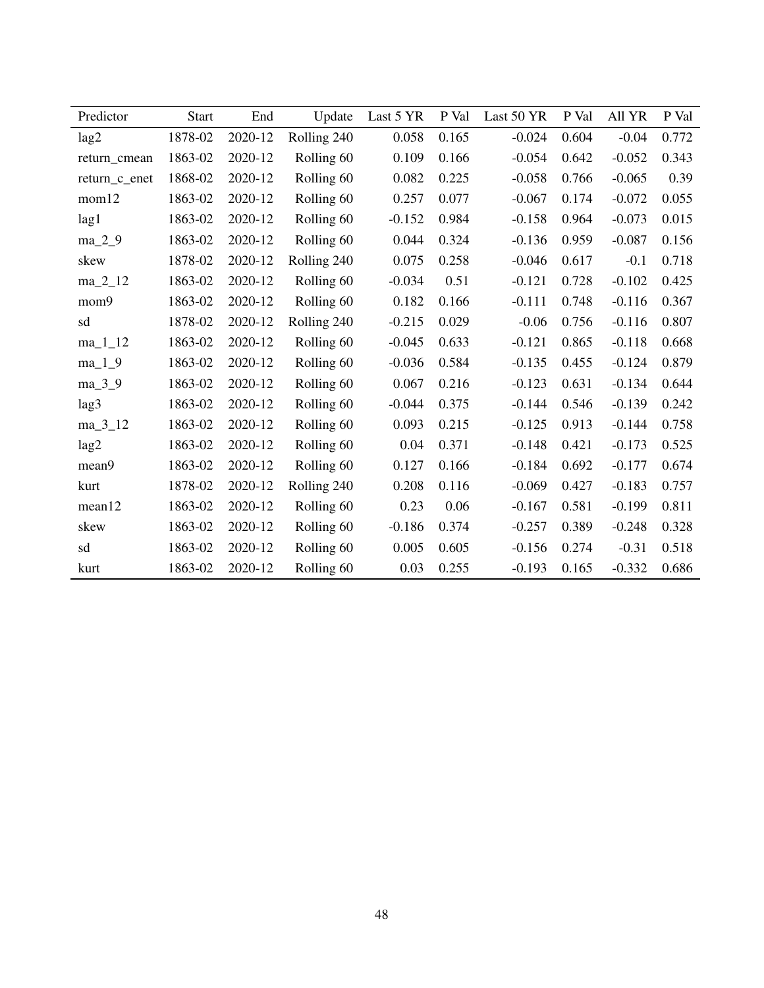| Predictor     | <b>Start</b> | End     | Update      | Last 5 YR | P Val | Last 50 YR | P Val | All YR   | P Val |
|---------------|--------------|---------|-------------|-----------|-------|------------|-------|----------|-------|
| lag2          | 1878-02      | 2020-12 | Rolling 240 | 0.058     | 0.165 | $-0.024$   | 0.604 | $-0.04$  | 0.772 |
| return cmean  | 1863-02      | 2020-12 | Rolling 60  | 0.109     | 0.166 | $-0.054$   | 0.642 | $-0.052$ | 0.343 |
| return_c_enet | 1868-02      | 2020-12 | Rolling 60  | 0.082     | 0.225 | $-0.058$   | 0.766 | $-0.065$ | 0.39  |
| mom12         | 1863-02      | 2020-12 | Rolling 60  | 0.257     | 0.077 | $-0.067$   | 0.174 | $-0.072$ | 0.055 |
| lag1          | 1863-02      | 2020-12 | Rolling 60  | $-0.152$  | 0.984 | $-0.158$   | 0.964 | $-0.073$ | 0.015 |
| $ma_2_9$      | 1863-02      | 2020-12 | Rolling 60  | 0.044     | 0.324 | $-0.136$   | 0.959 | $-0.087$ | 0.156 |
| skew          | 1878-02      | 2020-12 | Rolling 240 | 0.075     | 0.258 | $-0.046$   | 0.617 | $-0.1$   | 0.718 |
| ma_2_12       | 1863-02      | 2020-12 | Rolling 60  | $-0.034$  | 0.51  | $-0.121$   | 0.728 | $-0.102$ | 0.425 |
| mom9          | 1863-02      | 2020-12 | Rolling 60  | 0.182     | 0.166 | $-0.111$   | 0.748 | $-0.116$ | 0.367 |
| sd            | 1878-02      | 2020-12 | Rolling 240 | $-0.215$  | 0.029 | $-0.06$    | 0.756 | $-0.116$ | 0.807 |
| $ma_11_12$    | 1863-02      | 2020-12 | Rolling 60  | $-0.045$  | 0.633 | $-0.121$   | 0.865 | $-0.118$ | 0.668 |
| $ma_1_9$      | 1863-02      | 2020-12 | Rolling 60  | $-0.036$  | 0.584 | $-0.135$   | 0.455 | $-0.124$ | 0.879 |
| $ma_3_9$      | 1863-02      | 2020-12 | Rolling 60  | 0.067     | 0.216 | $-0.123$   | 0.631 | $-0.134$ | 0.644 |
| lag3          | 1863-02      | 2020-12 | Rolling 60  | $-0.044$  | 0.375 | $-0.144$   | 0.546 | $-0.139$ | 0.242 |
| $ma_3_12$     | 1863-02      | 2020-12 | Rolling 60  | 0.093     | 0.215 | $-0.125$   | 0.913 | $-0.144$ | 0.758 |
| lag2          | 1863-02      | 2020-12 | Rolling 60  | 0.04      | 0.371 | $-0.148$   | 0.421 | $-0.173$ | 0.525 |
| mean9         | 1863-02      | 2020-12 | Rolling 60  | 0.127     | 0.166 | $-0.184$   | 0.692 | $-0.177$ | 0.674 |
| kurt          | 1878-02      | 2020-12 | Rolling 240 | 0.208     | 0.116 | $-0.069$   | 0.427 | $-0.183$ | 0.757 |
| mean12        | 1863-02      | 2020-12 | Rolling 60  | 0.23      | 0.06  | $-0.167$   | 0.581 | $-0.199$ | 0.811 |
| skew          | 1863-02      | 2020-12 | Rolling 60  | $-0.186$  | 0.374 | $-0.257$   | 0.389 | $-0.248$ | 0.328 |
| sd            | 1863-02      | 2020-12 | Rolling 60  | 0.005     | 0.605 | $-0.156$   | 0.274 | $-0.31$  | 0.518 |
| kurt          | 1863-02      | 2020-12 | Rolling 60  | 0.03      | 0.255 | $-0.193$   | 0.165 | $-0.332$ | 0.686 |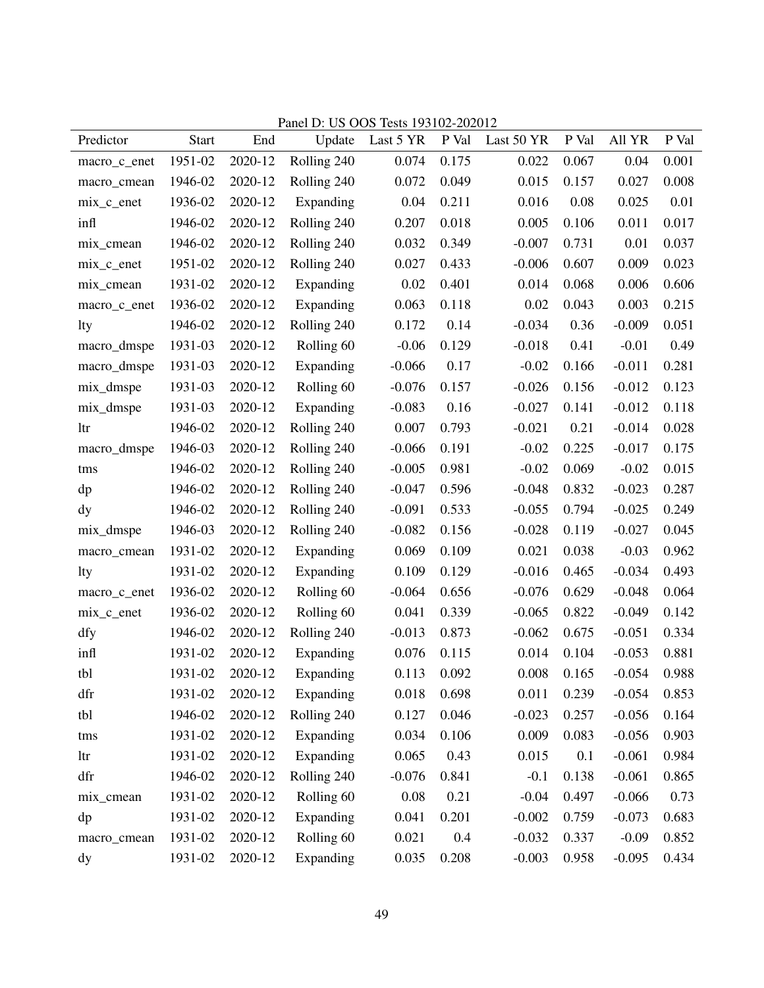|              |              |         | $I$ ally $L$ . | 00 000 1000 122102-202012 |       |            |       |          |       |
|--------------|--------------|---------|----------------|---------------------------|-------|------------|-------|----------|-------|
| Predictor    | <b>Start</b> | End     | Update         | Last 5 YR                 | P Val | Last 50 YR | P Val | All YR   | P Val |
| macro_c_enet | 1951-02      | 2020-12 | Rolling 240    | 0.074                     | 0.175 | 0.022      | 0.067 | 0.04     | 0.001 |
| macro_cmean  | 1946-02      | 2020-12 | Rolling 240    | 0.072                     | 0.049 | 0.015      | 0.157 | 0.027    | 0.008 |
| $mix_c$ enet | 1936-02      | 2020-12 | Expanding      | 0.04                      | 0.211 | 0.016      | 0.08  | 0.025    | 0.01  |
| infl         | 1946-02      | 2020-12 | Rolling 240    | 0.207                     | 0.018 | 0.005      | 0.106 | 0.011    | 0.017 |
| mix_cmean    | 1946-02      | 2020-12 | Rolling 240    | 0.032                     | 0.349 | $-0.007$   | 0.731 | 0.01     | 0.037 |
| $mix_c$ enet | 1951-02      | 2020-12 | Rolling 240    | 0.027                     | 0.433 | $-0.006$   | 0.607 | 0.009    | 0.023 |
| mix_cmean    | 1931-02      | 2020-12 | Expanding      | 0.02                      | 0.401 | 0.014      | 0.068 | 0.006    | 0.606 |
| macro_c_enet | 1936-02      | 2020-12 | Expanding      | 0.063                     | 0.118 | 0.02       | 0.043 | 0.003    | 0.215 |
| lty          | 1946-02      | 2020-12 | Rolling 240    | 0.172                     | 0.14  | $-0.034$   | 0.36  | $-0.009$ | 0.051 |
| macro_dmspe  | 1931-03      | 2020-12 | Rolling 60     | $-0.06$                   | 0.129 | $-0.018$   | 0.41  | $-0.01$  | 0.49  |
| macro_dmspe  | 1931-03      | 2020-12 | Expanding      | $-0.066$                  | 0.17  | $-0.02$    | 0.166 | $-0.011$ | 0.281 |
| mix_dmspe    | 1931-03      | 2020-12 | Rolling 60     | $-0.076$                  | 0.157 | $-0.026$   | 0.156 | $-0.012$ | 0.123 |
| mix_dmspe    | 1931-03      | 2020-12 | Expanding      | $-0.083$                  | 0.16  | $-0.027$   | 0.141 | $-0.012$ | 0.118 |
| ltr          | 1946-02      | 2020-12 | Rolling 240    | 0.007                     | 0.793 | $-0.021$   | 0.21  | $-0.014$ | 0.028 |
| macro_dmspe  | 1946-03      | 2020-12 | Rolling 240    | $-0.066$                  | 0.191 | $-0.02$    | 0.225 | $-0.017$ | 0.175 |
| tms          | 1946-02      | 2020-12 | Rolling 240    | $-0.005$                  | 0.981 | $-0.02$    | 0.069 | $-0.02$  | 0.015 |
| dp           | 1946-02      | 2020-12 | Rolling 240    | $-0.047$                  | 0.596 | $-0.048$   | 0.832 | $-0.023$ | 0.287 |
| dy           | 1946-02      | 2020-12 | Rolling 240    | $-0.091$                  | 0.533 | $-0.055$   | 0.794 | $-0.025$ | 0.249 |
| mix_dmspe    | 1946-03      | 2020-12 | Rolling 240    | $-0.082$                  | 0.156 | $-0.028$   | 0.119 | $-0.027$ | 0.045 |
| macro_cmean  | 1931-02      | 2020-12 | Expanding      | 0.069                     | 0.109 | 0.021      | 0.038 | $-0.03$  | 0.962 |
| lty          | 1931-02      | 2020-12 | Expanding      | 0.109                     | 0.129 | $-0.016$   | 0.465 | $-0.034$ | 0.493 |
| macro_c_enet | 1936-02      | 2020-12 | Rolling 60     | $-0.064$                  | 0.656 | $-0.076$   | 0.629 | $-0.048$ | 0.064 |
| $mix_c$ enet | 1936-02      | 2020-12 | Rolling 60     | 0.041                     | 0.339 | $-0.065$   | 0.822 | $-0.049$ | 0.142 |
| dfy          | 1946-02      | 2020-12 | Rolling 240    | $-0.013$                  | 0.873 | $-0.062$   | 0.675 | $-0.051$ | 0.334 |
| infl         | 1931-02      | 2020-12 | Expanding      | 0.076                     | 0.115 | 0.014      | 0.104 | $-0.053$ | 0.881 |
| tbl          | 1931-02      | 2020-12 | Expanding      | 0.113                     | 0.092 | 0.008      | 0.165 | $-0.054$ | 0.988 |
| dfr          | 1931-02      | 2020-12 | Expanding      | 0.018                     | 0.698 | 0.011      | 0.239 | $-0.054$ | 0.853 |
| tbl          | 1946-02      | 2020-12 | Rolling 240    | 0.127                     | 0.046 | $-0.023$   | 0.257 | $-0.056$ | 0.164 |
| tms          | 1931-02      | 2020-12 | Expanding      | 0.034                     | 0.106 | 0.009      | 0.083 | $-0.056$ | 0.903 |
| ltr          | 1931-02      | 2020-12 | Expanding      | 0.065                     | 0.43  | 0.015      | 0.1   | $-0.061$ | 0.984 |
| dfr          | 1946-02      | 2020-12 | Rolling 240    | $-0.076$                  | 0.841 | $-0.1$     | 0.138 | $-0.061$ | 0.865 |
| mix_cmean    | 1931-02      | 2020-12 | Rolling 60     | 0.08                      | 0.21  | $-0.04$    | 0.497 | $-0.066$ | 0.73  |
| dp           | 1931-02      | 2020-12 | Expanding      | 0.041                     | 0.201 | $-0.002$   | 0.759 | $-0.073$ | 0.683 |
| macro_cmean  | 1931-02      | 2020-12 | Rolling 60     | 0.021                     | 0.4   | $-0.032$   | 0.337 | $-0.09$  | 0.852 |
| dy           | 1931-02      | 2020-12 | Expanding      | 0.035                     | 0.208 | $-0.003$   | 0.958 | $-0.095$ | 0.434 |

Panel D: US OOS Tests 193102-202012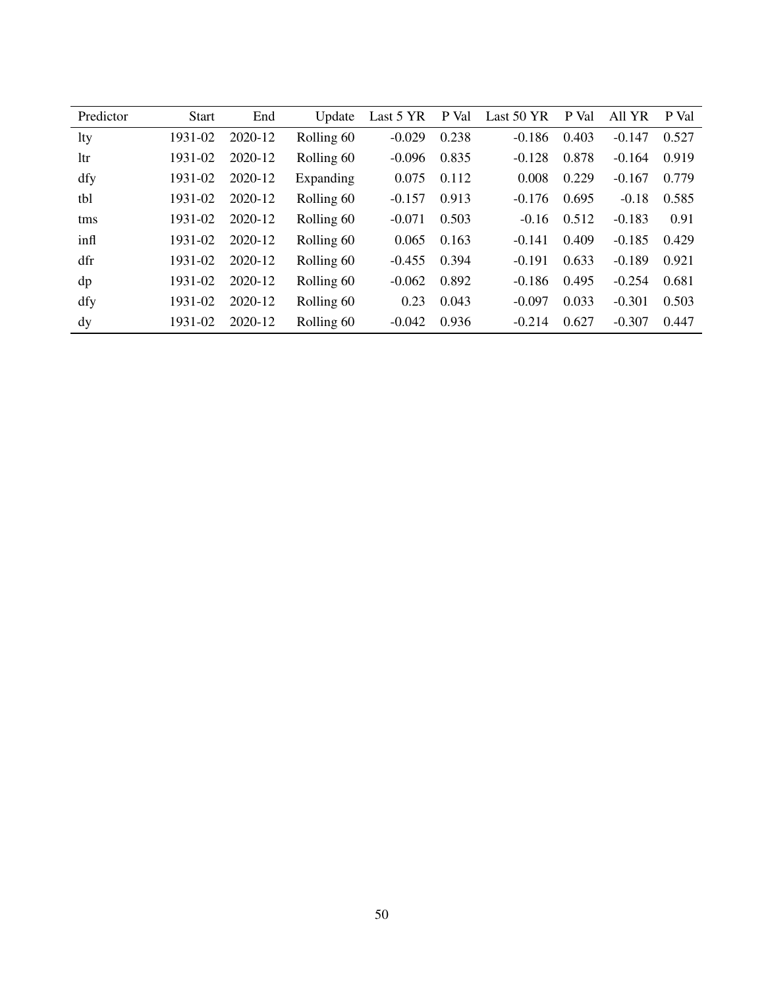| Predictor | <b>Start</b> | End     | Update     | Last 5 YR | P Val | Last 50 YR | P Val | All YR   | P Val |
|-----------|--------------|---------|------------|-----------|-------|------------|-------|----------|-------|
| lty       | 1931-02      | 2020-12 | Rolling 60 | $-0.029$  | 0.238 | $-0.186$   | 0.403 | $-0.147$ | 0.527 |
| 1tr       | 1931-02      | 2020-12 | Rolling 60 | $-0.096$  | 0.835 | $-0.128$   | 0.878 | $-0.164$ | 0.919 |
| dfy       | 1931-02      | 2020-12 | Expanding  | 0.075     | 0.112 | 0.008      | 0.229 | $-0.167$ | 0.779 |
| tbl       | 1931-02      | 2020-12 | Rolling 60 | $-0.157$  | 0.913 | $-0.176$   | 0.695 | $-0.18$  | 0.585 |
| tms       | 1931-02      | 2020-12 | Rolling 60 | $-0.071$  | 0.503 | $-0.16$    | 0.512 | $-0.183$ | 0.91  |
| infl      | 1931-02      | 2020-12 | Rolling 60 | 0.065     | 0.163 | $-0.141$   | 0.409 | $-0.185$ | 0.429 |
| dfr       | 1931-02      | 2020-12 | Rolling 60 | $-0.455$  | 0.394 | $-0.191$   | 0.633 | $-0.189$ | 0.921 |
| dp        | 1931-02      | 2020-12 | Rolling 60 | $-0.062$  | 0.892 | $-0.186$   | 0.495 | $-0.254$ | 0.681 |
| dfy       | 1931-02      | 2020-12 | Rolling 60 | 0.23      | 0.043 | $-0.097$   | 0.033 | $-0.301$ | 0.503 |
| dy        | 1931-02      | 2020-12 | Rolling 60 | $-0.042$  | 0.936 | $-0.214$   | 0.627 | $-0.307$ | 0.447 |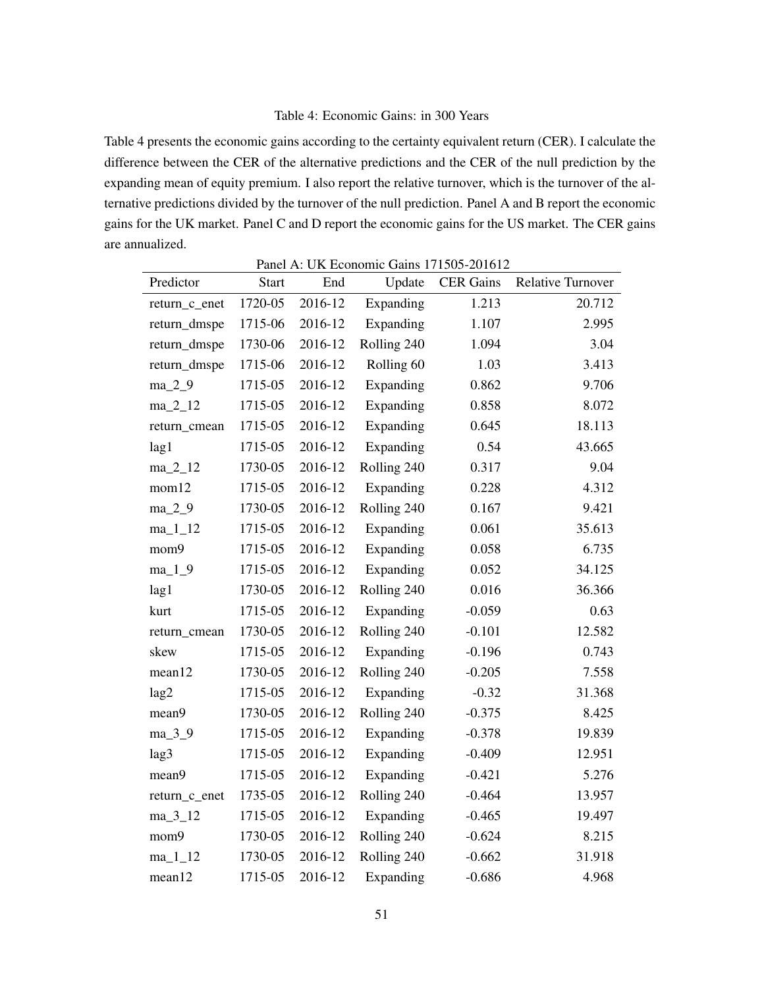## Table 4: Economic Gains: in 300 Years

Table 4 presents the economic gains according to the certainty equivalent return (CER). I calculate the difference between the CER of the alternative predictions and the CER of the null prediction by the expanding mean of equity premium. I also report the relative turnover, which is the turnover of the alternative predictions divided by the turnover of the null prediction. Panel A and B report the economic gains for the UK market. Panel C and D report the economic gains for the US market. The CER gains are annualized.

Panel A: UK Economic Gains 171505-201612

| Predictor     | <b>Start</b> | End     | $r$ and A. ON ECONOMIC Gams 1/1505-201012<br>Update | <b>CER Gains</b> | <b>Relative Turnover</b> |
|---------------|--------------|---------|-----------------------------------------------------|------------------|--------------------------|
| return_c_enet | 1720-05      | 2016-12 | Expanding                                           | 1.213            | 20.712                   |
| return_dmspe  | 1715-06      | 2016-12 | Expanding                                           | 1.107            | 2.995                    |
| return_dmspe  | 1730-06      | 2016-12 | Rolling 240                                         | 1.094            | 3.04                     |
| return_dmspe  | 1715-06      | 2016-12 | Rolling 60                                          | 1.03             | 3.413                    |
| $ma_2_9$      | 1715-05      | 2016-12 | Expanding                                           | 0.862            | 9.706                    |
| $ma_2_12$     | 1715-05      | 2016-12 | Expanding                                           | 0.858            | 8.072                    |
| return_cmean  | 1715-05      | 2016-12 | Expanding                                           | 0.645            | 18.113                   |
| lag1          | 1715-05      | 2016-12 | Expanding                                           | 0.54             | 43.665                   |
| $ma_2_12$     | 1730-05      | 2016-12 | Rolling 240                                         | 0.317            | 9.04                     |
| mom12         | 1715-05      | 2016-12 | Expanding                                           | 0.228            | 4.312                    |
| $ma_2_9$      | 1730-05      | 2016-12 | Rolling 240                                         | 0.167            | 9.421                    |
| $ma_11_12$    | 1715-05      | 2016-12 | Expanding                                           | 0.061            | 35.613                   |
| mom9          | 1715-05      | 2016-12 | Expanding                                           | 0.058            | 6.735                    |
| $ma_1_9$      | 1715-05      | 2016-12 | Expanding                                           | 0.052            | 34.125                   |
| lag1          | 1730-05      | 2016-12 | Rolling 240                                         | 0.016            | 36.366                   |
| kurt          | 1715-05      | 2016-12 | Expanding                                           | $-0.059$         | 0.63                     |
| return_cmean  | 1730-05      | 2016-12 | Rolling 240                                         | $-0.101$         | 12.582                   |
| skew          | 1715-05      | 2016-12 | Expanding                                           | $-0.196$         | 0.743                    |
| mean12        | 1730-05      | 2016-12 | Rolling 240                                         | $-0.205$         | 7.558                    |
| lag2          | 1715-05      | 2016-12 | Expanding                                           | $-0.32$          | 31.368                   |
| mean9         | 1730-05      | 2016-12 | Rolling 240                                         | $-0.375$         | 8.425                    |
| ma_3_9        | 1715-05      | 2016-12 | Expanding                                           | $-0.378$         | 19.839                   |
| lag3          | 1715-05      | 2016-12 | Expanding                                           | $-0.409$         | 12.951                   |
| mean9         | 1715-05      | 2016-12 | Expanding                                           | $-0.421$         | 5.276                    |
| return_c_enet | 1735-05      | 2016-12 | Rolling 240                                         | $-0.464$         | 13.957                   |
| $ma_3_12$     | 1715-05      | 2016-12 | Expanding                                           | $-0.465$         | 19.497                   |
| mom9          | 1730-05      | 2016-12 | Rolling 240                                         | $-0.624$         | 8.215                    |
| $ma_11_12$    | 1730-05      | 2016-12 | Rolling 240                                         | $-0.662$         | 31.918                   |
| mean12        | 1715-05      | 2016-12 | Expanding                                           | $-0.686$         | 4.968                    |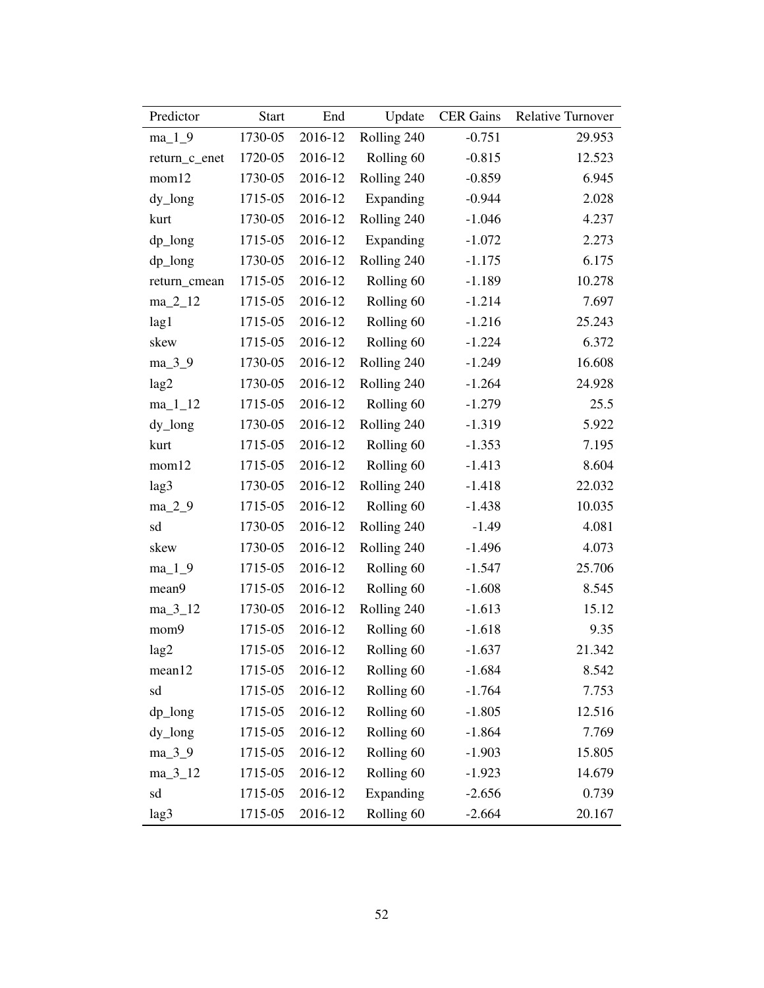| Predictor     | <b>Start</b> | End     | Update                | <b>CER Gains</b> | Relative Turnover |
|---------------|--------------|---------|-----------------------|------------------|-------------------|
| $ma_1_9$      | 1730-05      | 2016-12 | Rolling 240           | $-0.751$         | 29.953            |
| return_c_enet | 1720-05      | 2016-12 | Rolling 60            | $-0.815$         | 12.523            |
| mom12         | 1730-05      | 2016-12 | Rolling 240           | $-0.859$         | 6.945             |
| dy_long       | 1715-05      | 2016-12 | Expanding             | $-0.944$         | 2.028             |
| kurt          | 1730-05      | 2016-12 | Rolling 240           | $-1.046$         | 4.237             |
| dp_long       | 1715-05      | 2016-12 | Expanding             | $-1.072$         | 2.273             |
| $dp_l$        | 1730-05      | 2016-12 | Rolling 240           | $-1.175$         | 6.175             |
| return_cmean  | 1715-05      | 2016-12 | Rolling 60            | $-1.189$         | 10.278            |
| $ma_2_12$     | 1715-05      | 2016-12 | Rolling 60            | $-1.214$         | 7.697             |
| lag1          | 1715-05      | 2016-12 | Rolling 60            | $-1.216$         | 25.243            |
| skew          | 1715-05      | 2016-12 | Rolling 60            | $-1.224$         | 6.372             |
| $ma_3_9$      | 1730-05      | 2016-12 | Rolling 240           | $-1.249$         | 16.608            |
| lag2          | 1730-05      | 2016-12 | Rolling 240           | $-1.264$         | 24.928            |
| $ma_11_12$    | 1715-05      | 2016-12 | Rolling 60            | $-1.279$         | 25.5              |
| dy_long       | 1730-05      | 2016-12 | Rolling 240           | $-1.319$         | 5.922             |
| kurt          | 1715-05      | 2016-12 | Rolling 60            | $-1.353$         | 7.195             |
| mom12         | 1715-05      | 2016-12 | Rolling 60            | $-1.413$         | 8.604             |
| lag3          | 1730-05      | 2016-12 | Rolling 240           | $-1.418$         | 22.032            |
| $ma_2_9$      | 1715-05      | 2016-12 | Rolling 60            | $-1.438$         | 10.035            |
| sd            | 1730-05      | 2016-12 | Rolling 240           | $-1.49$          | 4.081             |
| skew          | 1730-05      | 2016-12 | Rolling 240           | $-1.496$         | 4.073             |
| $ma_1_9$      | 1715-05      | 2016-12 | Rolling 60            | $-1.547$         | 25.706            |
| mean9         | 1715-05      | 2016-12 | Rolling 60            | $-1.608$         | 8.545             |
| $ma_3_12$     | 1730-05      | 2016-12 | Rolling 240           | $-1.613$         | 15.12             |
| mom9          | 1715-05      | 2016-12 | Rolling 60            | $-1.618$         | 9.35              |
| lag2          | 1715-05      | 2016-12 | Rolling 60            | $-1.637$         | 21.342            |
| mean12        | 1715-05      | 2016-12 | Rolling <sub>60</sub> | $-1.684$         | 8.542             |
| sd            | 1715-05      | 2016-12 | Rolling 60            | $-1.764$         | 7.753             |
| dp_long       | 1715-05      | 2016-12 | Rolling 60            | $-1.805$         | 12.516            |
| dy_long       | 1715-05      | 2016-12 | Rolling 60            | $-1.864$         | 7.769             |
| $ma_3_9$      | 1715-05      | 2016-12 | Rolling 60            | $-1.903$         | 15.805            |
| $ma_3_12$     | 1715-05      | 2016-12 | Rolling 60            | $-1.923$         | 14.679            |
| sd            | 1715-05      | 2016-12 | Expanding             | $-2.656$         | 0.739             |
| lag3          | 1715-05      | 2016-12 | Rolling 60            | $-2.664$         | 20.167            |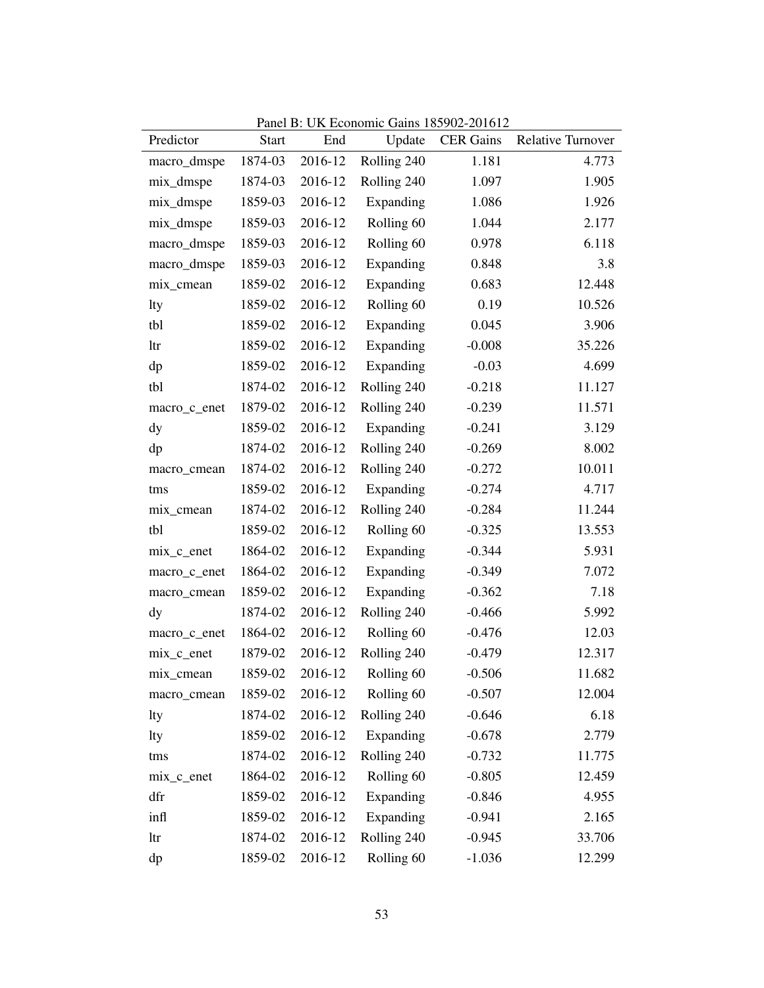| Predictor     | <b>Start</b> | End     | Update                | <b>CER Gains</b> | <b>Relative Turnover</b> |
|---------------|--------------|---------|-----------------------|------------------|--------------------------|
| macro_dmspe   | 1874-03      | 2016-12 | Rolling 240           | 1.181            | 4.773                    |
| mix_dmspe     | 1874-03      | 2016-12 | Rolling 240           | 1.097            | 1.905                    |
| mix_dmspe     | 1859-03      | 2016-12 | Expanding             | 1.086            | 1.926                    |
| mix_dmspe     | 1859-03      | 2016-12 | Rolling 60            | 1.044            | 2.177                    |
| macro_dmspe   | 1859-03      | 2016-12 | Rolling <sub>60</sub> | 0.978            | 6.118                    |
| macro_dmspe   | 1859-03      | 2016-12 | Expanding             | 0.848            | 3.8                      |
| mix_cmean     | 1859-02      | 2016-12 | Expanding             | 0.683            | 12.448                   |
| lty           | 1859-02      | 2016-12 | Rolling 60            | 0.19             | 10.526                   |
| tbl           | 1859-02      | 2016-12 | Expanding             | 0.045            | 3.906                    |
| ltr           | 1859-02      | 2016-12 | Expanding             | $-0.008$         | 35.226                   |
| dp            | 1859-02      | 2016-12 | Expanding             | $-0.03$          | 4.699                    |
| tbl           | 1874-02      | 2016-12 | Rolling 240           | $-0.218$         | 11.127                   |
| macro_c_enet  | 1879-02      | 2016-12 | Rolling 240           | $-0.239$         | 11.571                   |
| $\mathbf{dy}$ | 1859-02      | 2016-12 | Expanding             | $-0.241$         | 3.129                    |
| dp            | 1874-02      | 2016-12 | Rolling 240           | $-0.269$         | 8.002                    |
| macro_cmean   | 1874-02      | 2016-12 | Rolling 240           | $-0.272$         | 10.011                   |
| tms           | 1859-02      | 2016-12 | Expanding             | $-0.274$         | 4.717                    |
| mix_cmean     | 1874-02      | 2016-12 | Rolling 240           | $-0.284$         | 11.244                   |
| tbl           | 1859-02      | 2016-12 | Rolling 60            | $-0.325$         | 13.553                   |
| $mix_c$ enet  | 1864-02      | 2016-12 | Expanding             | $-0.344$         | 5.931                    |
| macro_c_enet  | 1864-02      | 2016-12 | Expanding             | $-0.349$         | 7.072                    |
| macro_cmean   | 1859-02      | 2016-12 | Expanding             | $-0.362$         | 7.18                     |
| $\mathbf{dy}$ | 1874-02      | 2016-12 | Rolling 240           | $-0.466$         | 5.992                    |
| macro_c_enet  | 1864-02      | 2016-12 | Rolling 60            | $-0.476$         | 12.03                    |
| mix_c_enet    | 1879-02      | 2016-12 | Rolling 240           | $-0.479$         | 12.317                   |
| mix_cmean     | 1859-02      | 2016-12 | Rolling <sub>60</sub> | $-0.506$         | 11.682                   |
| macro_cmean   | 1859-02      | 2016-12 | Rolling 60            | $-0.507$         | 12.004                   |
| lty           | 1874-02      | 2016-12 | Rolling 240           | $-0.646$         | 6.18                     |
| lty           | 1859-02      | 2016-12 | Expanding             | $-0.678$         | 2.779                    |
| tms           | 1874-02      | 2016-12 | Rolling 240           | $-0.732$         | 11.775                   |
| mix_c_enet    | 1864-02      | 2016-12 | Rolling 60            | $-0.805$         | 12.459                   |
| dfr           | 1859-02      | 2016-12 | Expanding             | $-0.846$         | 4.955                    |
| infl          | 1859-02      | 2016-12 | Expanding             | $-0.941$         | 2.165                    |
| ltr           | 1874-02      | 2016-12 | Rolling 240           | $-0.945$         | 33.706                   |
| dp            | 1859-02      | 2016-12 | Rolling 60            | $-1.036$         | 12.299                   |

Panel B: UK Economic Gains 185902-201612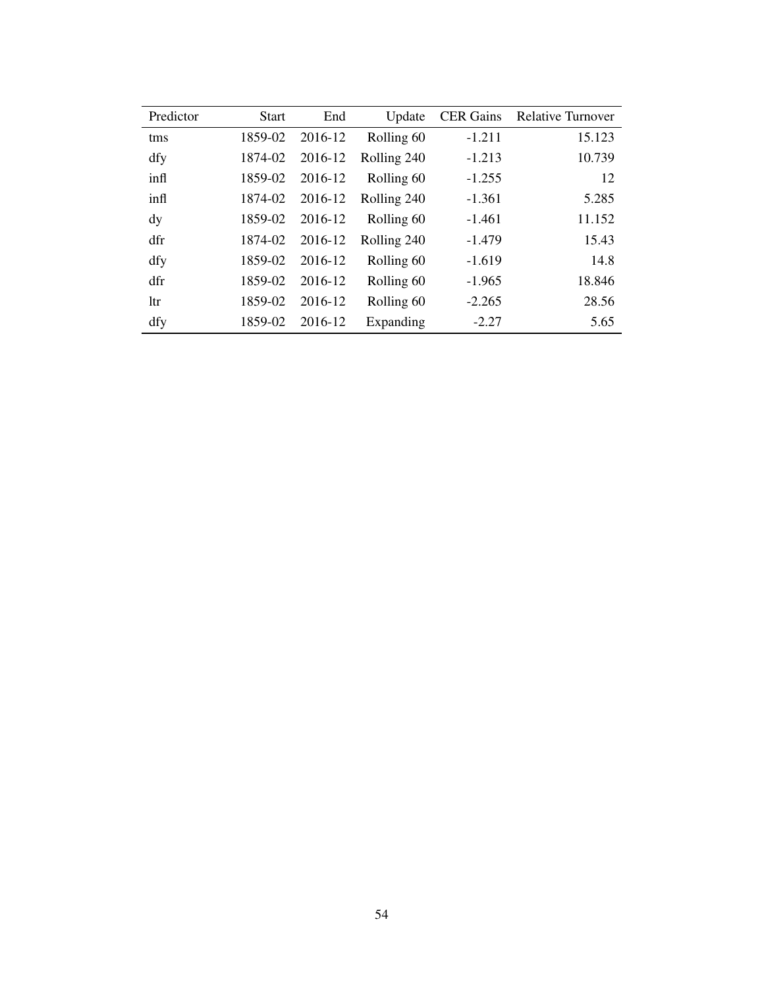| Predictor | <b>Start</b> | End     | Update      | <b>CER</b> Gains | <b>Relative Turnover</b> |
|-----------|--------------|---------|-------------|------------------|--------------------------|
| tms       | 1859-02      | 2016-12 | Rolling 60  | $-1.211$         | 15.123                   |
| dfy       | 1874-02      | 2016-12 | Rolling 240 | $-1.213$         | 10.739                   |
| infl      | 1859-02      | 2016-12 | Rolling 60  | $-1.255$         | 12                       |
| infl      | 1874-02      | 2016-12 | Rolling 240 | $-1.361$         | 5.285                    |
| dy        | 1859-02      | 2016-12 | Rolling 60  | $-1.461$         | 11.152                   |
| dfr       | 1874-02      | 2016-12 | Rolling 240 | $-1.479$         | 15.43                    |
| dfy       | 1859-02      | 2016-12 | Rolling 60  | $-1.619$         | 14.8                     |
| dfr       | 1859-02      | 2016-12 | Rolling 60  | $-1.965$         | 18.846                   |
| 1tr       | 1859-02      | 2016-12 | Rolling 60  | $-2.265$         | 28.56                    |
| dfy       | 1859-02      | 2016-12 | Expanding   | $-2.27$          | 5.65                     |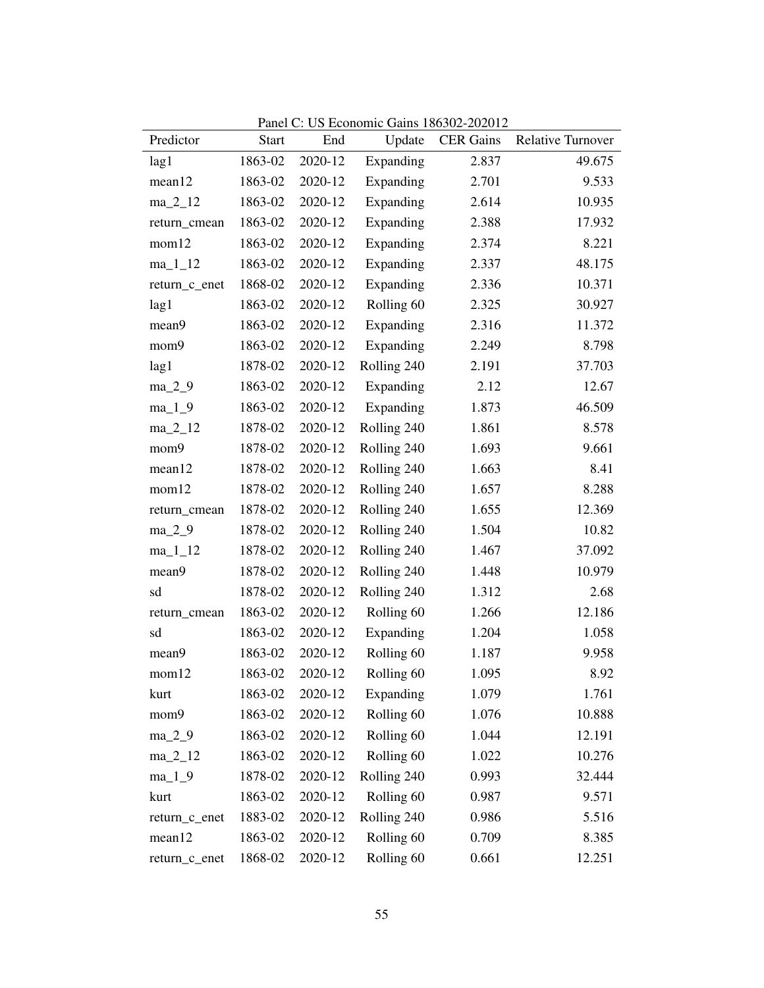| Predictor     | <b>Start</b> | End     | Update                | <b>CER Gains</b> | <b>Relative Turnover</b> |
|---------------|--------------|---------|-----------------------|------------------|--------------------------|
| lag1          | 1863-02      | 2020-12 | Expanding             | 2.837            | 49.675                   |
| mean12        | 1863-02      | 2020-12 | Expanding             | 2.701            | 9.533                    |
| ma_2_12       | 1863-02      | 2020-12 | Expanding             | 2.614            | 10.935                   |
| return_cmean  | 1863-02      | 2020-12 | Expanding             | 2.388            | 17.932                   |
| mom12         | 1863-02      | 2020-12 | Expanding             | 2.374            | 8.221                    |
| $ma_11_12$    | 1863-02      | 2020-12 | Expanding             | 2.337            | 48.175                   |
| return_c_enet | 1868-02      | 2020-12 | Expanding             | 2.336            | 10.371                   |
| lag1          | 1863-02      | 2020-12 | Rolling 60            | 2.325            | 30.927                   |
| mean9         | 1863-02      | 2020-12 | Expanding             | 2.316            | 11.372                   |
| mom9          | 1863-02      | 2020-12 | Expanding             | 2.249            | 8.798                    |
| lag1          | 1878-02      | 2020-12 | Rolling 240           | 2.191            | 37.703                   |
| $ma_2_9$      | 1863-02      | 2020-12 | Expanding             | 2.12             | 12.67                    |
| $ma_1_9$      | 1863-02      | 2020-12 | Expanding             | 1.873            | 46.509                   |
| $ma_2_12$     | 1878-02      | 2020-12 | Rolling 240           | 1.861            | 8.578                    |
| mom9          | 1878-02      | 2020-12 | Rolling 240           | 1.693            | 9.661                    |
| mean12        | 1878-02      | 2020-12 | Rolling 240           | 1.663            | 8.41                     |
| mom12         | 1878-02      | 2020-12 | Rolling 240           | 1.657            | 8.288                    |
| return_cmean  | 1878-02      | 2020-12 | Rolling 240           | 1.655            | 12.369                   |
| $ma_2_9$      | 1878-02      | 2020-12 | Rolling 240           | 1.504            | 10.82                    |
| $ma_11_12$    | 1878-02      | 2020-12 | Rolling 240           | 1.467            | 37.092                   |
| mean9         | 1878-02      | 2020-12 | Rolling 240           | 1.448            | 10.979                   |
| sd            | 1878-02      | 2020-12 | Rolling 240           | 1.312            | 2.68                     |
| return_cmean  | 1863-02      | 2020-12 | Rolling 60            | 1.266            | 12.186                   |
| sd            | 1863-02      | 2020-12 | Expanding             | 1.204            | 1.058                    |
| mean9         | 1863-02      | 2020-12 | Rolling <sub>60</sub> | 1.187            | 9.958                    |
| mom12         | 1863-02      | 2020-12 | Rolling <sub>60</sub> | 1.095            | 8.92                     |
| kurt          | 1863-02      | 2020-12 | Expanding             | 1.079            | 1.761                    |
| mom9          | 1863-02      | 2020-12 | Rolling <sub>60</sub> | 1.076            | 10.888                   |
| $ma_2_9$      | 1863-02      | 2020-12 | Rolling <sub>60</sub> | 1.044            | 12.191                   |
| $ma_2_12$     | 1863-02      | 2020-12 | Rolling 60            | 1.022            | 10.276                   |
| $ma_1_9$      | 1878-02      | 2020-12 | Rolling 240           | 0.993            | 32.444                   |
| kurt          | 1863-02      | 2020-12 | Rolling 60            | 0.987            | 9.571                    |
| return_c_enet | 1883-02      | 2020-12 | Rolling 240           | 0.986            | 5.516                    |
| mean12        | 1863-02      | 2020-12 | Rolling 60            | 0.709            | 8.385                    |
| return_c_enet | 1868-02      | 2020-12 | Rolling 60            | 0.661            | 12.251                   |

Panel C: US Economic Gains 186302-202012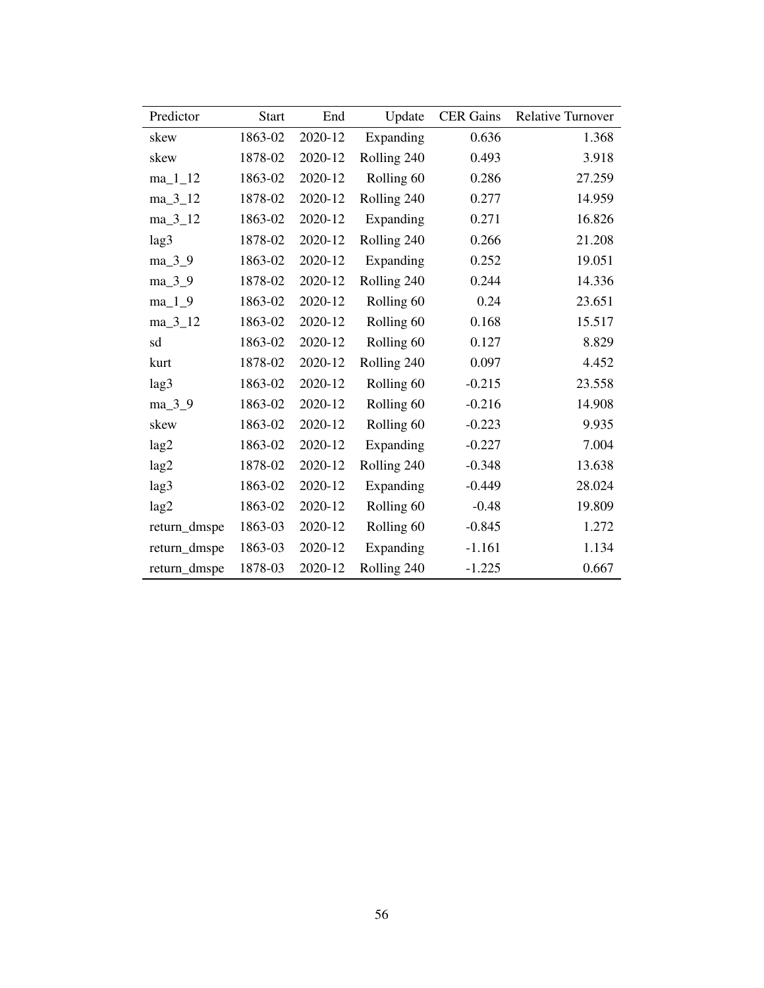| Predictor    | <b>Start</b> | End     | Update      | <b>CER</b> Gains | <b>Relative Turnover</b> |
|--------------|--------------|---------|-------------|------------------|--------------------------|
| skew         | 1863-02      | 2020-12 | Expanding   | 0.636            | 1.368                    |
| skew         | 1878-02      | 2020-12 | Rolling 240 | 0.493            | 3.918                    |
| $ma_11_12$   | 1863-02      | 2020-12 | Rolling 60  | 0.286            | 27.259                   |
| $ma_3_12$    | 1878-02      | 2020-12 | Rolling 240 | 0.277            | 14.959                   |
| $ma_3_12$    | 1863-02      | 2020-12 | Expanding   | 0.271            | 16.826                   |
| lag3         | 1878-02      | 2020-12 | Rolling 240 | 0.266            | 21.208                   |
| $ma_3_9$     | 1863-02      | 2020-12 | Expanding   | 0.252            | 19.051                   |
| $ma_3_9$     | 1878-02      | 2020-12 | Rolling 240 | 0.244            | 14.336                   |
| $ma_1_9$     | 1863-02      | 2020-12 | Rolling 60  | 0.24             | 23.651                   |
| $ma_3_12$    | 1863-02      | 2020-12 | Rolling 60  | 0.168            | 15.517                   |
| sd           | 1863-02      | 2020-12 | Rolling 60  | 0.127            | 8.829                    |
| kurt         | 1878-02      | 2020-12 | Rolling 240 | 0.097            | 4.452                    |
| lag3         | 1863-02      | 2020-12 | Rolling 60  | $-0.215$         | 23.558                   |
| ma_3_9       | 1863-02      | 2020-12 | Rolling 60  | $-0.216$         | 14.908                   |
| skew         | 1863-02      | 2020-12 | Rolling 60  | $-0.223$         | 9.935                    |
| lag2         | 1863-02      | 2020-12 | Expanding   | $-0.227$         | 7.004                    |
| lag2         | 1878-02      | 2020-12 | Rolling 240 | $-0.348$         | 13.638                   |
| lag3         | 1863-02      | 2020-12 | Expanding   | $-0.449$         | 28.024                   |
| lag2         | 1863-02      | 2020-12 | Rolling 60  | $-0.48$          | 19.809                   |
| return_dmspe | 1863-03      | 2020-12 | Rolling 60  | $-0.845$         | 1.272                    |
| return_dmspe | 1863-03      | 2020-12 | Expanding   | $-1.161$         | 1.134                    |
| return_dmspe | 1878-03      | 2020-12 | Rolling 240 | $-1.225$         | 0.667                    |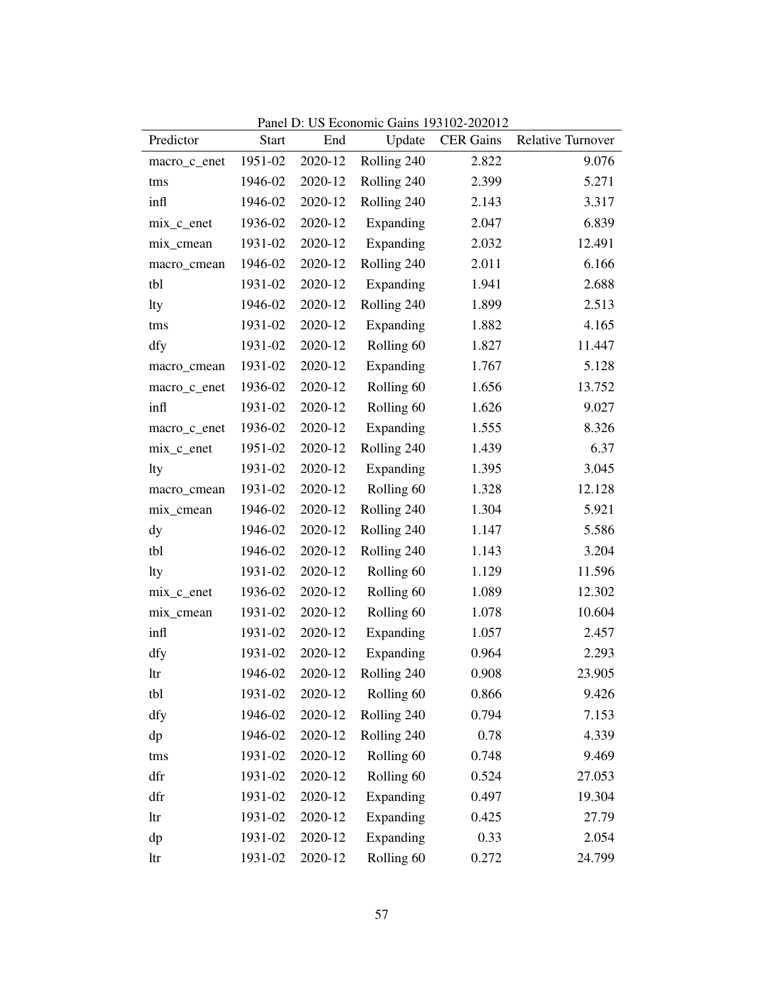| Predictor    | <b>Start</b> | End     | Update      | <b>CER Gains</b> | <b>Relative Turnover</b> |
|--------------|--------------|---------|-------------|------------------|--------------------------|
| macro_c_enet | 1951-02      | 2020-12 | Rolling 240 | 2.822            | 9.076                    |
| tms          | 1946-02      | 2020-12 | Rolling 240 | 2.399            | 5.271                    |
| infl         | 1946-02      | 2020-12 | Rolling 240 | 2.143            | 3.317                    |
| mix_c_enet   | 1936-02      | 2020-12 | Expanding   | 2.047            | 6.839                    |
| mix_cmean    | 1931-02      | 2020-12 | Expanding   | 2.032            | 12.491                   |
| macro_cmean  | 1946-02      | 2020-12 | Rolling 240 | 2.011            | 6.166                    |
| tbl          | 1931-02      | 2020-12 | Expanding   | 1.941            | 2.688                    |
| lty          | 1946-02      | 2020-12 | Rolling 240 | 1.899            | 2.513                    |
| tms          | 1931-02      | 2020-12 | Expanding   | 1.882            | 4.165                    |
| dfy          | 1931-02      | 2020-12 | Rolling 60  | 1.827            | 11.447                   |
| macro_cmean  | 1931-02      | 2020-12 | Expanding   | 1.767            | 5.128                    |
| macro_c_enet | 1936-02      | 2020-12 | Rolling 60  | 1.656            | 13.752                   |
| infl         | 1931-02      | 2020-12 | Rolling 60  | 1.626            | 9.027                    |
| macro_c_enet | 1936-02      | 2020-12 | Expanding   | 1.555            | 8.326                    |
| $mix_c$ enet | 1951-02      | 2020-12 | Rolling 240 | 1.439            | 6.37                     |
| lty          | 1931-02      | 2020-12 | Expanding   | 1.395            | 3.045                    |
| macro_cmean  | 1931-02      | 2020-12 | Rolling 60  | 1.328            | 12.128                   |
| mix_cmean    | 1946-02      | 2020-12 | Rolling 240 | 1.304            | 5.921                    |
| dy           | 1946-02      | 2020-12 | Rolling 240 | 1.147            | 5.586                    |
| tbl          | 1946-02      | 2020-12 | Rolling 240 | 1.143            | 3.204                    |
| lty          | 1931-02      | 2020-12 | Rolling 60  | 1.129            | 11.596                   |
| mix_c_enet   | 1936-02      | 2020-12 | Rolling 60  | 1.089            | 12.302                   |
| mix_cmean    | 1931-02      | 2020-12 | Rolling 60  | 1.078            | 10.604                   |
| infl         | 1931-02      | 2020-12 | Expanding   | 1.057            | 2.457                    |
| dfy          | 1931-02      | 2020-12 | Expanding   | 0.964            | 2.293                    |
| ltr          | 1946-02      | 2020-12 | Rolling 240 | 0.908            | 23.905                   |
| tbl          | 1931-02      | 2020-12 | Rolling 60  | 0.866            | 9.426                    |
| dfy          | 1946-02      | 2020-12 | Rolling 240 | 0.794            | 7.153                    |
| dp           | 1946-02      | 2020-12 | Rolling 240 | 0.78             | 4.339                    |
| tms          | 1931-02      | 2020-12 | Rolling 60  | 0.748            | 9.469                    |
| dfr          | 1931-02      | 2020-12 | Rolling 60  | 0.524            | 27.053                   |
| dfr          | 1931-02      | 2020-12 | Expanding   | 0.497            | 19.304                   |
| ltr          | 1931-02      | 2020-12 | Expanding   | 0.425            | 27.79                    |
| dp           | 1931-02      | 2020-12 | Expanding   | 0.33             | 2.054                    |
| ltr          | 1931-02      | 2020-12 | Rolling 60  | 0.272            | 24.799                   |

Panel D: US Economic Gains 193102-202012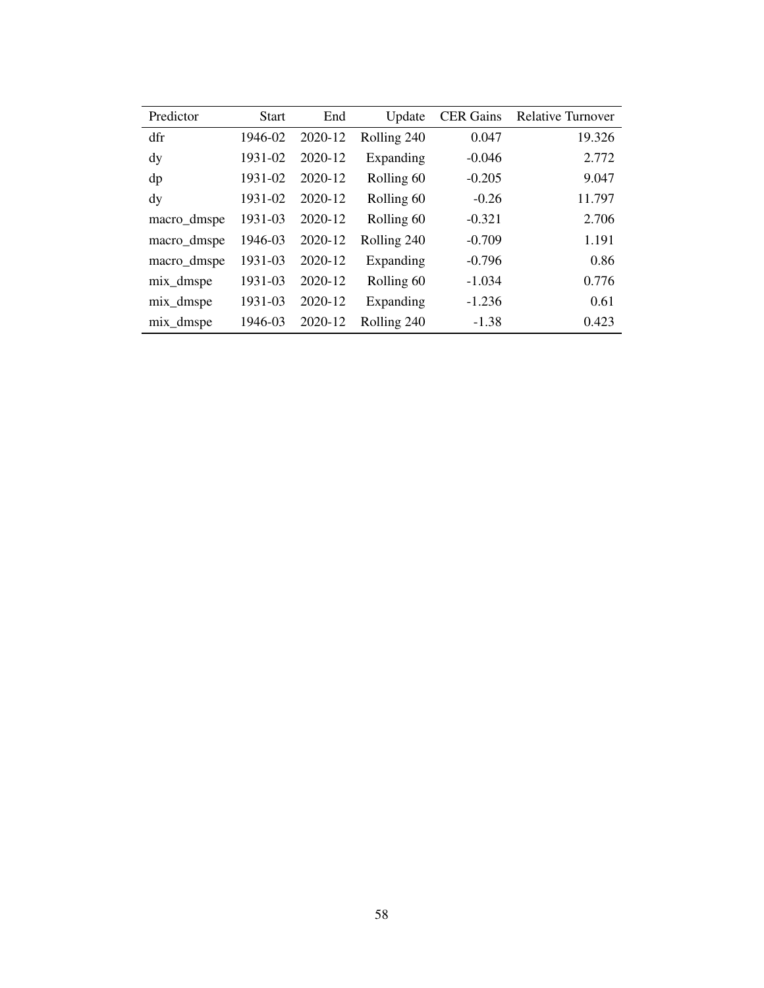| Predictor   | <b>Start</b> | End     | Update      | <b>CER</b> Gains | <b>Relative Turnover</b> |
|-------------|--------------|---------|-------------|------------------|--------------------------|
| dfr         | 1946-02      | 2020-12 | Rolling 240 | 0.047            | 19.326                   |
| dy          | 1931-02      | 2020-12 | Expanding   | $-0.046$         | 2.772                    |
| dp          | 1931-02      | 2020-12 | Rolling 60  | $-0.205$         | 9.047                    |
| dy          | 1931-02      | 2020-12 | Rolling 60  | $-0.26$          | 11.797                   |
| macro_dmspe | 1931-03      | 2020-12 | Rolling 60  | $-0.321$         | 2.706                    |
| macro_dmspe | 1946-03      | 2020-12 | Rolling 240 | $-0.709$         | 1.191                    |
| macro_dmspe | 1931-03      | 2020-12 | Expanding   | $-0.796$         | 0.86                     |
| mix_dmspe   | 1931-03      | 2020-12 | Rolling 60  | $-1.034$         | 0.776                    |
| mix_dmspe   | 1931-03      | 2020-12 | Expanding   | $-1.236$         | 0.61                     |
| mix_dmspe   | 1946-03      | 2020-12 | Rolling 240 | $-1.38$          | 0.423                    |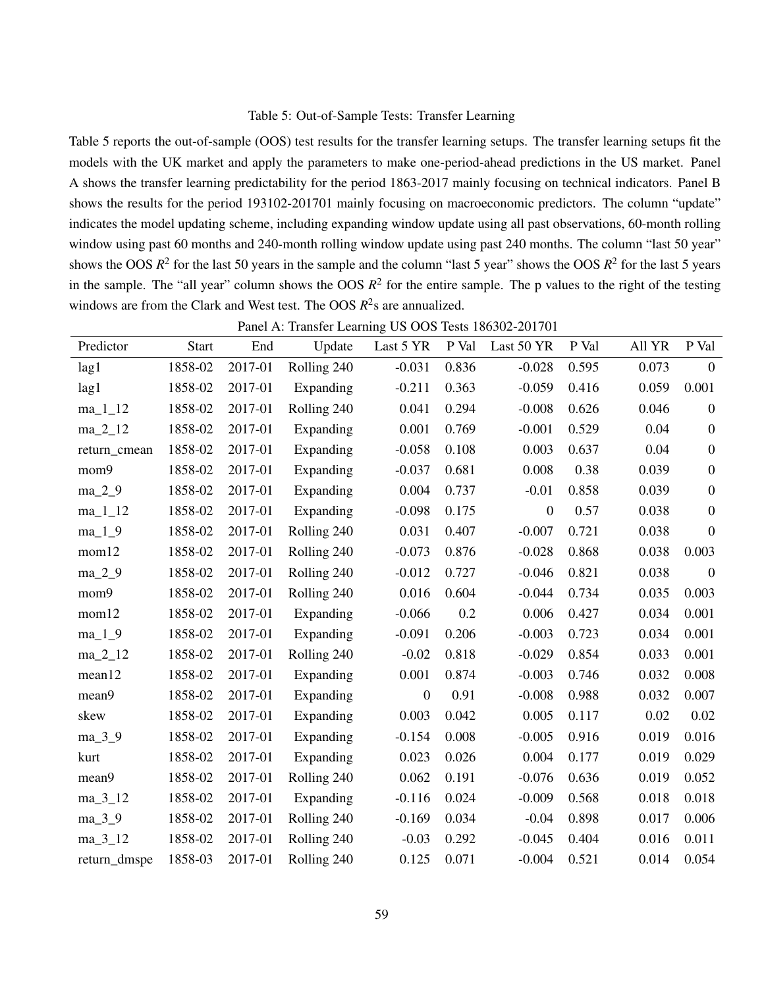## Table 5: Out-of-Sample Tests: Transfer Learning

Table 5 reports the out-of-sample (OOS) test results for the transfer learning setups. The transfer learning setups fit the models with the UK market and apply the parameters to make one-period-ahead predictions in the US market. Panel A shows the transfer learning predictability for the period 1863-2017 mainly focusing on technical indicators. Panel B shows the results for the period 193102-201701 mainly focusing on macroeconomic predictors. The column "update" indicates the model updating scheme, including expanding window update using all past observations, 60-month rolling window using past 60 months and 240-month rolling window update using past 240 months. The column "last 50 year" shows the OOS  $R^2$  for the last 50 years in the sample and the column "last 5 year" shows the OOS  $R^2$  for the last 5 years in the sample. The "all year" column shows the OOS  $R^2$  for the entire sample. The p values to the right of the testing windows are from the Clark and West test. The OOS  $R^2$ s are annualized.

|              |              |         | Tance A. Transici Learning Ob OOS Tests 100502-201701 |                |       |                |       |        |                  |
|--------------|--------------|---------|-------------------------------------------------------|----------------|-------|----------------|-------|--------|------------------|
| Predictor    | <b>Start</b> | End     | Update                                                | Last 5 YR      | P Val | Last 50 YR     | P Val | All YR | P Val            |
| lag1         | 1858-02      | 2017-01 | Rolling 240                                           | $-0.031$       | 0.836 | $-0.028$       | 0.595 | 0.073  | $\overline{0}$   |
| lag1         | 1858-02      | 2017-01 | Expanding                                             | $-0.211$       | 0.363 | $-0.059$       | 0.416 | 0.059  | 0.001            |
| $ma_11_12$   | 1858-02      | 2017-01 | Rolling 240                                           | 0.041          | 0.294 | $-0.008$       | 0.626 | 0.046  | $\theta$         |
| $ma_2_12$    | 1858-02      | 2017-01 | Expanding                                             | 0.001          | 0.769 | $-0.001$       | 0.529 | 0.04   | $\boldsymbol{0}$ |
| return_cmean | 1858-02      | 2017-01 | Expanding                                             | $-0.058$       | 0.108 | 0.003          | 0.637 | 0.04   | $\boldsymbol{0}$ |
| mom9         | 1858-02      | 2017-01 | Expanding                                             | $-0.037$       | 0.681 | 0.008          | 0.38  | 0.039  | $\boldsymbol{0}$ |
| $ma_2_9$     | 1858-02      | 2017-01 | Expanding                                             | 0.004          | 0.737 | $-0.01$        | 0.858 | 0.039  | $\boldsymbol{0}$ |
| $ma_11_2$    | 1858-02      | 2017-01 | Expanding                                             | $-0.098$       | 0.175 | $\overline{0}$ | 0.57  | 0.038  | $\boldsymbol{0}$ |
| $ma_1_9$     | 1858-02      | 2017-01 | Rolling 240                                           | 0.031          | 0.407 | $-0.007$       | 0.721 | 0.038  | $\boldsymbol{0}$ |
| mom12        | 1858-02      | 2017-01 | Rolling 240                                           | $-0.073$       | 0.876 | $-0.028$       | 0.868 | 0.038  | 0.003            |
| $ma_2_9$     | 1858-02      | 2017-01 | Rolling 240                                           | $-0.012$       | 0.727 | $-0.046$       | 0.821 | 0.038  | $\boldsymbol{0}$ |
| mom9         | 1858-02      | 2017-01 | Rolling 240                                           | 0.016          | 0.604 | $-0.044$       | 0.734 | 0.035  | 0.003            |
| mom12        | 1858-02      | 2017-01 | Expanding                                             | $-0.066$       | 0.2   | 0.006          | 0.427 | 0.034  | 0.001            |
| $ma_1_9$     | 1858-02      | 2017-01 | Expanding                                             | $-0.091$       | 0.206 | $-0.003$       | 0.723 | 0.034  | 0.001            |
| $ma_2_12$    | 1858-02      | 2017-01 | Rolling 240                                           | $-0.02$        | 0.818 | $-0.029$       | 0.854 | 0.033  | 0.001            |
| mean12       | 1858-02      | 2017-01 | Expanding                                             | 0.001          | 0.874 | $-0.003$       | 0.746 | 0.032  | 0.008            |
| mean9        | 1858-02      | 2017-01 | Expanding                                             | $\overline{0}$ | 0.91  | $-0.008$       | 0.988 | 0.032  | 0.007            |
| skew         | 1858-02      | 2017-01 | Expanding                                             | 0.003          | 0.042 | 0.005          | 0.117 | 0.02   | 0.02             |
| $ma_3_9$     | 1858-02      | 2017-01 | Expanding                                             | $-0.154$       | 0.008 | $-0.005$       | 0.916 | 0.019  | 0.016            |
| kurt         | 1858-02      | 2017-01 | Expanding                                             | 0.023          | 0.026 | 0.004          | 0.177 | 0.019  | 0.029            |
| mean9        | 1858-02      | 2017-01 | Rolling 240                                           | 0.062          | 0.191 | $-0.076$       | 0.636 | 0.019  | 0.052            |
| $ma_3_12$    | 1858-02      | 2017-01 | Expanding                                             | $-0.116$       | 0.024 | $-0.009$       | 0.568 | 0.018  | 0.018            |
| $ma_3_9$     | 1858-02      | 2017-01 | Rolling 240                                           | $-0.169$       | 0.034 | $-0.04$        | 0.898 | 0.017  | 0.006            |
| $ma_3_12$    | 1858-02      | 2017-01 | Rolling 240                                           | $-0.03$        | 0.292 | $-0.045$       | 0.404 | 0.016  | 0.011            |
| return_dmspe | 1858-03      | 2017-01 | Rolling 240                                           | 0.125          | 0.071 | $-0.004$       | 0.521 | 0.014  | 0.054            |

Panel A: Transfer Learning US OOS Tests 186302-201701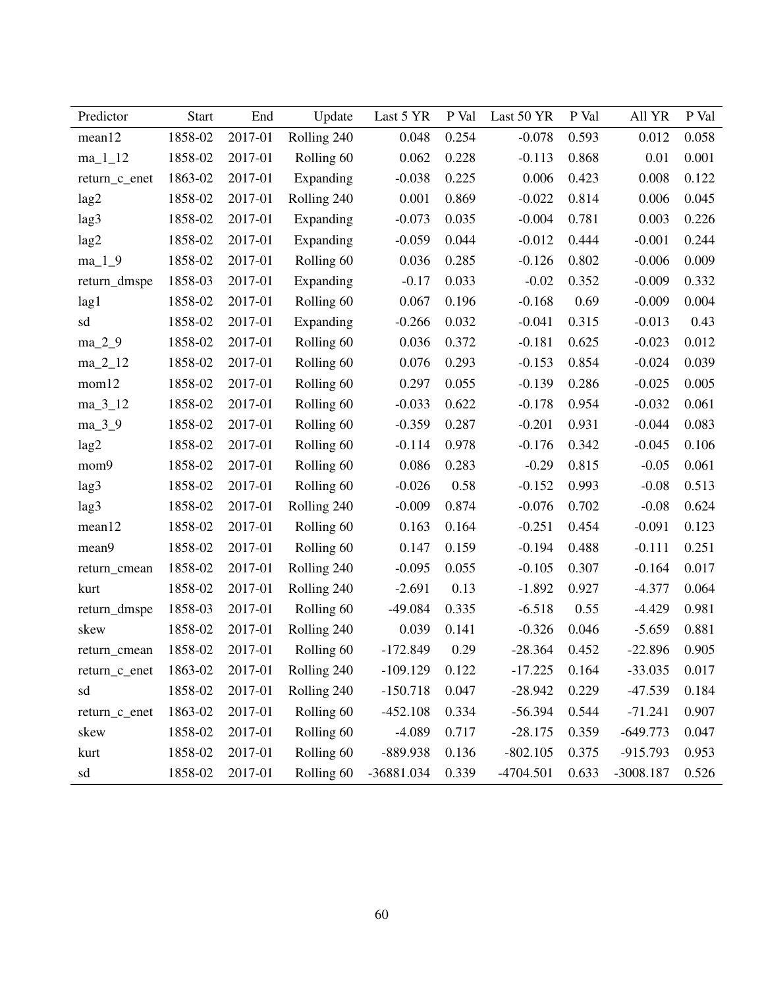| Predictor     | <b>Start</b> | End     | Update      | Last 5 YR  | P Val | Last 50 YR | P Val | All YR      | P Val |
|---------------|--------------|---------|-------------|------------|-------|------------|-------|-------------|-------|
| mean12        | 1858-02      | 2017-01 | Rolling 240 | 0.048      | 0.254 | $-0.078$   | 0.593 | 0.012       | 0.058 |
| $ma_11_12$    | 1858-02      | 2017-01 | Rolling 60  | 0.062      | 0.228 | $-0.113$   | 0.868 | 0.01        | 0.001 |
| return_c_enet | 1863-02      | 2017-01 | Expanding   | $-0.038$   | 0.225 | 0.006      | 0.423 | 0.008       | 0.122 |
| lag2          | 1858-02      | 2017-01 | Rolling 240 | 0.001      | 0.869 | $-0.022$   | 0.814 | 0.006       | 0.045 |
| lag3          | 1858-02      | 2017-01 | Expanding   | $-0.073$   | 0.035 | $-0.004$   | 0.781 | 0.003       | 0.226 |
| lag2          | 1858-02      | 2017-01 | Expanding   | $-0.059$   | 0.044 | $-0.012$   | 0.444 | $-0.001$    | 0.244 |
| $ma_1_9$      | 1858-02      | 2017-01 | Rolling 60  | 0.036      | 0.285 | $-0.126$   | 0.802 | $-0.006$    | 0.009 |
| return_dmspe  | 1858-03      | 2017-01 | Expanding   | $-0.17$    | 0.033 | $-0.02$    | 0.352 | $-0.009$    | 0.332 |
| lag1          | 1858-02      | 2017-01 | Rolling 60  | 0.067      | 0.196 | $-0.168$   | 0.69  | $-0.009$    | 0.004 |
| sd            | 1858-02      | 2017-01 | Expanding   | $-0.266$   | 0.032 | $-0.041$   | 0.315 | $-0.013$    | 0.43  |
| $ma_2_9$      | 1858-02      | 2017-01 | Rolling 60  | 0.036      | 0.372 | $-0.181$   | 0.625 | $-0.023$    | 0.012 |
| $ma_2_12$     | 1858-02      | 2017-01 | Rolling 60  | 0.076      | 0.293 | $-0.153$   | 0.854 | $-0.024$    | 0.039 |
| mom12         | 1858-02      | 2017-01 | Rolling 60  | 0.297      | 0.055 | $-0.139$   | 0.286 | $-0.025$    | 0.005 |
| $ma_3_12$     | 1858-02      | 2017-01 | Rolling 60  | $-0.033$   | 0.622 | $-0.178$   | 0.954 | $-0.032$    | 0.061 |
| $ma_3_9$      | 1858-02      | 2017-01 | Rolling 60  | $-0.359$   | 0.287 | $-0.201$   | 0.931 | $-0.044$    | 0.083 |
| lag2          | 1858-02      | 2017-01 | Rolling 60  | $-0.114$   | 0.978 | $-0.176$   | 0.342 | $-0.045$    | 0.106 |
| mom9          | 1858-02      | 2017-01 | Rolling 60  | 0.086      | 0.283 | $-0.29$    | 0.815 | $-0.05$     | 0.061 |
| lag3          | 1858-02      | 2017-01 | Rolling 60  | $-0.026$   | 0.58  | $-0.152$   | 0.993 | $-0.08$     | 0.513 |
| lag3          | 1858-02      | 2017-01 | Rolling 240 | $-0.009$   | 0.874 | $-0.076$   | 0.702 | $-0.08$     | 0.624 |
| mean12        | 1858-02      | 2017-01 | Rolling 60  | 0.163      | 0.164 | $-0.251$   | 0.454 | $-0.091$    | 0.123 |
| mean9         | 1858-02      | 2017-01 | Rolling 60  | 0.147      | 0.159 | $-0.194$   | 0.488 | $-0.111$    | 0.251 |
| return cmean  | 1858-02      | 2017-01 | Rolling 240 | $-0.095$   | 0.055 | $-0.105$   | 0.307 | $-0.164$    | 0.017 |
| kurt          | 1858-02      | 2017-01 | Rolling 240 | $-2.691$   | 0.13  | $-1.892$   | 0.927 | $-4.377$    | 0.064 |
| return_dmspe  | 1858-03      | 2017-01 | Rolling 60  | $-49.084$  | 0.335 | $-6.518$   | 0.55  | $-4.429$    | 0.981 |
| skew          | 1858-02      | 2017-01 | Rolling 240 | 0.039      | 0.141 | $-0.326$   | 0.046 | $-5.659$    | 0.881 |
| return_cmean  | 1858-02      | 2017-01 | Rolling 60  | $-172.849$ | 0.29  | $-28.364$  | 0.452 | $-22.896$   | 0.905 |
| return_c_enet | 1863-02      | 2017-01 | Rolling 240 | $-109.129$ | 0.122 | $-17.225$  | 0.164 | $-33.035$   | 0.017 |
| sd            | 1858-02      | 2017-01 | Rolling 240 | $-150.718$ | 0.047 | $-28.942$  | 0.229 | $-47.539$   | 0.184 |
| return_c_enet | 1863-02      | 2017-01 | Rolling 60  | $-452.108$ | 0.334 | $-56.394$  | 0.544 | $-71.241$   | 0.907 |
| skew          | 1858-02      | 2017-01 | Rolling 60  | $-4.089$   | 0.717 | $-28.175$  | 0.359 | $-649.773$  | 0.047 |
| kurt          | 1858-02      | 2017-01 | Rolling 60  | -889.938   | 0.136 | $-802.105$ | 0.375 | $-915.793$  | 0.953 |
| sd            | 1858-02      | 2017-01 | Rolling 60  | -36881.034 | 0.339 | -4704.501  | 0.633 | $-3008.187$ | 0.526 |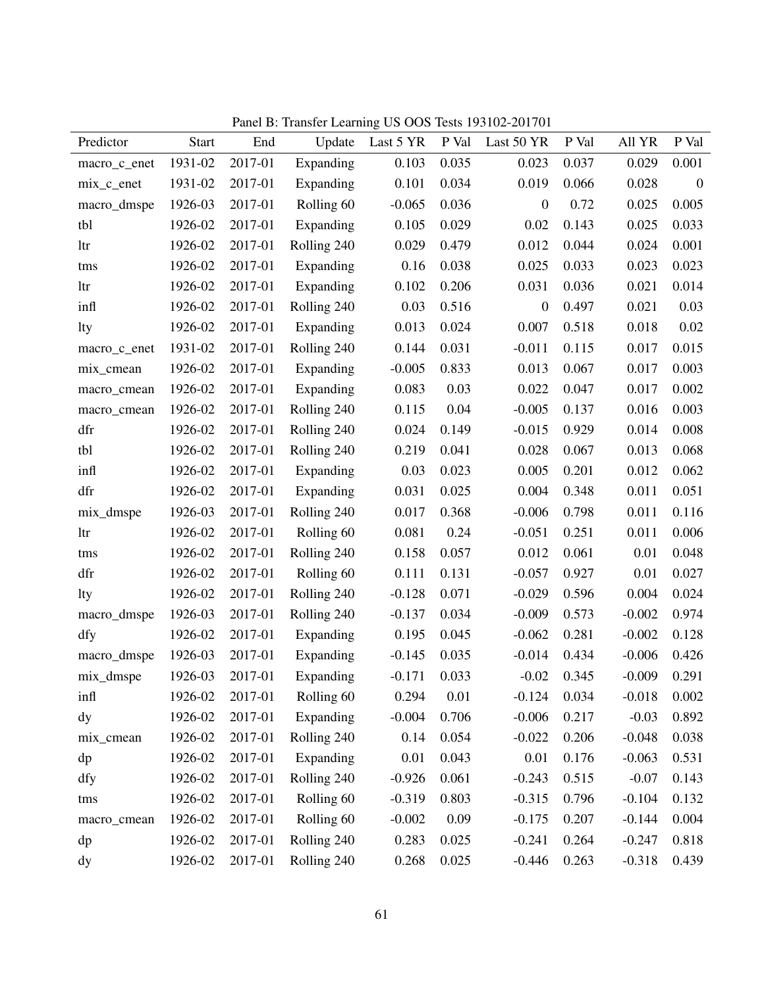Panel B: Transfer Learning US OOS Tests 193102-201701

|              |              |         |             |           |       | $\frac{1}{200}$ $\frac{1}{200}$ $\frac{1}{200}$ $\frac{1}{200}$ $\frac{1}{200}$ $\frac{1}{200}$ |       |          |                |
|--------------|--------------|---------|-------------|-----------|-------|-------------------------------------------------------------------------------------------------|-------|----------|----------------|
| Predictor    | <b>Start</b> | End     | Update      | Last 5 YR | P Val | Last 50 YR                                                                                      | P Val | All YR   | P Val          |
| macro_c_enet | 1931-02      | 2017-01 | Expanding   | 0.103     | 0.035 | 0.023                                                                                           | 0.037 | 0.029    | 0.001          |
| $mix_c$ enet | 1931-02      | 2017-01 | Expanding   | 0.101     | 0.034 | 0.019                                                                                           | 0.066 | 0.028    | $\overline{0}$ |
| macro_dmspe  | 1926-03      | 2017-01 | Rolling 60  | $-0.065$  | 0.036 | $\boldsymbol{0}$                                                                                | 0.72  | 0.025    | 0.005          |
| tbl          | 1926-02      | 2017-01 | Expanding   | 0.105     | 0.029 | 0.02                                                                                            | 0.143 | 0.025    | 0.033          |
| ltr          | 1926-02      | 2017-01 | Rolling 240 | 0.029     | 0.479 | 0.012                                                                                           | 0.044 | 0.024    | 0.001          |
| tms          | 1926-02      | 2017-01 | Expanding   | 0.16      | 0.038 | 0.025                                                                                           | 0.033 | 0.023    | 0.023          |
| ltr          | 1926-02      | 2017-01 | Expanding   | 0.102     | 0.206 | 0.031                                                                                           | 0.036 | 0.021    | 0.014          |
| infl         | 1926-02      | 2017-01 | Rolling 240 | 0.03      | 0.516 | $\mathbf{0}$                                                                                    | 0.497 | 0.021    | 0.03           |
| lty          | 1926-02      | 2017-01 | Expanding   | 0.013     | 0.024 | 0.007                                                                                           | 0.518 | 0.018    | 0.02           |
| macro_c_enet | 1931-02      | 2017-01 | Rolling 240 | 0.144     | 0.031 | $-0.011$                                                                                        | 0.115 | 0.017    | 0.015          |
| mix_cmean    | 1926-02      | 2017-01 | Expanding   | $-0.005$  | 0.833 | 0.013                                                                                           | 0.067 | 0.017    | 0.003          |
| macro_cmean  | 1926-02      | 2017-01 | Expanding   | 0.083     | 0.03  | 0.022                                                                                           | 0.047 | 0.017    | 0.002          |
| macro_cmean  | 1926-02      | 2017-01 | Rolling 240 | 0.115     | 0.04  | $-0.005$                                                                                        | 0.137 | 0.016    | 0.003          |
| dfr          | 1926-02      | 2017-01 | Rolling 240 | 0.024     | 0.149 | $-0.015$                                                                                        | 0.929 | 0.014    | 0.008          |
| tbl          | 1926-02      | 2017-01 | Rolling 240 | 0.219     | 0.041 | 0.028                                                                                           | 0.067 | 0.013    | 0.068          |
| infl         | 1926-02      | 2017-01 | Expanding   | 0.03      | 0.023 | 0.005                                                                                           | 0.201 | 0.012    | 0.062          |
| dfr          | 1926-02      | 2017-01 | Expanding   | 0.031     | 0.025 | 0.004                                                                                           | 0.348 | 0.011    | 0.051          |
| mix_dmspe    | 1926-03      | 2017-01 | Rolling 240 | 0.017     | 0.368 | $-0.006$                                                                                        | 0.798 | 0.011    | 0.116          |
| ltr          | 1926-02      | 2017-01 | Rolling 60  | 0.081     | 0.24  | $-0.051$                                                                                        | 0.251 | 0.011    | 0.006          |
| tms          | 1926-02      | 2017-01 | Rolling 240 | 0.158     | 0.057 | 0.012                                                                                           | 0.061 | 0.01     | 0.048          |
| dfr          | 1926-02      | 2017-01 | Rolling 60  | 0.111     | 0.131 | $-0.057$                                                                                        | 0.927 | 0.01     | 0.027          |
| lty          | 1926-02      | 2017-01 | Rolling 240 | $-0.128$  | 0.071 | $-0.029$                                                                                        | 0.596 | 0.004    | 0.024          |
| macro_dmspe  | 1926-03      | 2017-01 | Rolling 240 | $-0.137$  | 0.034 | $-0.009$                                                                                        | 0.573 | $-0.002$ | 0.974          |
| dfy          | 1926-02      | 2017-01 | Expanding   | 0.195     | 0.045 | $-0.062$                                                                                        | 0.281 | $-0.002$ | 0.128          |
| macro_dmspe  | 1926-03      | 2017-01 | Expanding   | $-0.145$  | 0.035 | $-0.014$                                                                                        | 0.434 | $-0.006$ | 0.426          |
| mix_dmspe    | 1926-03      | 2017-01 | Expanding   | $-0.171$  | 0.033 | $-0.02$                                                                                         | 0.345 | $-0.009$ | 0.291          |
| infl         | 1926-02      | 2017-01 | Rolling 60  | 0.294     | 0.01  | $-0.124$                                                                                        | 0.034 | $-0.018$ | 0.002          |
| dy           | 1926-02      | 2017-01 | Expanding   | $-0.004$  | 0.706 | $-0.006$                                                                                        | 0.217 | $-0.03$  | 0.892          |
| mix_cmean    | 1926-02      | 2017-01 | Rolling 240 | 0.14      | 0.054 | $-0.022$                                                                                        | 0.206 | $-0.048$ | 0.038          |
| dp           | 1926-02      | 2017-01 | Expanding   | 0.01      | 0.043 | 0.01                                                                                            | 0.176 | $-0.063$ | 0.531          |
| dfy          | 1926-02      | 2017-01 | Rolling 240 | $-0.926$  | 0.061 | $-0.243$                                                                                        | 0.515 | $-0.07$  | 0.143          |
| tms          | 1926-02      | 2017-01 | Rolling 60  | $-0.319$  | 0.803 | $-0.315$                                                                                        | 0.796 | $-0.104$ | 0.132          |
| macro_cmean  | 1926-02      | 2017-01 | Rolling 60  | $-0.002$  | 0.09  | $-0.175$                                                                                        | 0.207 | $-0.144$ | 0.004          |
| dp           | 1926-02      | 2017-01 | Rolling 240 | 0.283     | 0.025 | $-0.241$                                                                                        | 0.264 | $-0.247$ | 0.818          |
| dy           | 1926-02      | 2017-01 | Rolling 240 | 0.268     | 0.025 | $-0.446$                                                                                        | 0.263 | $-0.318$ | 0.439          |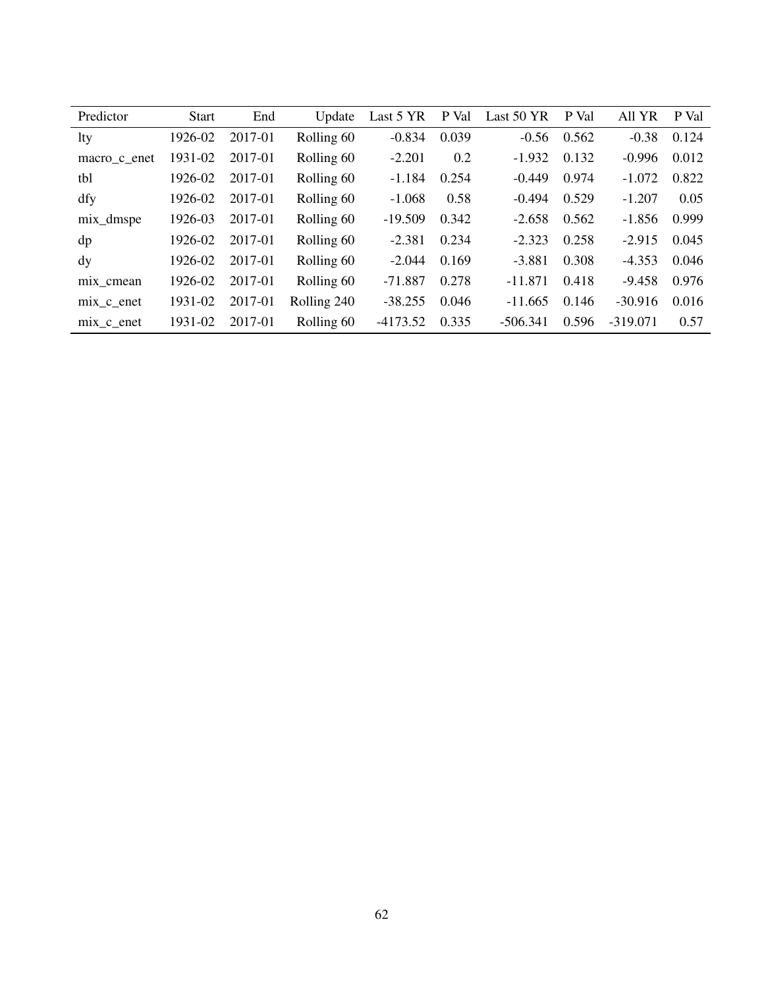| Predictor    | <b>Start</b> | End     | Update      | Last 5 YR  | P Val | Last 50 YR | P Val | All YR     | P Val |
|--------------|--------------|---------|-------------|------------|-------|------------|-------|------------|-------|
| <b>lty</b>   | 1926-02      | 2017-01 | Rolling 60  | $-0.834$   | 0.039 | $-0.56$    | 0.562 | $-0.38$    | 0.124 |
| macro c enet | 1931-02      | 2017-01 | Rolling 60  | $-2.201$   | 0.2   | $-1.932$   | 0.132 | $-0.996$   | 0.012 |
| tbl          | 1926-02      | 2017-01 | Rolling 60  | $-1.184$   | 0.254 | $-0.449$   | 0.974 | $-1.072$   | 0.822 |
| dfy          | 1926-02      | 2017-01 | Rolling 60  | $-1.068$   | 0.58  | $-0.494$   | 0.529 | $-1.207$   | 0.05  |
| mix_dmspe    | 1926-03      | 2017-01 | Rolling 60  | $-19.509$  | 0.342 | $-2.658$   | 0.562 | $-1.856$   | 0.999 |
| dp           | 1926-02      | 2017-01 | Rolling 60  | $-2.381$   | 0.234 | $-2.323$   | 0.258 | $-2.915$   | 0.045 |
| dy           | 1926-02      | 2017-01 | Rolling 60  | $-2.044$   | 0.169 | $-3.881$   | 0.308 | $-4.353$   | 0.046 |
| mix cmean    | 1926-02      | 2017-01 | Rolling 60  | $-71.887$  | 0.278 | $-11.871$  | 0.418 | $-9.458$   | 0.976 |
| mix c enet   | 1931-02      | 2017-01 | Rolling 240 | $-38.255$  | 0.046 | $-11.665$  | 0.146 | $-30.916$  | 0.016 |
| mix c enet   | 1931-02      | 2017-01 | Rolling 60  | $-4173.52$ | 0.335 | $-506.341$ | 0.596 | $-319.071$ | 0.57  |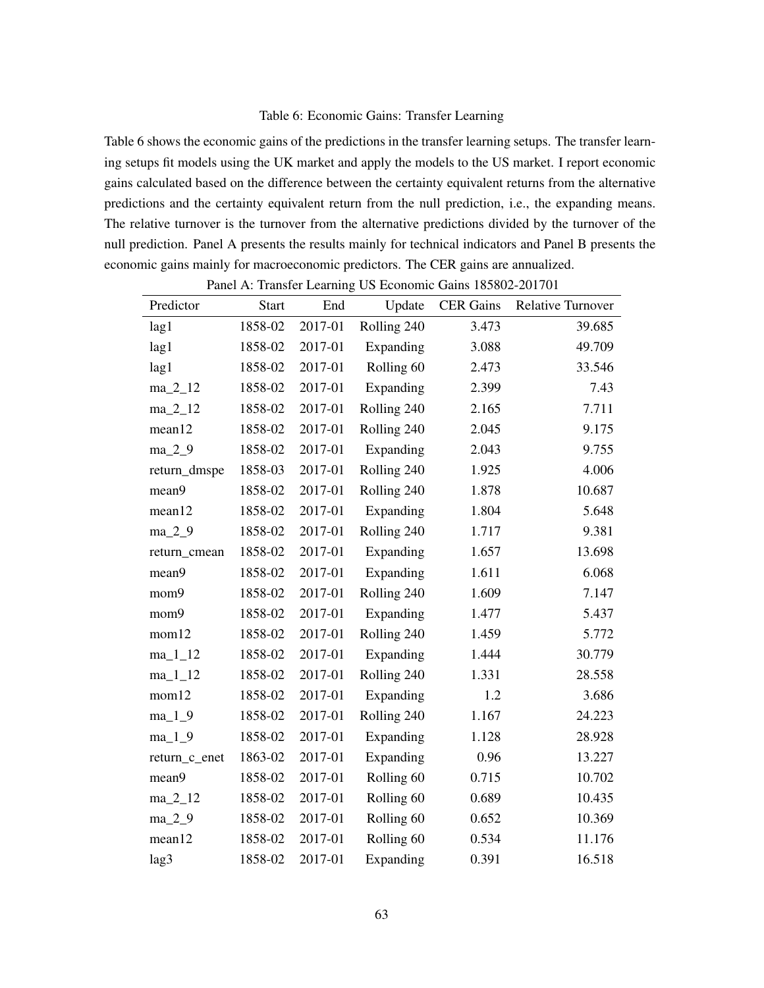## Table 6: Economic Gains: Transfer Learning

Table 6 shows the economic gains of the predictions in the transfer learning setups. The transfer learning setups fit models using the UK market and apply the models to the US market. I report economic gains calculated based on the difference between the certainty equivalent returns from the alternative predictions and the certainty equivalent return from the null prediction, i.e., the expanding means. The relative turnover is the turnover from the alternative predictions divided by the turnover of the null prediction. Panel A presents the results mainly for technical indicators and Panel B presents the economic gains mainly for macroeconomic predictors. The CER gains are annualized.

|               |              |         | Panel A: Transfer Learning US Economic Gains 183802-201701 |                  |                          |
|---------------|--------------|---------|------------------------------------------------------------|------------------|--------------------------|
| Predictor     | <b>Start</b> | End     | Update                                                     | <b>CER Gains</b> | <b>Relative Turnover</b> |
| lag1          | 1858-02      | 2017-01 | Rolling 240                                                | 3.473            | 39.685                   |
| lag1          | 1858-02      | 2017-01 | Expanding                                                  | 3.088            | 49.709                   |
| lag1          | 1858-02      | 2017-01 | Rolling 60                                                 | 2.473            | 33.546                   |
| $ma_2_12$     | 1858-02      | 2017-01 | Expanding                                                  | 2.399            | 7.43                     |
| $ma_2_12$     | 1858-02      | 2017-01 | Rolling 240                                                | 2.165            | 7.711                    |
| mean12        | 1858-02      | 2017-01 | Rolling 240                                                | 2.045            | 9.175                    |
| ma_2_9        | 1858-02      | 2017-01 | Expanding                                                  | 2.043            | 9.755                    |
| return_dmspe  | 1858-03      | 2017-01 | Rolling 240                                                | 1.925            | 4.006                    |
| mean9         | 1858-02      | 2017-01 | Rolling 240                                                | 1.878            | 10.687                   |
| mean12        | 1858-02      | 2017-01 | Expanding                                                  | 1.804            | 5.648                    |
| $ma_2_9$      | 1858-02      | 2017-01 | Rolling 240                                                | 1.717            | 9.381                    |
| return_cmean  | 1858-02      | 2017-01 | Expanding                                                  | 1.657            | 13.698                   |
| mean9         | 1858-02      | 2017-01 | Expanding                                                  | 1.611            | 6.068                    |
| mom9          | 1858-02      | 2017-01 | Rolling 240                                                | 1.609            | 7.147                    |
| mom9          | 1858-02      | 2017-01 | Expanding                                                  | 1.477            | 5.437                    |
| mom12         | 1858-02      | 2017-01 | Rolling 240                                                | 1.459            | 5.772                    |
| $ma_11_12$    | 1858-02      | 2017-01 | Expanding                                                  | 1.444            | 30.779                   |
| $ma_11_12$    | 1858-02      | 2017-01 | Rolling 240                                                | 1.331            | 28.558                   |
| mom12         | 1858-02      | 2017-01 | Expanding                                                  | 1.2              | 3.686                    |
| $ma_1_9$      | 1858-02      | 2017-01 | Rolling 240                                                | 1.167            | 24.223                   |
| $ma_1_9$      | 1858-02      | 2017-01 | Expanding                                                  | 1.128            | 28.928                   |
| return_c_enet | 1863-02      | 2017-01 | Expanding                                                  | 0.96             | 13.227                   |
| mean9         | 1858-02      | 2017-01 | Rolling 60                                                 | 0.715            | 10.702                   |
| ma_2_12       | 1858-02      | 2017-01 | Rolling 60                                                 | 0.689            | 10.435                   |
| $ma_2_9$      | 1858-02      | 2017-01 | Rolling 60                                                 | 0.652            | 10.369                   |
| mean12        | 1858-02      | 2017-01 | Rolling <sub>60</sub>                                      | 0.534            | 11.176                   |
| lag3          | 1858-02      | 2017-01 | Expanding                                                  | 0.391            | 16.518                   |

Panel A: Transfer Learning US Economic Gains 185802-201701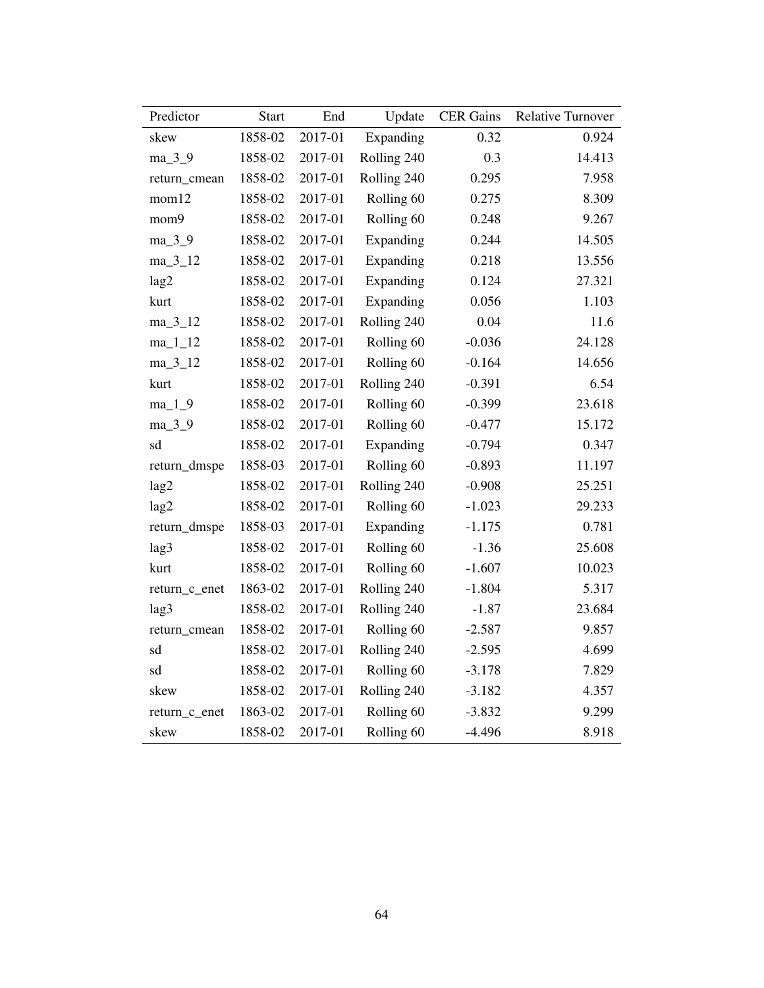| Predictor     | <b>Start</b> | End     | Update                | <b>CER Gains</b> | <b>Relative Turnover</b> |
|---------------|--------------|---------|-----------------------|------------------|--------------------------|
| skew          | 1858-02      | 2017-01 | Expanding             | 0.32             | 0.924                    |
| ma_3_9        | 1858-02      | 2017-01 | Rolling 240           | 0.3              | 14.413                   |
| return_cmean  | 1858-02      | 2017-01 | Rolling 240           | 0.295            | 7.958                    |
| mom12         | 1858-02      | 2017-01 | Rolling <sub>60</sub> | 0.275            | 8.309                    |
| mom9          | 1858-02      | 2017-01 | Rolling <sub>60</sub> | 0.248            | 9.267                    |
| ma_3_9        | 1858-02      | 2017-01 | Expanding             | 0.244            | 14.505                   |
| $ma_3_12$     | 1858-02      | 2017-01 | Expanding             | 0.218            | 13.556                   |
| lag2          | 1858-02      | 2017-01 | Expanding             | 0.124            | 27.321                   |
| kurt          | 1858-02      | 2017-01 | Expanding             | 0.056            | 1.103                    |
| $ma_3_12$     | 1858-02      | 2017-01 | Rolling 240           | 0.04             | 11.6                     |
| $ma_11_12$    | 1858-02      | 2017-01 | Rolling 60            | $-0.036$         | 24.128                   |
| $ma_3_12$     | 1858-02      | 2017-01 | Rolling <sub>60</sub> | $-0.164$         | 14.656                   |
| kurt          | 1858-02      | 2017-01 | Rolling 240           | $-0.391$         | 6.54                     |
| $ma_1_9$      | 1858-02      | 2017-01 | Rolling <sub>60</sub> | $-0.399$         | 23.618                   |
| ma_3_9        | 1858-02      | 2017-01 | Rolling 60            | $-0.477$         | 15.172                   |
| sd            | 1858-02      | 2017-01 | Expanding             | $-0.794$         | 0.347                    |
| return_dmspe  | 1858-03      | 2017-01 | Rolling 60            | $-0.893$         | 11.197                   |
| lag2          | 1858-02      | 2017-01 | Rolling 240           | $-0.908$         | 25.251                   |
| lag2          | 1858-02      | 2017-01 | Rolling <sub>60</sub> | $-1.023$         | 29.233                   |
| return_dmspe  | 1858-03      | 2017-01 | Expanding             | $-1.175$         | 0.781                    |
| lag3          | 1858-02      | 2017-01 | Rolling 60            | $-1.36$          | 25.608                   |
| kurt          | 1858-02      | 2017-01 | Rolling <sub>60</sub> | $-1.607$         | 10.023                   |
| return_c_enet | 1863-02      | 2017-01 | Rolling 240           | $-1.804$         | 5.317                    |
| lag3          | 1858-02      | 2017-01 | Rolling 240           | $-1.87$          | 23.684                   |
| return cmean  | 1858-02      | 2017-01 | Rolling 60            | $-2.587$         | 9.857                    |
| sd            | 1858-02      | 2017-01 | Rolling 240           | $-2.595$         | 4.699                    |
| sd            | 1858-02      | 2017-01 | Rolling 60            | $-3.178$         | 7.829                    |
| skew          | 1858-02      | 2017-01 | Rolling 240           | $-3.182$         | 4.357                    |
| return_c_enet | 1863-02      | 2017-01 | Rolling <sub>60</sub> | $-3.832$         | 9.299                    |
| skew          | 1858-02      | 2017-01 | Rolling 60            | $-4.496$         | 8.918                    |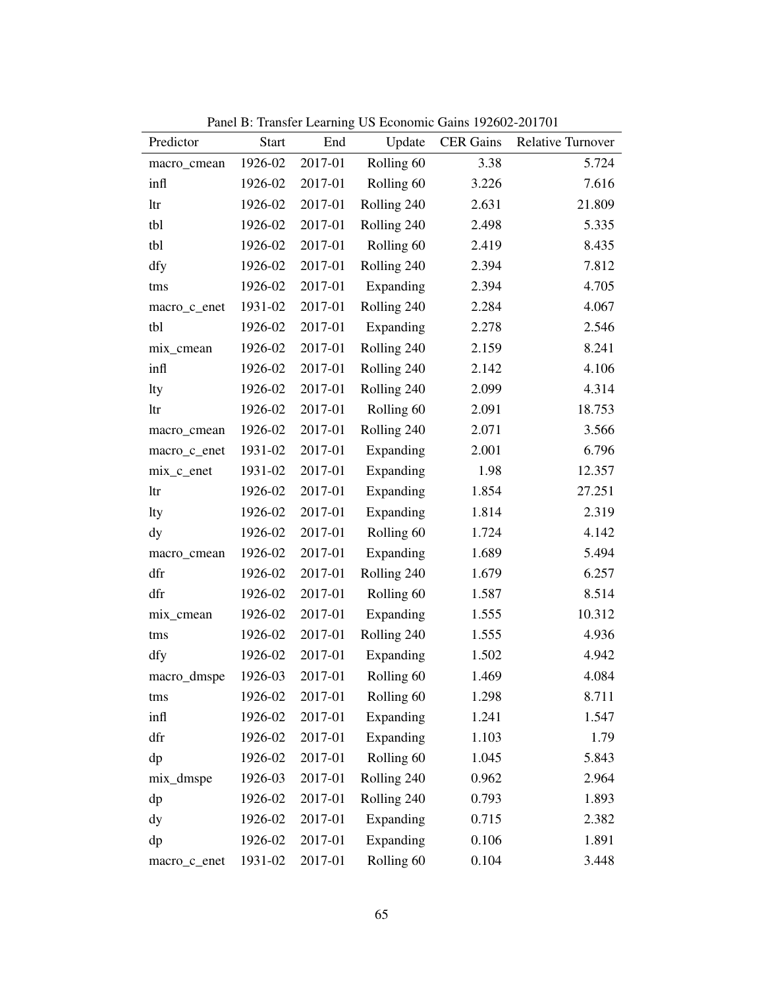| Predictor    | <b>Start</b> | End     | Update                | <b>CER</b> Gains | <b>Relative Turnover</b> |
|--------------|--------------|---------|-----------------------|------------------|--------------------------|
| macro_cmean  | 1926-02      | 2017-01 | Rolling 60            | 3.38             | 5.724                    |
| infl         | 1926-02      | 2017-01 | Rolling <sub>60</sub> | 3.226            | 7.616                    |
| ltr          | 1926-02      | 2017-01 | Rolling 240           | 2.631            | 21.809                   |
| tbl          | 1926-02      | 2017-01 | Rolling 240           | 2.498            | 5.335                    |
| tbl          | 1926-02      | 2017-01 | Rolling 60            | 2.419            | 8.435                    |
| dfy          | 1926-02      | 2017-01 | Rolling 240           | 2.394            | 7.812                    |
| tms          | 1926-02      | 2017-01 | Expanding             | 2.394            | 4.705                    |
| macro_c_enet | 1931-02      | 2017-01 | Rolling 240           | 2.284            | 4.067                    |
| tbl          | 1926-02      | 2017-01 | Expanding             | 2.278            | 2.546                    |
| mix_cmean    | 1926-02      | 2017-01 | Rolling 240           | 2.159            | 8.241                    |
| infl         | 1926-02      | 2017-01 | Rolling 240           | 2.142            | 4.106                    |
| lty          | 1926-02      | 2017-01 | Rolling 240           | 2.099            | 4.314                    |
| ltr          | 1926-02      | 2017-01 | Rolling 60            | 2.091            | 18.753                   |
| macro_cmean  | 1926-02      | 2017-01 | Rolling 240           | 2.071            | 3.566                    |
| macro_c_enet | 1931-02      | 2017-01 | Expanding             | 2.001            | 6.796                    |
| mix_c_enet   | 1931-02      | 2017-01 | Expanding             | 1.98             | 12.357                   |
| ltr          | 1926-02      | 2017-01 | Expanding             | 1.854            | 27.251                   |
| lty          | 1926-02      | 2017-01 | Expanding             | 1.814            | 2.319                    |
| dy           | 1926-02      | 2017-01 | Rolling 60            | 1.724            | 4.142                    |
| macro_cmean  | 1926-02      | 2017-01 | Expanding             | 1.689            | 5.494                    |
| dfr          | 1926-02      | 2017-01 | Rolling 240           | 1.679            | 6.257                    |
| dfr          | 1926-02      | 2017-01 | Rolling 60            | 1.587            | 8.514                    |
| mix_cmean    | 1926-02      | 2017-01 | Expanding             | 1.555            | 10.312                   |
| tms          | 1926-02      | 2017-01 | Rolling 240           | 1.555            | 4.936                    |
| dfy          | 1926-02      | 2017-01 | Expanding             | 1.502            | 4.942                    |
| macro_dmspe  | 1926-03      | 2017-01 | Rolling <sub>60</sub> | 1.469            | 4.084                    |
| tms          | 1926-02      | 2017-01 | Rolling 60            | 1.298            | 8.711                    |
| infl         | 1926-02      | 2017-01 | Expanding             | 1.241            | 1.547                    |
| dfr          | 1926-02      | 2017-01 | Expanding             | 1.103            | 1.79                     |
| dp           | 1926-02      | 2017-01 | Rolling 60            | 1.045            | 5.843                    |
| mix_dmspe    | 1926-03      | 2017-01 | Rolling 240           | 0.962            | 2.964                    |
| dp           | 1926-02      | 2017-01 | Rolling 240           | 0.793            | 1.893                    |
| dy           | 1926-02      | 2017-01 | Expanding             | 0.715            | 2.382                    |
| dp           | 1926-02      | 2017-01 | Expanding             | 0.106            | 1.891                    |
| macro_c_enet | 1931-02      | 2017-01 | Rolling 60            | 0.104            | 3.448                    |

Panel B: Transfer Learning US Economic Gains 192602-201701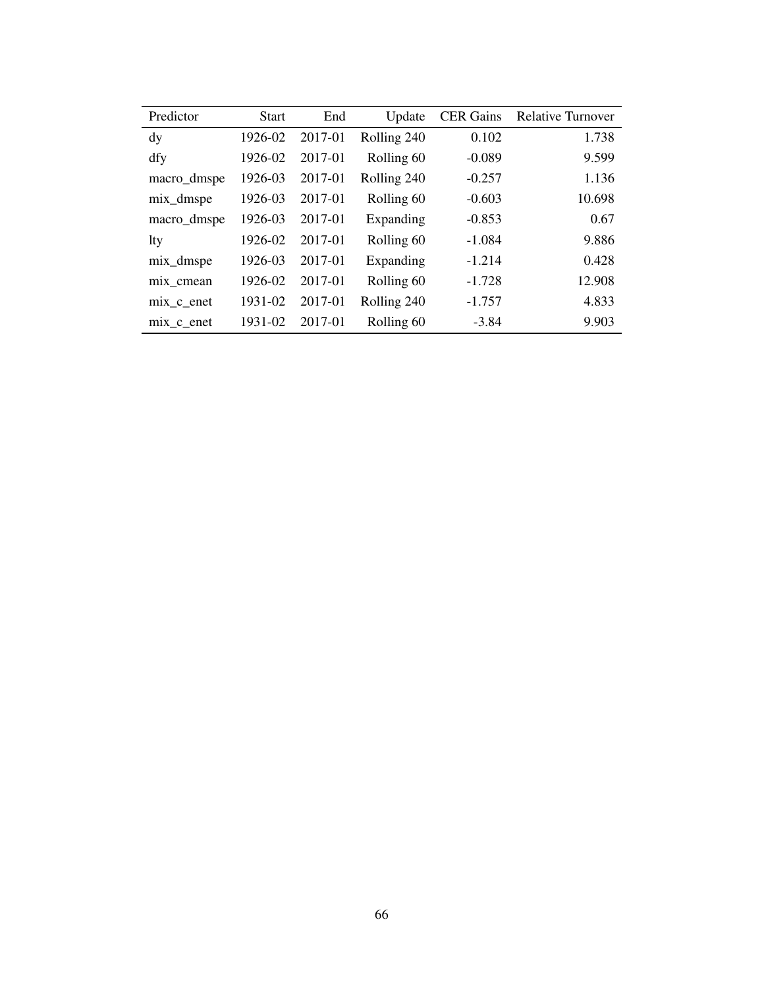| Predictor    | <b>Start</b> | End     | Update      | <b>CER</b> Gains | <b>Relative Turnover</b> |
|--------------|--------------|---------|-------------|------------------|--------------------------|
| dy           | 1926-02      | 2017-01 | Rolling 240 | 0.102            | 1.738                    |
| dfy          | 1926-02      | 2017-01 | Rolling 60  | $-0.089$         | 9.599                    |
| macro_dmspe  | 1926-03      | 2017-01 | Rolling 240 | $-0.257$         | 1.136                    |
| mix_dmspe    | 1926-03      | 2017-01 | Rolling 60  | $-0.603$         | 10.698                   |
| macro_dmspe  | 1926-03      | 2017-01 | Expanding   | $-0.853$         | 0.67                     |
| lty          | 1926-02      | 2017-01 | Rolling 60  | $-1.084$         | 9.886                    |
| mix_dmspe    | 1926-03      | 2017-01 | Expanding   | $-1.214$         | 0.428                    |
| mix_cmean    | 1926-02      | 2017-01 | Rolling 60  | $-1.728$         | 12.908                   |
| $mix_c$ enet | 1931-02      | 2017-01 | Rolling 240 | $-1.757$         | 4.833                    |
| mix c enet   | 1931-02      | 2017-01 | Rolling 60  | $-3.84$          | 9.903                    |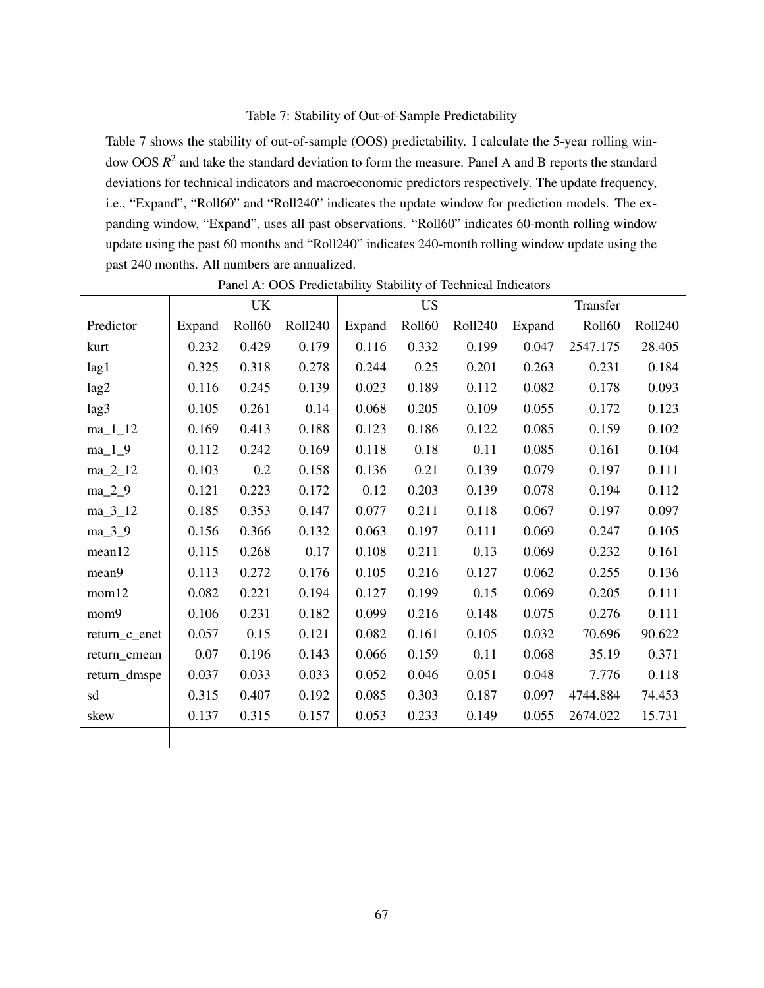## Table 7: Stability of Out-of-Sample Predictability

Table 7 shows the stability of out-of-sample (OOS) predictability. I calculate the 5-year rolling window OOS *R* 2 and take the standard deviation to form the measure. Panel A and B reports the standard deviations for technical indicators and macroeconomic predictors respectively. The update frequency, i.e., "Expand", "Roll60" and "Roll240" indicates the update window for prediction models. The expanding window, "Expand", uses all past observations. "Roll60" indicates 60-month rolling window update using the past 60 months and "Roll240" indicates 240-month rolling window update using the past 240 months. All numbers are annualized.

|               |        | UK            |         |        | <b>US</b> |         |        | Transfer      |         |
|---------------|--------|---------------|---------|--------|-----------|---------|--------|---------------|---------|
| Predictor     | Expand | <b>Roll60</b> | Roll240 | Expand | Roll60    | Roll240 | Expand | <b>Roll60</b> | Roll240 |
| kurt          | 0.232  | 0.429         | 0.179   | 0.116  | 0.332     | 0.199   | 0.047  | 2547.175      | 28.405  |
| lag1          | 0.325  | 0.318         | 0.278   | 0.244  | 0.25      | 0.201   | 0.263  | 0.231         | 0.184   |
| lag2          | 0.116  | 0.245         | 0.139   | 0.023  | 0.189     | 0.112   | 0.082  | 0.178         | 0.093   |
| lag3          | 0.105  | 0.261         | 0.14    | 0.068  | 0.205     | 0.109   | 0.055  | 0.172         | 0.123   |
| $ma_11_12$    | 0.169  | 0.413         | 0.188   | 0.123  | 0.186     | 0.122   | 0.085  | 0.159         | 0.102   |
| $ma_1_9$      | 0.112  | 0.242         | 0.169   | 0.118  | 0.18      | 0.11    | 0.085  | 0.161         | 0.104   |
| $ma_2_12$     | 0.103  | 0.2           | 0.158   | 0.136  | 0.21      | 0.139   | 0.079  | 0.197         | 0.111   |
| $ma_2_9$      | 0.121  | 0.223         | 0.172   | 0.12   | 0.203     | 0.139   | 0.078  | 0.194         | 0.112   |
| $ma_3_12$     | 0.185  | 0.353         | 0.147   | 0.077  | 0.211     | 0.118   | 0.067  | 0.197         | 0.097   |
| $ma_3_9$      | 0.156  | 0.366         | 0.132   | 0.063  | 0.197     | 0.111   | 0.069  | 0.247         | 0.105   |
| mean12        | 0.115  | 0.268         | 0.17    | 0.108  | 0.211     | 0.13    | 0.069  | 0.232         | 0.161   |
| mean9         | 0.113  | 0.272         | 0.176   | 0.105  | 0.216     | 0.127   | 0.062  | 0.255         | 0.136   |
| mom12         | 0.082  | 0.221         | 0.194   | 0.127  | 0.199     | 0.15    | 0.069  | 0.205         | 0.111   |
| mom9          | 0.106  | 0.231         | 0.182   | 0.099  | 0.216     | 0.148   | 0.075  | 0.276         | 0.111   |
| return_c_enet | 0.057  | 0.15          | 0.121   | 0.082  | 0.161     | 0.105   | 0.032  | 70.696        | 90.622  |
| return_cmean  | 0.07   | 0.196         | 0.143   | 0.066  | 0.159     | 0.11    | 0.068  | 35.19         | 0.371   |
| return_dmspe  | 0.037  | 0.033         | 0.033   | 0.052  | 0.046     | 0.051   | 0.048  | 7.776         | 0.118   |
| sd            | 0.315  | 0.407         | 0.192   | 0.085  | 0.303     | 0.187   | 0.097  | 4744.884      | 74.453  |
| skew          | 0.137  | 0.315         | 0.157   | 0.053  | 0.233     | 0.149   | 0.055  | 2674.022      | 15.731  |
|               |        |               |         |        |           |         |        |               |         |

Panel A: OOS Predictability Stability of Technical Indicators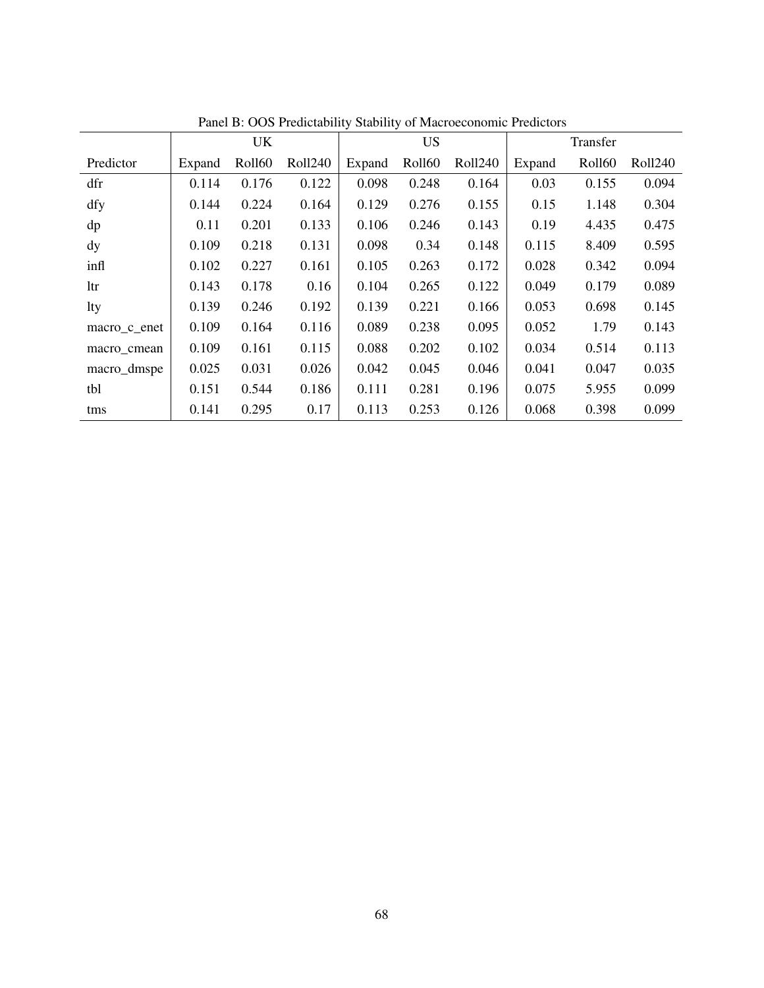|               |        | UK     |         |        | US     |                | I and D. OOD I Rundamity Stability of Macrocconomic I Rundols | Transfer |         |
|---------------|--------|--------|---------|--------|--------|----------------|---------------------------------------------------------------|----------|---------|
| Predictor     | Expand | Roll60 | Roll240 | Expand | Roll60 | <b>Roll240</b> | Expand                                                        | Roll60   | Roll240 |
| dfr           | 0.114  | 0.176  | 0.122   | 0.098  | 0.248  | 0.164          | 0.03                                                          | 0.155    | 0.094   |
| dfy           | 0.144  | 0.224  | 0.164   | 0.129  | 0.276  | 0.155          | 0.15                                                          | 1.148    | 0.304   |
| dp            | 0.11   | 0.201  | 0.133   | 0.106  | 0.246  | 0.143          | 0.19                                                          | 4.435    | 0.475   |
| $\mathbf{dy}$ | 0.109  | 0.218  | 0.131   | 0.098  | 0.34   | 0.148          | 0.115                                                         | 8.409    | 0.595   |
| infl          | 0.102  | 0.227  | 0.161   | 0.105  | 0.263  | 0.172          | 0.028                                                         | 0.342    | 0.094   |
| ltr           | 0.143  | 0.178  | 0.16    | 0.104  | 0.265  | 0.122          | 0.049                                                         | 0.179    | 0.089   |
| <b>lty</b>    | 0.139  | 0.246  | 0.192   | 0.139  | 0.221  | 0.166          | 0.053                                                         | 0.698    | 0.145   |
| macro c enet  | 0.109  | 0.164  | 0.116   | 0.089  | 0.238  | 0.095          | 0.052                                                         | 1.79     | 0.143   |
| macro cmean   | 0.109  | 0.161  | 0.115   | 0.088  | 0.202  | 0.102          | 0.034                                                         | 0.514    | 0.113   |
| macro_dmspe   | 0.025  | 0.031  | 0.026   | 0.042  | 0.045  | 0.046          | 0.041                                                         | 0.047    | 0.035   |
| tbl           | 0.151  | 0.544  | 0.186   | 0.111  | 0.281  | 0.196          | 0.075                                                         | 5.955    | 0.099   |
| tms           | 0.141  | 0.295  | 0.17    | 0.113  | 0.253  | 0.126          | 0.068                                                         | 0.398    | 0.099   |

Panel B: OOS Predictability Stability of Macroeconomic Predictors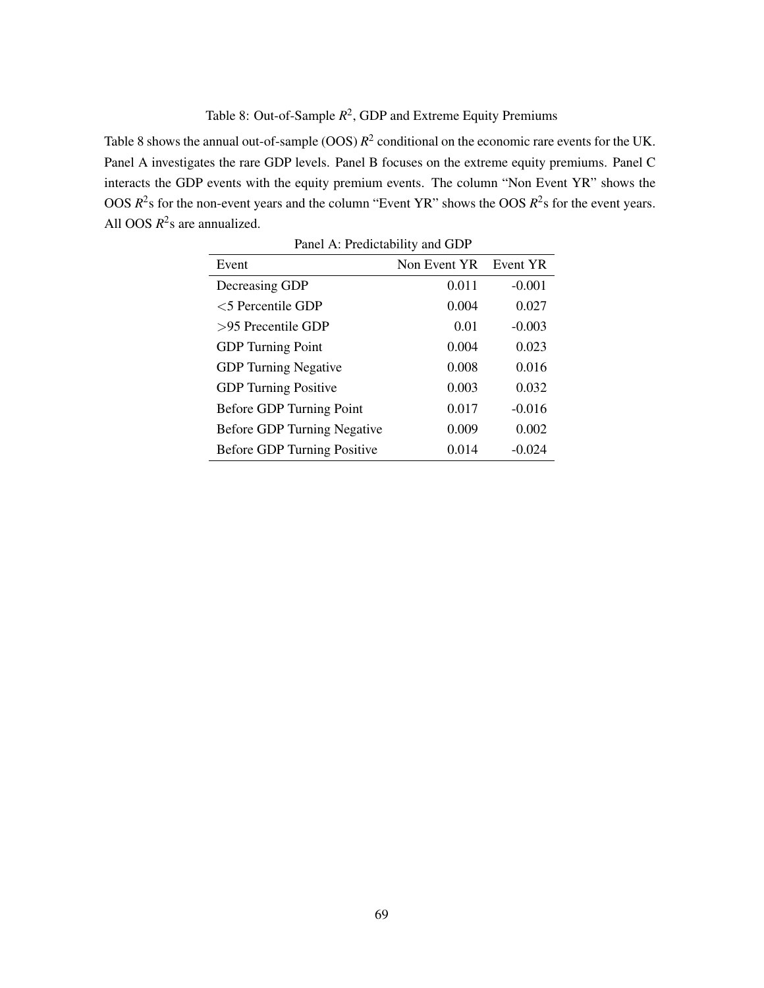# Table 8: Out-of-Sample  $R^2$ , GDP and Extreme Equity Premiums

Table 8 shows the annual out-of-sample  $(OOS)$   $R^2$  conditional on the economic rare events for the UK. Panel A investigates the rare GDP levels. Panel B focuses on the extreme equity premiums. Panel C interacts the GDP events with the equity premium events. The column "Non Event YR" shows the OOS  $R^2$ s for the non-event years and the column "Event YR" shows the OOS  $R^2$ s for the event years. All OOS  $R^2$ s are annualized.

| Panel A: Predictability and GDP    |              |          |  |  |
|------------------------------------|--------------|----------|--|--|
| Event                              | Non Event YR | Event YR |  |  |
| Decreasing GDP                     | 0.011        | $-0.001$ |  |  |
| $<$ 5 Percentile GDP               | 0.004        | 0.027    |  |  |
| $>95$ Precentile GDP               | 0.01         | $-0.003$ |  |  |
| <b>GDP</b> Turning Point           | 0.004        | 0.023    |  |  |
| <b>GDP</b> Turning Negative        | 0.008        | 0.016    |  |  |
| <b>GDP</b> Turning Positive        | 0.003        | 0.032    |  |  |
| Before GDP Turning Point           | 0.017        | $-0.016$ |  |  |
| <b>Before GDP Turning Negative</b> | 0.009        | 0.002    |  |  |
| Before GDP Turning Positive        | 0.014        | $-0.024$ |  |  |

Panel A: Predictability and GDP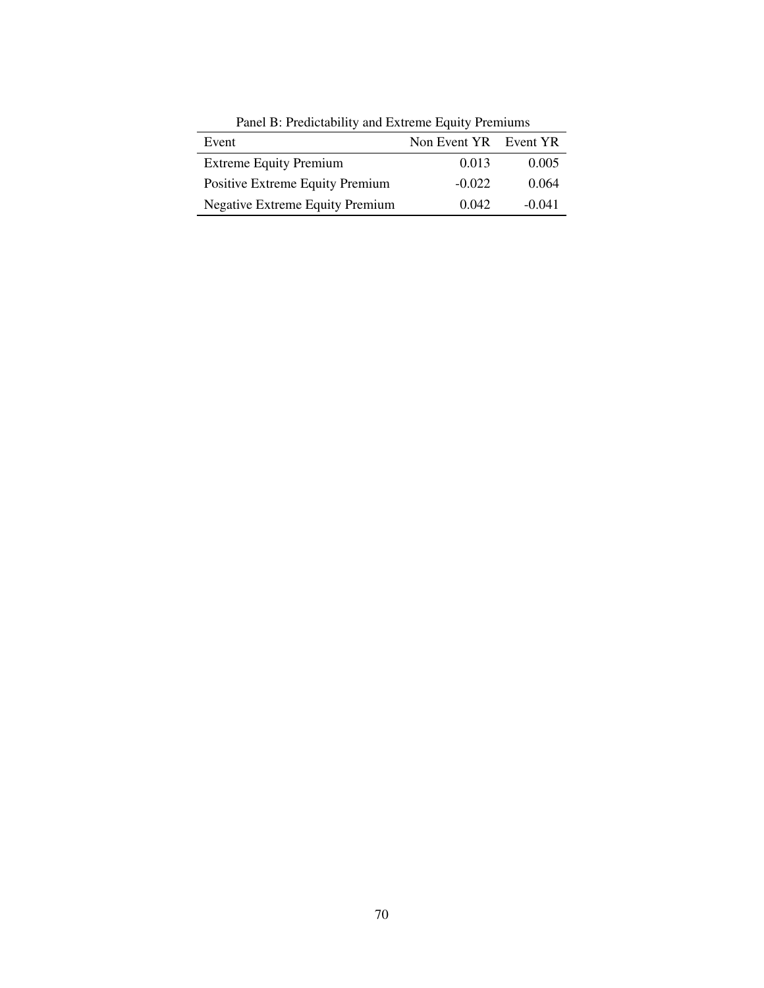| I and D. I Rareability and Extreme Equity I Rimanis |                       |          |  |  |
|-----------------------------------------------------|-----------------------|----------|--|--|
| Event                                               | Non Event YR Event YR |          |  |  |
| <b>Extreme Equity Premium</b>                       | 0.013                 | 0.005    |  |  |
| Positive Extreme Equity Premium                     | $-0.022$              | 0.064    |  |  |
| <b>Negative Extreme Equity Premium</b>              | 0.042                 | $-0.041$ |  |  |

Panel B: Predictability and Extreme Equity Premiums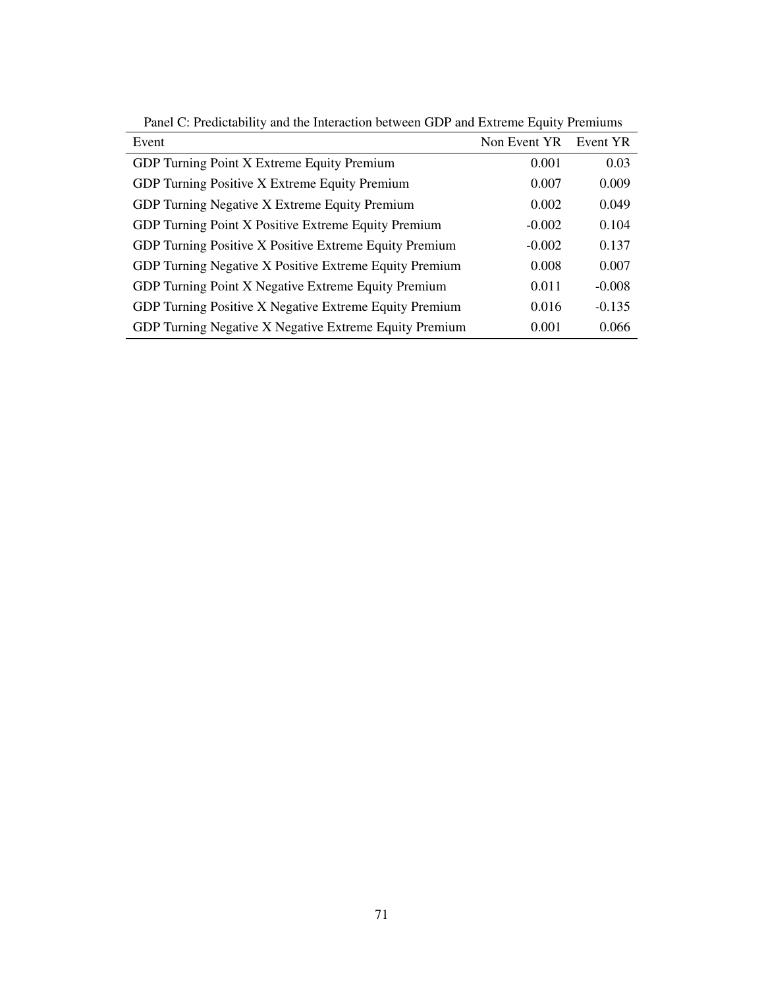| Event                                                  | Non Event YR | Event YR |
|--------------------------------------------------------|--------------|----------|
| GDP Turning Point X Extreme Equity Premium             | 0.001        | 0.03     |
| GDP Turning Positive X Extreme Equity Premium          | 0.007        | 0.009    |
| GDP Turning Negative X Extreme Equity Premium          | 0.002        | 0.049    |
| GDP Turning Point X Positive Extreme Equity Premium    | $-0.002$     | 0.104    |
| GDP Turning Positive X Positive Extreme Equity Premium | $-0.002$     | 0.137    |
| GDP Turning Negative X Positive Extreme Equity Premium | 0.008        | 0.007    |
| GDP Turning Point X Negative Extreme Equity Premium    | 0.011        | $-0.008$ |
| GDP Turning Positive X Negative Extreme Equity Premium | 0.016        | $-0.135$ |
| GDP Turning Negative X Negative Extreme Equity Premium | 0.001        | 0.066    |

Panel C: Predictability and the Interaction between GDP and Extreme Equity Premiums